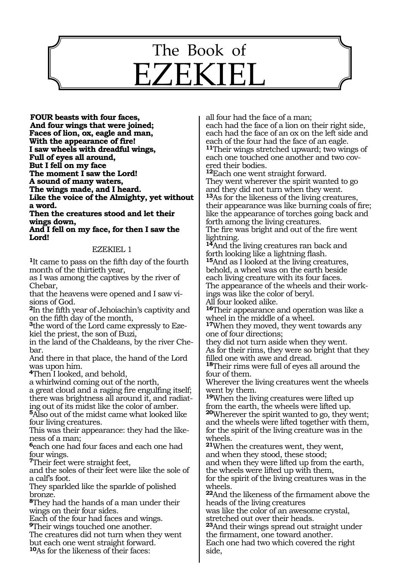## 1019 The Book of EZEKIEL

**Four beasts with four faces, And four wings that were joined; Faces of lion, ox, eagle and man, With the appearance of fire! I saw wheels with dreadful wings, Full of eyes all around, But I fell on my face The moment I saw the Lord! A sound of many waters, The wings made, and I heard. Like the voice of the Almighty, yet without a word.** 

**Then the creatures stood and let their wings down,** 

**And I fell on my face, for then I saw the Lord!**

#### EZEKIEL 1

**<sup>1</sup>**It came to pass on the fifth day of the fourth month of the thirtieth year,

as I was among the captives by the river of Chebar,

that the heavens were opened and I saw visions of God.

**<sup>2</sup>**In the fifth year of Jehoiachin's captivity and on the fifth day of the month,

**3**the word of the Lord came expressly to Ezekiel the priest, the son of Buzi,

in the land of the Chaldeans, by the river Chebar.

And there in that place, the hand of the Lord was upon him.

**<sup>4</sup>**Then I looked, and behold,

a whirlwind coming out of the north,

a great cloud and a raging fire engulfing itself; there was brightness all around it, and radiating out of its midst like the color of amber.

**<sup>5</sup>**Also out of the midst came what looked like four living creatures.

This was their appearance: they had the likeness of a man;

**<sup>6</sup>**each one had four faces and each one had four wings.

**<sup>7</sup>**Their feet were straight feet,

and the soles of their feet were like the sole of a calf's foot.

They sparkled like the sparkle of polished bronze.

**<sup>8</sup>**They had the hands of a man under their wings on their four sides.

Each of the four had faces and wings. **<sup>9</sup>**Their wings touched one another.

The creatures did not turn when they went

but each one went straight forward.

**<sup>10</sup>**As for the likeness of their faces:

all four had the face of a man;

each had the face of a lion on their right side, each had the face of an ox on the left side and each of the four had the face of an eagle. **<sup>11</sup>**Their wings stretched upward; two wings of each one touched one another and two cov- ered their bodies.

**<sup>12</sup>**Each one went straight forward. They went wherever the spirit wanted to go

and they did not turn when they went. **<sup>13</sup>**As for the likeness of the living creatures, their appearance was like burning coals of fire; like the appearance of torches going back and forth among the living creatures.

The fire was bright and out of the fire went lightning.

**<sup>14</sup>**And the living creatures ran back and forth looking like a lightning flash.

**<sup>15</sup>**And as I looked at the living creatures, behold, a wheel was on the earth beside each living creature with its four faces.

The appearance of the wheels and their workings was like the color of beryl.

All four looked alike.

**<sup>16</sup>**Their appearance and operation was like a wheel in the middle of a wheel.

**<sup>17</sup>**When they moved, they went towards any one of four directions;

they did not turn aside when they went. As for their rims, they were so bright that they

filled one with awe and dread.

**<sup>18</sup>**Their rims were full of eyes all around the four of them.

Wherever the living creatures went the wheels went by them.

**<sup>19</sup>**When the living creatures were lifted up from the earth, the wheels were lifted up. **<sup>20</sup>**Wherever the spirit wanted to go, they went; and the wheels were lifted together with them, for the spirit of the living creature was in the wheels.

**<sup>21</sup>**When the creatures went, they went, and when they stood, these stood;

and when they were lifted up from the earth, the wheels were lifted up with them,

for the spirit of the living creatures was in the wheels.

**<sup>22</sup>**And the likeness of the firmament above the heads of the living creatures

was like the color of an awesome crystal, stretched out over their heads.

**<sup>23</sup>**And their wings spread out straight under the firmament, one toward another. Each one had two which covered the right side,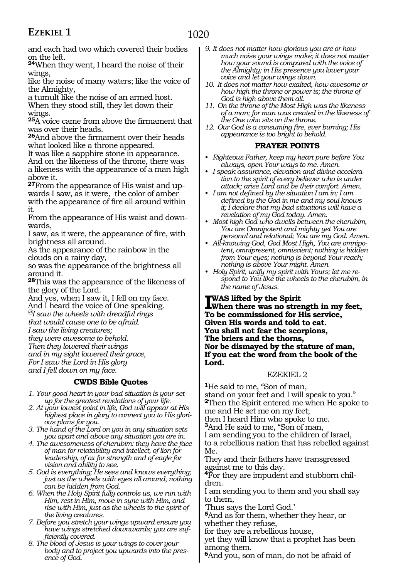and each had two which covered their bodies on the left.

**<sup>24</sup>**When they went, I heard the noise of their wings,

like the noise of many waters; like the voice of the Almighty,

a tumult like the noise of an armed host. When they stood still, they let down their wings.

**<sup>25</sup>**A voice came from above the firmament that was over their heads.

**<sup>26</sup>**And above the firmament over their heads what looked like a throne appeared.

It was like a sapphire stone in appearance. And on the likeness of the throne, there was a likeness with the appearance of a man high above it.

**27**From the appearance of His waist and upwards I saw, as it were, the color of amber with the appearance of fire all around within it.

From the appearance of His waist and downwards,

I saw, as it were, the appearance of fire, with brightness all around.

As the appearance of the rainbow in the clouds on a rainy day,

so was the appearance of the brightness all around it.

**<sup>28</sup>**This was the appearance of the likeness of the glory of the Lord.

And yes, when I saw it, I fell on my face. And I heard the voice of One speaking.

*@I saw the wheels with dreadful rings that would cause one to be afraid.*

*I saw the living creatures;*

*they were awesome to behold.*

*Then they lowered their wings*

*and in my sight lowered their grace, For I saw the Lord in His glory*

*and I fell down on my face.*

#### **CWDS Bible Quotes**

- *1. Your good heart in your bad situation is your setup for the greatest revelations of your life.*
- *2. At your lowest point in life, God will appear at His highest place in glory to connect you to His glorious plans for you.*
- *3. The hand of the Lord on you in any situation sets you apart and above any situation you are in.*
- *4. The awesomeness of cherubim: they have the face of man for relatability and intellect, of lion for leadership, of ox for strength and of eagle for vision and ability to see.*

*5. God is everything; He sees and knows everything; just as the wheels with eyes all around, nothing can be hidden from God.*

- *6. When the Holy Spirit fully controls us, we run with Him, rest in Him, move in sync with Him, and rise with Him, just as the wheels to the spirit of the living creatures.*
- *7. Before you stretch your wings upward ensure you have wings stretched downwards; you are sufficiently covered.*
- *8. The blood of Jesus is your wings to cover your body and to project you upwards into the presence of God.*
- *9. It does not matter how glorious you are or how much noise your wings make; it does not matter how your sound is compared with the voice of the Almighty; in His presence you lower your voice and let your wings down.*
- *10. It does not matter how exalted, how awesome or how high the throne or power is; the throne of God is high above them all.*
- *11. On the throne of the Most High was the likeness of a man; for man was created in the likeness of the One who sits on the throne.*
- *12. Our God is a consuming fire, ever burning; His appearance is too bright to behold.*

#### **PRAYER POINTS**

- *• Righteous Father, keep my heart pure before You always, open Your ways to me. Amen.*
- *• I speak assurance, elevation and divine acceleration to the spirit of every believer who is under attack; arise Lord and be their comfort. Amen.*
- *• I am not defined by the situation I am in; I am defined by the God in me and my soul knows it; I declare that my bad situations will have a revelation of my God today. Amen.*
- *• Most high God who dwells between the cherubim, You are Omnipotent and mighty yet You are personal and relational; You are my God. Amen.*
- *• All-knowing God, God Most High, You are omnipotent, omnipresent, omniscient; nothing is hidden from Your eyes; nothing is beyond Your reach; nothing is above Your might. Amen.*
- *• Holy Spirit, unify my spirit with Yours; let me respond to You like the wheels to the cherubim, in the name of Jesus.*

**I was lifted by the Spirit When there was no strength in my feet, To be commissioned for His service, Given His words and told to eat. You shall not fear the scorpions, The briers and the thorns, Nor be dismayed by the stature of man, If you eat the word from the book of the Lord.**

#### EZEKIEL 2

**<sup>1</sup>**He said to me, "Son of man, stand on your feet and I will speak to you." **<sup>2</sup>**Then the Spirit entered me when He spoke to me and He set me on my feet; then I heard Him who spoke to me.

**<sup>3</sup>**And He said to me, "Son of man,

I am sending you to the children of Israel,

to a rebellious nation that has rebelled against Me.

They and their fathers have transgressed against me to this day.

**4**For they are impudent and stubborn children.

I am sending you to them and you shall say to them,

'Thus says the Lord God.'

**<sup>5</sup>**And as for them, whether they hear, or whether they refuse,

for they are a rebellious house,

yet they will know that a prophet has been among them.

**<sup>6</sup>**And you, son of man, do not be afraid of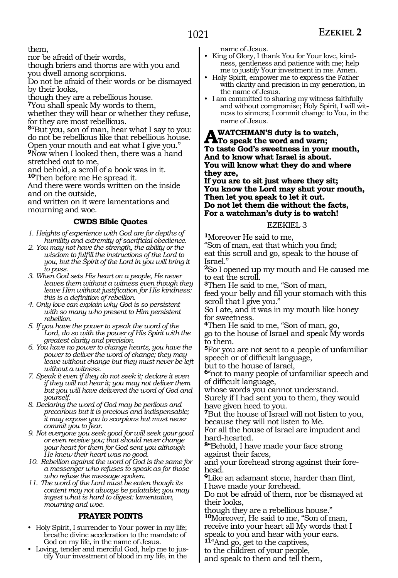them,

nor be afraid of their words,

though briers and thorns are with you and you dwell among scorpions.

Do not be afraid of their words or be dismayed by their looks,

though they are a rebellious house.

**<sup>7</sup>**You shall speak My words to them,

whether they will hear or whether they refuse, for they are most rebellious.

**<sup>8</sup>**"But you, son of man, hear what I say to you: do not be rebellious like that rebellious house. Open your mouth and eat what I give you." **<sup>9</sup>**Now when I looked then, there was a hand stretched out to me,

and behold, a scroll of a book was in it.

**<sup>10</sup>**Then before me He spread it.

And there were words written on the inside and on the outside,

and written on it were lamentations and mourning and woe.

#### **CWDS Bible Quotes**

- *1. Heights of experience with God are for depths of humility and extremity of sacrificial obedience.*
- *2. You may not have the strength, the ability or the wisdom to fulfill the instructions of the Lord to you, but the Spirit of the Lord in you will bring it to pass.*
- *3. When God sets His heart on a people, He never leaves them without a witness even though they leave Him without justification for His kindness: this is a definition of rebellion.*
- *4. Only love can explain why God is so persistent with so many who present to Him persistent rebellion.*
- *5. If you have the power to speak the word of the Lord, do so with the power of His Spirit with the greatest clarity and precision.*
- *6. You have no power to change hearts, you have the power to deliver the word of change; they may leave without change but they must never be left without a witness.*
- *7. Speak it even if they do not seek it; declare it even if they will not hear it; you may not deliver them but you will have delivered the word of God and yourself.*
- *8. Declaring the word of God may be perilous and precarious but it is precious and indispensable; it may expose you to scorpions but must never commit you to fear.*
- *9. Not everyone you seek good for will seek your good or even receive you; that should never change your heart for them for God sent you although He knew their heart was no good.*
- *10. Rebellion against the word of God is the same for a messenger who refuses to speak as for those who refuse the message spoken.*
- *11. The word of the Lord must be eaten though its content may not always be palatable; you may ingest what is hard to digest: lamentation, mourning and woe.*

#### **PRAYER POINTS**

- Holy Spirit, I surrender to Your power in my life; breathe divine acceleration to the mandate of God on my life, in the name of Jesus.
- Loving, tender and merciful God, help me to justify Your investment of blood in my life, in the

name of Jesus.

- King of Glory, I thank You for Your love, kindness, gentleness and patience with me; help me to justify Your investment in me. Amen.
- Holy Spirit, empower me to express the Father with clarity and precision in my generation, in the name of Jesus.
- I am committed to sharing my witness faithfully and without compromise; Holy Spirit, I will witness to sinners; I commit change to You, in the name of Jesus.

**A WATCHMAN'S duty is to watch,<br>To speak the word and warn;<br>To tests God's supprimese in your m To taste God's sweetness in your mouth, And to know what Israel is about. You will know what they do and where they are,**

**If you are to sit just where they sit; You know the Lord may shut your mouth, Then let you speak to let it out. Do not let them die without the facts, For a watchman's duty is to watch!**

#### EZEKIEL 3

**<sup>1</sup>**Moreover He said to me, "Son of man, eat that which you find; eat this scroll and go, speak to the house of Israel."

**<sup>2</sup>**So I opened up my mouth and He caused me to eat the scroll.

**<sup>3</sup>**Then He said to me, "Son of man,

feed your belly and fill your stomach with this scroll that I give you."

So I ate, and it was in my mouth like honey for sweetness.

**<sup>4</sup>**Then He said to me, "Son of man, go, go to the house of Israel and speak My words to them.

**<sup>5</sup>**For you are not sent to a people of unfamiliar speech or of difficult language,

but to the house of Israel,

**<sup>6</sup>**"not to many people of unfamiliar speech and of difficult language,

whose words you cannot understand.

Surely if I had sent you to them, they would have given heed to you.

**<sup>7</sup>**But the house of Israel will not listen to you, because they will not listen to Me.

For all the house of Israel are impudent and hard-hearted.

**<sup>8</sup>**"Behold, I have made your face strong against their faces,

and your forehead strong against their fore- head.

**<sup>9</sup>**Like an adamant stone, harder than flint, I have made your forehead.

Do not be afraid of them, nor be dismayed at their looks,

though they are a rebellious house." **<sup>10</sup>**Moreover, He said to me, "Son of man, receive into your heart all My words that I

speak to you and hear with your ears.

**<sup>11</sup>**"And go, get to the captives,

to the children of your people, and speak to them and tell them,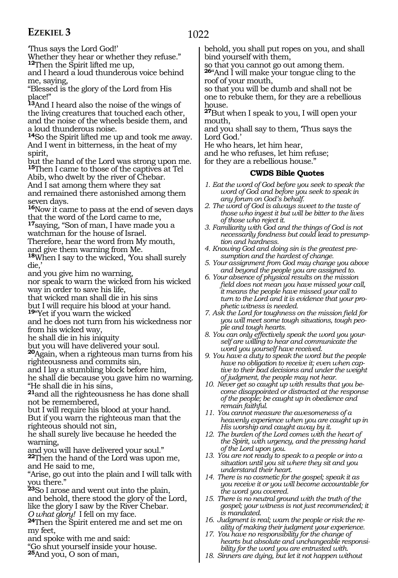'Thus says the Lord God!'

Whether they hear or whether they refuse." **<sup>12</sup>**Then the Spirit lifted me up,

and I heard a loud thunderous voice behind me, saying,

"Blessed is the glory of the Lord from His place!"

**<sup>13</sup>**And I heard also the noise of the wings of the living creatures that touched each other, and the noise of the wheels beside them, and a loud thunderous noise.

**<sup>14</sup>**So the Spirit lifted me up and took me away. And I went in bitterness, in the heat of my spirit,

but the hand of the Lord was strong upon me. **<sup>15</sup>**Then I came to those of the captives at Tel

Abib, who dwelt by the river of Chebar. And I sat among them where they sat and remained there astonished among them seven days.

**<sup>16</sup>**Now it came to pass at the end of seven days that the word of the Lord came to me,

**<sup>17</sup>**saying, "Son of man, I have made you a watchman for the house of Israel.

Therefore, hear the word from My mouth,

and give them warning from Me.

**<sup>18</sup>**When I say to the wicked, 'You shall surely die.

and you give him no warning,

nor speak to warn the wicked from his wicked way in order to save his life,

that wicked man shall die in his sins

but I will require his blood at your hand.

**<sup>19</sup>**"Yet if you warn the wicked

and he does not turn from his wickedness nor from his wicked way,

he shall die in his iniquity

but you will have delivered your soul.

**<sup>20</sup>**Again, when a righteous man turns from his righteousness and commits sin,

and I lay a stumbling block before him,

he shall die because you gave him no warning. "He shall die in his sins,

**<sup>21</sup>**and all the righteousness he has done shall not be remembered,

but I will require his blood at your hand. But if you warn the righteous man that the righteous should not sin,

he shall surely live because he heeded the warning,

and you will have delivered your soul."

**<sup>22</sup>**Then the hand of the Lord was upon me, and He said to me,

"Arise, go out into the plain and I will talk with you there."

**<sup>23</sup>**So I arose and went out into the plain, and behold, there stood the glory of the Lord, like the glory I saw by the River Chebar.<br>O what glory! I fell on my face.

**24**Then the Spirit entered me and set me on my feet,

and spoke with me and said:

"Go shut yourself inside your house.

**<sup>25</sup>**And you, O son of man,

behold, you shall put ropes on you, and shall bind yourself with them,

so that you cannot go out among them.

**<sup>26</sup>**"And I will make your tongue cling to the roof of your mouth,

so that you will be dumb and shall not be one to rebuke them, for they are a rebellious house.

**<sup>27</sup>**But when I speak to you, I will open your mouth,

and you shall say to them, 'Thus says the Lord God.'

He who hears, let him hear,

and he who refuses, let him refuse;

for they are a rebellious house."

#### **CWDS Bible Quotes**

- *1. Eat the word of God before you seek to speak the word of God and before you seek to speak in any forum on God's behalf.*
- *2. The word of God is always sweet to the taste of those who ingest it but will be bitter to the lives of those who reject it.*
- *3. Familiarity with God and the things of God is not necessarily fondness but could lead to presumption and hardness.*
- *4. Knowing God and doing sin is the greatest presumption and the hardest of change.*
- *5. Your assignment from God may change you above and beyond the people you are assigned to.*
- *6. Your absence of physical results on the mission field does not mean you have missed your call, it means the people have missed your call to turn to the Lord and it is evidence that your prophetic witness is needed.*
- *7. Ask the Lord for toughness on the mission field for you will meet some tough situations, tough people and tough hearts.*
- *8. You can only effectively speak the word you yourself are willing to hear and communicate the word you yourself have received.*
- *9. You have a duty to speak the word but the people have no obligation to receive it; even when captive to their bad decisions and under the weight of judgment, the people may not hear.*
- *10. Never get so caught up with results that you become disappointed or distracted at the response of the people; be caught up in obedience and remain faithful.*
- *11. You cannot measure the awesomeness of a heavenly experience when you are caught up in His worship and caught away by it.*
- *12. The burden of the Lord comes with the heart of the Spirit, with urgency, and the pressing hand of the Lord upon you.*
- *13. You are not ready to speak to a people or into a situation until you sit where they sit and you understand their heart.*
- *14. There is no cosmetic for the gospel; speak it as you receive it or you will become accountable for the word you covered.*
- *15. There is no neutral ground with the truth of the gospel; your witness is not just recommended; it is mandated.*
- *16. Judgment is real; warn the people or risk the reality of making their judgment your experience.*
- *17. You have no responsibility for the change of hearts but absolute and unchangeable responsibility for the word you are entrusted with.*
- *18. Sinners are dying, but let it not happen without*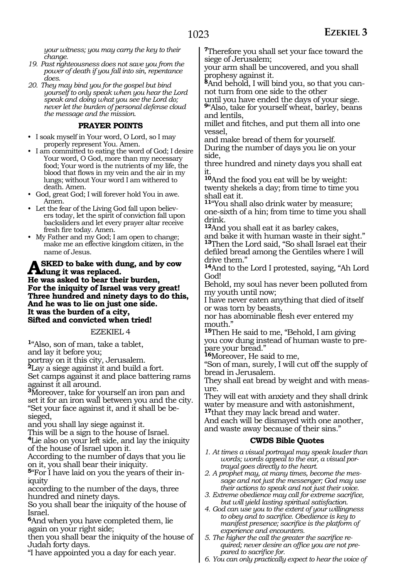*your witness; you may carry the key to their change.*

- *19. Past righteousness does not save you from the power of death if you fall into sin, repentance does.*
- *20. They may bind you for the gospel but bind yourself to only speak when you hear the Lord speak and doing what you see the Lord do; never let the burden of personal defense cloud the message and the mission.*

#### **PRAYER POINTS**

- I soak myself in Your word, O Lord, so I may properly represent You. Amen.
- I am committed to eating the word of God; I desire Your word, O God, more than my necessary food; Your word is the nutrients of my life, the blood that flows in my vein and the air in my lungs; without Your word I am withered to death. Amen.
- God, great God; I will forever hold You in awe. Amen.
- Let the fear of the Living God fall upon believers today, let the spirit of conviction fall upon backsliders and let every prayer altar receive fresh fire today. Amen.
- My Father and my God; I am open to change; make me an effective kingdom citizen, in the name of Jesus.

#### **SKED** to bake with dung, and by cow **dung it was replaced.**

**He was asked to bear their burden, For the iniquity of Israel was very great! Three hundred and ninety days to do this, And he was to lie on just one side. It was the burden of a city, Sifted and convicted when tried!**

#### EZEKIEL 4

**<sup>1</sup>**"Also, son of man, take a tablet, and lay it before you;

portray on it this city, Jerusalem.

**<sup>2</sup>**Lay a siege against it and build a fort.

Set camps against it and place battering rams against it all around.

**<sup>3</sup>**Moreover, take for yourself an iron pan and set it for an iron wall between you and the city. "Set your face against it, and it shall be besieged,

and you shall lay siege against it.

This will be a sign to the house of Israel.

**<sup>4</sup>**Lie also on your left side, and lay the iniquity of the house of Israel upon it.

According to the number of days that you lie on it, you shall bear their iniquity.

**<sup>5</sup>**"For I have laid on you the years of their in- iquity

according to the number of the days, three hundred and ninety days.

So you shall bear the iniquity of the house of Israel.

**<sup>6</sup>**And when you have completed them, lie again on your right side;

then you shall bear the iniquity of the house of Judah forty days.

"I have appointed you a day for each year.

**<sup>7</sup>**Therefore you shall set your face toward the siege of Jerusalem;

your arm shall be uncovered, and you shall prophesy against it.

**8**And behold, I will bind you, so that you cannot turn from one side to the other

until you have ended the days of your siege.

**<sup>9</sup>**"Also, take for yourself wheat, barley, beans and lentils,

millet and fitches, and put them all into one vessel,

and make bread of them for yourself.

During the number of days you lie on your side,

three hundred and ninety days you shall eat it.

**<sup>10</sup>**And the food you eat will be by weight: twenty shekels a day; from time to time you shall eat it.

**<sup>11</sup>**"You shall also drink water by measure; one-sixth of a hin; from time to time you shall drink.

**<sup>12</sup>**And you shall eat it as barley cakes, and bake it with human waste in their sight." **<sup>13</sup>**Then the Lord said, "So shall Israel eat their defiled bread among the Gentiles where I will drive them."

**<sup>14</sup>**And to the Lord I protested, saying, "Ah Lord God!

Behold, my soul has never been polluted from my youth until now;

I have never eaten anything that died of itself or was torn by beasts,

nor has abominable flesh ever entered my mouth."

**<sup>15</sup>**Then He said to me, "Behold, I am giving you cow dung instead of human waste to prepare your bread."

**<sup>16</sup>**Moreover, He said to me,

"Son of man, surely, I will cut off the supply of bread in Jerusalem.

They shall eat bread by weight and with measure.

They will eat with anxiety and they shall drink water by measure and with astonishment, **<sup>17</sup>**that they may lack bread and water. And each will be dismayed with one another, and waste away because of their sins."

#### **CWDS Bible Quotes**

*1. At times a visual portrayal may speak louder than words; words appeal to the ear, a visual portrayal goes directly to the heart.*

*2. A prophet may, at many times, become the message and not just the messenger; God may use their actions to speak and not just their voice.*

*3. Extreme obedience may call for extreme sacrifice, but will yield lasting spiritual satisfaction.*

*4. God can use you to the extent of your willingness to obey and to sacrifice. Obedience is key to manifest presence; sacrifice is the platform of experience and encounters.*

*5. The higher the call the greater the sacrifice required; never desire an office you are not prepared to sacrifice for.*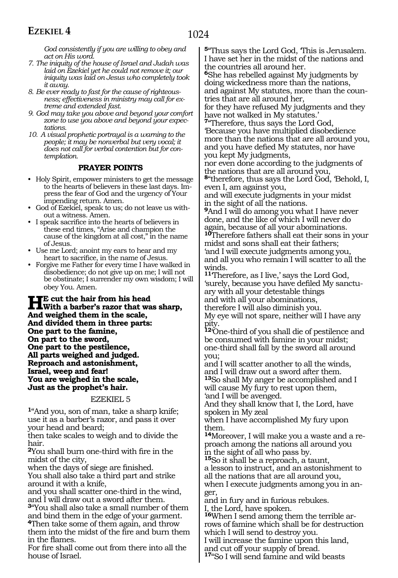*God consistently if you are willing to obey and act on His word.*

- *7. The iniquity of the house of Israel and Judah was laid on Ezekiel yet he could not remove it; our iniquity was laid on Jesus who completely took it away.*
- *8. Be ever ready to fast for the cause of righteousness; effectiveness in ministry may call for extreme and extended fast.*
- *9. God may take you above and beyond your comfort zone to use you above and beyond your expectations.*
- *10. A visual prophetic portrayal is a warning to the people; it may be nonverbal but very vocal; it does not call for verbal contention but for contemplation.*

#### **PRAYER POINTS**

- Holy Spirit, empower ministers to get the message to the hearts of believers in these last days. Impress the fear of God and the urgency of Your impending return. Amen.
- God of Ezekiel, speak to us; do not leave us without a witness. Amen.
- I speak sacrifice into the hearts of believers in these end times, "Arise and champion the cause of the kingdom at all cost," in the name of Jesus.
- Use me Lord; anoint my ears to hear and my heart to sacrifice, in the name of Jesus.
- Forgive me Father for every time I have walked in disobedience; do not give up on me; I will not be obstinate; I surrender my own wisdom; I will obey You. Amen.

**He cut the hair from his head With a barber's razor that was sharp, And weighed them in the scale, And divided them in three parts: One part to the famine, On part to the sword, One part to the pestilence, All parts weighed and judged. Reproach and astonishment, Israel, weep and fear! You are weighed in the scale, Just as the prophet's hair.**

#### EZEKIEL 5

**<sup>1</sup>**"And you, son of man, take a sharp knife; use it as a barber's razor, and pass it over your head and beard;

then take scales to weigh and to divide the hair.

**<sup>2</sup>**You shall burn one-third with fire in the midst of the city,

when the days of siege are finished.

You shall also take a third part and strike around it with a knife,

and you shall scatter one-third in the wind, and I will draw out a sword after them.

**<sup>3</sup>**"You shall also take a small number of them and bind them in the edge of your garment.

**<sup>4</sup>**Then take some of them again, and throw them into the midst of the fire and burn them in the flames.

For fire shall come out from there into all the house of Israel.

**<sup>5</sup>**"Thus says the Lord God, 'This is Jerusalem. I have set her in the midst of the nations and the countries all around her. **<sup>6</sup>**She has rebelled against My judgments by

doing wickedness more than the nations, and against My statutes, more than the countries that are all around her,

for they have refused My judgments and they have not walked in My statutes.'

**<sup>7</sup>**"Therefore, thus says the Lord God, 'Because you have multiplied disobedience more than the nations that are all around you, and you have defied My statutes, nor have you kept My judgments,

nor even done according to the judgments of the nations that are all around you,

**<sup>8</sup>**"therefore, thus says the Lord God, 'Behold, I, even I, am against you,

and will execute judgments in your midst in the sight of all the nations.

**<sup>9</sup>**And I will do among you what I have never done, and the like of which I will never do again, because of all your abominations.

**<sup>10</sup>**Therefore fathers shall eat their sons in your midst and sons shall eat their fathers; 'and I will execute judgments among you, and all you who remain I will scatter to all the winds.

**<sup>11</sup>**'Therefore, as I live,' says the Lord God, 'surely, because you have defiled My sanctu- ary with all your detestable things and with all your abominations, therefore I will also diminish you.

My eye will not spare, neither will I have any pity.

**<sup>12</sup>**'One-third of you shall die of pestilence and be consumed with famine in your midst; one-third shall fall by the sword all around you;

and I will scatter another to all the winds, and I will draw out a sword after them. **<sup>13</sup>**So shall My anger be accomplished and I

will cause My fury to rest upon them, 'and I will be avenged.

And they shall know that I, the Lord, have spoken in My zeal

when I have accomplished My fury upon them.

**14**Moreover, I will make you a waste and a reproach among the nations all around you in the sight of all who pass by.

**<sup>15</sup>**So it shall be a reproach, a taunt,

a lesson to instruct, and an astonishment to all the nations that are all around you,

when I execute judgments among you in anger,

and in fury and in furious rebukes. I, the Lord, have spoken.

**16**When I send among them the terrible arrows of famine which shall be for destruction

which I will send to destroy you.

I will increase the famine upon this land, and cut off your supply of bread.

**<sup>17</sup>**"So I will send famine and wild beasts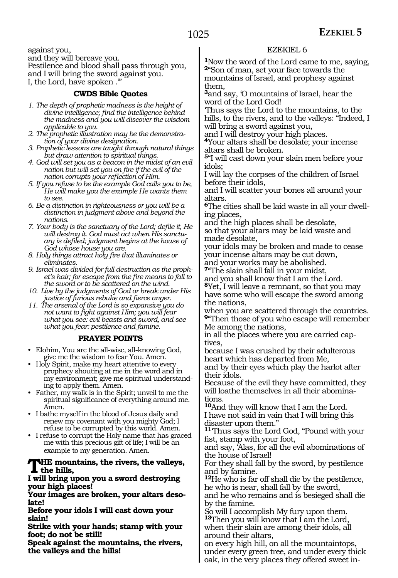against you, and they will bereave you. Pestilence and blood shall pass through you, and I will bring the sword against you. I, the Lord, have spoken .'"

#### **CWDS Bible Quotes**

- *1. The depth of prophetic madness is the height of divine intelligence; find the intelligence behind the madness and you will discover the wisdom applicable to you.*
- *2. The prophetic illustration may be the demonstration of your divine designation.*
- *3. Prophetic lessons are taught through natural things but draw attention to spiritual things.*
- *4. God will set you as a beacon in the midst of an evil nation but will set you on fire if the evil of the nation corrupts your reflection of Him.*
- *5. If you refuse to be the example God calls you to be, He will make you the example He wants them to see.*
- *6. Be a distinction in righteousness or you will be a distinction in judgment above and beyond the nations.*
- *7. Your body is the sanctuary of the Lord; defile it, He will destroy it. God must act when His sanctuary is defiled; judgment begins at the house of God whose house you are.*
- *8. Holy things attract holy fire that illuminates or eliminates.*
- *9. Israel was divided for full destruction as the prophet's hair; for escape from the fire means to fall to the sword or to be scattered on the wind.*
- *10. Live by the judgments of God or break under His justice of furious rebuke and fierce anger.*
- *11. The arsenal of the Lord is so expansive you do not want to fight against Him; you will fear what you see: evil beasts and sword, and see what you fear: pestilence and famine.*

#### **PRAYER POINTS**

- Elohim, You are the all-wise, all-knowing God, give me the wisdom to fear You. Amen.
- Holy Spirit, make my heart attentive to every prophecy shouting at me in the word and in my environment; give me spiritual understanding to apply them. Amen.
- Father, my walk is in the Spirit; unveil to me the spiritual significance of everything around me. Amen.
- I bathe myself in the blood of Jesus daily and renew my covenant with you mighty God; I refuse to be corrupted by this world. Amen.
- I refuse to corrupt the Holy name that has graced me with this precious gift of life; I will be an example to my generation. Amen.

#### **The mountains, the rivers, the valleys, the hills,**

#### **I will bring upon you a sword destroying your high places!**

**Your images are broken, your altars deso- late!**

**Before your idols I will cast down your slain!**

**Strike with your hands; stamp with your foot; do not be still!**

**Speak against the mountains, the rivers, the valleys and the hills!**

#### EZEKIEL 6

**<sup>1</sup>**Now the word of the Lord came to me, saying, **<sup>2</sup>**"Son of man, set your face towards the mountains of Israel, and prophesy against them,

**<sup>3</sup>**and say, 'O mountains of Israel, hear the word of the Lord God!

'Thus says the Lord to the mountains, to the hills, to the rivers, and to the valleys: "Indeed, I will bring a sword against you,

and I will destroy your high places.

**<sup>4</sup>**Your altars shall be desolate; your incense altars shall be broken.

**<sup>5</sup>**"I will cast down your slain men before your idols;

I will lay the corpses of the children of Israel before their idols,

and I will scatter your bones all around your altars.

**6**The cities shall be laid waste in all your dwelling places,

and the high places shall be desolate, so that your altars may be laid waste and made desolate,

your idols may be broken and made to cease your incense altars may be cut down, and your works may be abolished.

**<sup>7</sup>**"The slain shall fall in your midst,

and you shall know that I am the Lord.

**<sup>8</sup>**Yet, I will leave a remnant, so that you may have some who will escape the sword among the nations,

when you are scattered through the countries. **<sup>9</sup>**"Then those of you who escape will remember Me among the nations,

in all the places where you are carried captives,

because I was crushed by their adulterous heart which has departed from Me, and by their eyes which play the harlot after their idols.

Because of the evil they have committed, they will loathe themselves in all their abominations.

**<sup>10</sup>**And they will know that I am the Lord. I have not said in vain that I will bring this disaster upon them."

**<sup>11</sup>**'Thus says the Lord God, "Pound with your fist, stamp with your foot,

and say, 'Alas, for all the evil abominations of the house of Israel!

For they shall fall by the sword, by pestilence and by famine.

**<sup>12</sup>**He who is far off shall die by the pestilence, he who is near, shall fall by the sword,

and he who remains and is besieged shall die by the famine.

So will I accomplish My fury upon them. **<sup>13</sup>**Then you will know that I am the Lord, when their slain are among their idols, all around their altars,

on every high hill, on all the mountaintops, under every green tree, and under every thick oak, in the very places they offered sweet in-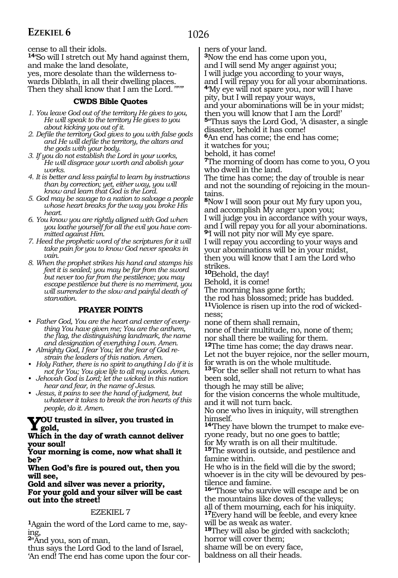### 1026

### **EZEKIEL 6**

cense to all their idols.

**<sup>14</sup>**'So will I stretch out My hand against them, and make the land desolate, yes, more desolate than the wilderness to- wards Diblath, in all their dwelling places. Then they shall know that I am the Lord.*'"'"*

#### **CWDS Bible Quotes**

- *1. You leave God out of the territory He gives to you, He will speak to the territory He gives to you about kicking you out of it.*
- *2. Defile the territory God gives to you with false gods and He will defile the territory, the altars and the gods with your body.*
- *3. If you do not establish the Lord in your works, He will disgrace your worth and abolish your works.*
- *4. It is better and less painful to learn by instructions than by correction; yet, either way, you will know and learn that God is the Lord.*
- *5. God may be savage to a nation to salvage a people whose heart breaks for the way you broke His heart.*
- *6. You know you are rightly aligned with God when you loathe yourself for all the evil you have committed against Him.*
- *7. Heed the prophetic word of the scriptures for it will take pain for you to know God never speaks in vain.*
- *8. When the prophet strikes his hand and stamps his feet it is sealed; you may be far from the sword but never too far from the pestilence; you may escape pestilence but there is no merriment, you will surrender to the slow and painful death of starvation.*

#### **PRAYER POINTS**

- *• Father God, You are the heart and center of everything You have given me; You are the anthem, the flag, the distinguishing landmark, the name and designation of everything I own. Amen.*
- *• Almighty God, I fear You; let the fear of God restrain the leaders of this nation. Amen.*
- *• Holy Father, there is no spirit to anything I do if it is not for You; You give life to all my works. Amen.*
- *• Jehovah God is Lord; let the wicked in this nation hear and fear, in the name of Jesus.*
- *• Jesus, it pains to see the hand of judgment, but whatever it takes to break the iron hearts of this people, do it. Amen.*

### **You trusted in silver, you trusted in gold,**

#### **Which in the day of wrath cannot deliver your soul!**

**Your morning is come, now what shall it be?**

**When God's fire is poured out, then you will see,**

**Gold and silver was never a priority, For your gold and your silver will be cast out into the street!**

#### EZEKIEL 7

**1**Again the word of the Lord came to me, saying,

**<sup>2</sup>**"And you, son of man,

thus says the Lord God to the land of Israel, 'An end! The end has come upon the four corners of your land.

**<sup>3</sup>**Now the end has come upon you,

and I will send My anger against you;

I will judge you according to your ways,

and I will repay you for all your abominations. **<sup>4</sup>**'My eye will not spare you, nor will I have

pity, but I will repay your ways,

and your abominations will be in your midst; then you will know that I am the Lord!'

**<sup>5</sup>**"Thus says the Lord God, 'A disaster, a single disaster, behold it has come!

**<sup>6</sup>**An end has come; the end has come;

it watches for you;

behold, it has come!

**<sup>7</sup>**The morning of doom has come to you, O you who dwell in the land.

The time has come; the day of trouble is near and not the sounding of rejoicing in the mountains.

**<sup>8</sup>**Now I will soon pour out My fury upon you, and accomplish My anger upon you; I will judge you in accordance with your ways,

and I will repay you for all your abominations. **<sup>9</sup>**'I will not pity nor will My eye spare.

I will repay you according to your ways and your abominations will be in your midst, then you will know that I am the Lord who strikes.

**<sup>10</sup>**Behold, the day!

Behold, it is come!

The morning has gone forth;

the rod has blossomed; pride has budded.

**11**Violence is risen up into the rod of wickedness;

none of them shall remain,

none of their multitude, no, none of them; nor shall there be wailing for them.

**<sup>12</sup>**The time has come; the day draws near. Let not the buyer rejoice, nor the seller mourn,

for wrath is on the whole multitude. **<sup>13</sup>**'For the seller shall not return to what has been sold,

though he may still be alive;

for the vision concerns the whole multitude, and it will not turn back.

No one who lives in iniquity, will strengthen himself.

**14**'They have blown the trumpet to make everyone ready, but no one goes to battle; for My wrath is on all their multitude. **<sup>15</sup>**The sword is outside, and pestilence and

famine within.

He who is in the field will die by the sword; whoever is in the city will be devoured by pestilence and famine.

16<sup>"</sup>Those who survive will escape and be on the mountains like doves of the valleys;

all of them mourning, each for his iniquity. **<sup>17</sup>**Every hand will be feeble, and every knee will be as weak as water.

**<sup>18</sup>**They will also be girded with sackcloth; horror will cover them;

shame will be on every face,

baldness on all their heads.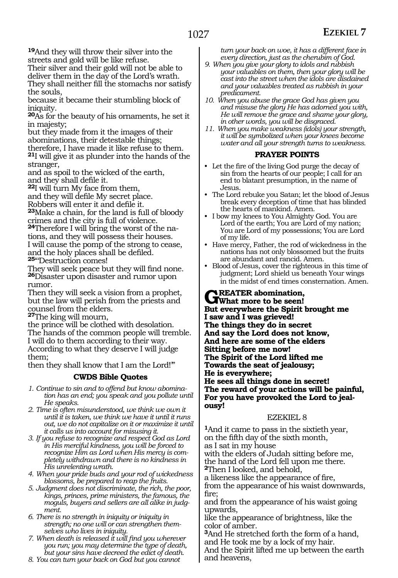**<sup>19</sup>**And they will throw their silver into the streets and gold will be like refuse.

Their silver and their gold will not be able to deliver them in the day of the Lord's wrath. They shall neither fill the stomachs nor satisfy the souls,

because it became their stumbling block of iniquity.

**<sup>20</sup>**As for the beauty of his ornaments, he set it in majesty;

but they made from it the images of their abominations, their detestable things;

therefore, I have made it like refuse to them.

**<sup>21</sup>**I will give it as plunder into the hands of the stranger,

and as spoil to the wicked of the earth, and they shall defile it.

**<sup>22</sup>**I will turn My face from them,

and they will defile My secret place. Robbers will enter it and defile it.

**<sup>23</sup>**Make a chain, for the land is full of bloody crimes and the city is full of violence.

**24**Therefore I will bring the worst of the nations, and they will possess their houses. I will cause the pomp of the strong to cease, and the holy places shall be defiled. **<sup>25</sup>**"'Destruction comes!

They will seek peace but they will find none. **<sup>26</sup>**Disaster upon disaster and rumor upon rumor.

Then they will seek a vision from a prophet, but the law will perish from the priests and counsel from the elders.

**<sup>27</sup>**The king will mourn,

the prince will be clothed with desolation. The hands of the common people will tremble. I will do to them according to their way. According to what they deserve I will judge them;

then they shall know that I am the Lord!'"

#### **CWDS Bible Quotes**

*1. Continue to sin and to offend but know abomination has an end; you speak and you pollute until He speaks.*

- *2. Time is often misunderstood, we think we own it until it is taken, we think we have it until it runs out, we do not capitalize on it or maximize it until it calls us into account for misusing it.*
- *3. If you refuse to recognize and respect God as Lord in His merciful kindness, you will be forced to recognize Him as Lord when His mercy is completely withdrawn and there is no kindness in His unrelenting wrath.*

*4. When your pride buds and your rod of wickedness blossoms, be prepared to reap the fruits.*

*5. Judgment does not discriminate, the rich, the poor, kings, princes, prime ministers, the famous, the moguls, buyers and sellers are all alike in judgment.*

*6. There is no strength in iniquity or iniquity in strength; no one will or can strengthen themselves who lives in iniquity.*

*7. When death is released it will find you wherever you run; you may determine the type of death, but your sins have decreed the edict of death.*

*8. You can turn your back on God but you cannot* 

*turn your back on woe, it has a different face in every direction, just as the cherubim of God.*

- *9. When you give your glory to idols and rubbish your valuables on them, then your glory will be cast into the street when the idols are disdained and your valuables treated as rubbish in your predicament.*
- *10. When you abuse the grace God has given you and misuse the glory He has adorned you with, He will remove the grace and shame your glory, in other words, you will be disgraced.*
- *11. When you make weakness (idols) your strength, it will be symbolized when your knees become water and all your strength turns to weakness.*

#### **PRAYER POINTS**

- Let the fire of the living God purge the decay of sin from the hearts of our people; I call for an end to blatant presumption, in the name of Jesus.
- The Lord rebuke you Satan; let the blood of Jesus break every deception of time that has blinded the hearts of mankind. Amen.
- I bow my knees to You Almighty God. You are Lord of the earth; You are Lord of my nation; You are Lord of my possessions; You are Lord of my life.
- Have mercy, Father, the rod of wickedness in the nations has not only blossomed but the fruits are abundant and rancid. Amen.
- Blood of Jesus, cover the righteous in this time of judgment; Lord shield us beneath Your wings in the midst of end times consternation. Amen.

**GREATER** abomination,<br> **What more to be seen! But everywhere the Spirit brought me I saw and I was grieved! The things they do in secret And say the Lord does not know, And here are some of the elders Sitting before me now! The Spirit of the Lord lifted me Towards the seat of jealousy; He is everywhere; He sees all things done in secret! The reward of your actions will be painful, For you have provoked the Lord to jeal- ousy!**

#### EZEKIEL 8

**<sup>1</sup>**And it came to pass in the sixtieth year, on the fifth day of the sixth month, as I sat in my house with the elders of Judah sitting before me, the hand of the Lord fell upon me there. **<sup>2</sup>**Then I looked, and behold,

a likeness like the appearance of fire, from the appearance of his waist downwards, fire;

and from the appearance of his waist going upwards,

like the appearance of brightness, like the color of amber.

**<sup>3</sup>**And He stretched forth the form of a hand, and He took me by a lock of my hair.

And the Spirit lifted me up between the earth and heavens,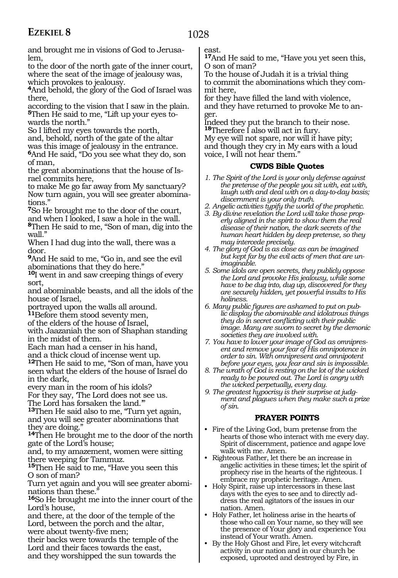### 1028

and brought me in visions of God to Jerusalem,

to the door of the north gate of the inner court, where the seat of the image of jealousy was, which provokes to jealousy.

**<sup>4</sup>**And behold, the glory of the God of Israel was there,

according to the vision that I saw in the plain. **5**Then He said to me, "Lift up your eyes towards the north."

So I lifted my eyes towards the north, and, behold, north of the gate of the altar was this image of jealousy in the entrance.

**<sup>6</sup>**And He said, "Do you see what they do, son of man,

the great abominations that the house of Israel commits here,

to make Me go far away from My sanctuary? Now turn again, you will see greater abominations."

**<sup>7</sup>**So He brought me to the door of the court, and when I looked, I saw a hole in the wall.

**<sup>8</sup>**Then He said to me, "Son of man, dig into the wall."

When I had dug into the wall, there was a door.

**<sup>9</sup>**And He said to me, "Go in, and see the evil abominations that they do here."

**<sup>10</sup>**I went in and saw creeping things of every sort,

and abominable beasts, and all the idols of the house of Israel,

portrayed upon the walls all around.

**<sup>11</sup>**Before them stood seventy men,

of the elders of the house of Israel,

with Jaazaniah the son of Shaphan standing in the midst of them.

Each man had a censer in his hand,

and a thick cloud of incense went up.

**<sup>12</sup>**Then He said to me, "Son of man, have you seen what the elders of the house of Israel do in the dark,

every man in the room of his idols?

For they say, 'The Lord does not see us. The Lord has forsaken the land.'"

**<sup>13</sup>**Then He said also to me, "Turn yet again, and you will see greater abominations that they are doing."

**<sup>14</sup>**Then He brought me to the door of the north gate of the Lord's house;

and, to my amazement, women were sitting there weeping for Tammuz.

**<sup>15</sup>**Then He said to me, "Have you seen this O son of man?

Turn yet again and you will see greater abominations than these."

**<sup>16</sup>**So He brought me into the inner court of the Lord's house,

and there, at the door of the temple of the Lord, between the porch and the altar,

were about twenty-five men;

their backs were towards the temple of the Lord and their faces towards the east,

and they worshipped the sun towards the

east.

**<sup>17</sup>**And He said to me, "Have you yet seen this, O son of man?

To the house of Judah it is a trivial thing to commit the abominations which they commit here,

for they have filled the land with violence, and they have returned to provoke Me to anger.

Indeed they put the branch to their nose. **<sup>18</sup>**Therefore I also will act in fury.

My eye will not spare, nor will it have pity; and though they cry in My ears with a loud voice, I will not hear them."

#### **CWDS Bible Quotes**

- *1. The Spirit of the Lord is your only defense against the pretense of the people you sit with, eat with, laugh with and deal with on a day-to-day basis; discernment is your only truth.*
- *2. Angelic activities typify the world of the prophetic.*
- *3. By divine revelation the Lord will take those properly aligned in the spirit to show them the real disease of their nation, the dark secrets of the human heart hidden by deep pretense, so they may intercede precisely.*
- *4. The glory of God is as close as can be imagined but kept far by the evil acts of men that are unimaginable.*
- *5. Some idols are open secrets, they publicly oppose the Lord and provoke His jealousy, while some have to be dug into, dug up, discovered for they are securely hidden, yet powerful insults to His holiness.*
- *6. Many public figures are ashamed to put on public display the abominable and idolatrous things they do in secret conflicting with their public image. Many are sworn to secret by the demonic societies they are involved with.*

*7. You have to lower your image of God as omnipresent and remove your fear of His omnipotence in order to sin. With omnipresent and omnipotent before your eyes, you fear and sin is impossible.*

- *8. The wrath of God is resting on the lot of the wicked ready to be poured out. The Lord is angry with the wicked perpetually, every day.*
- *9. The greatest hypocrisy is their surprise at judgment and plagues when they make such a prize of sin.*

#### **PRAYER POINTS**

- Fire of the Living God, burn pretense from the hearts of those who interact with me every day. Spirit of discernment, patience and agape love walk with me. Amen.
- Righteous Father, let there be an increase in angelic activities in these times; let the spirit of prophecy rise in the hearts of the righteous. I embrace my prophetic heritage. Amen.
- Holy Spirit, raise up intercessors in these last days with the eyes to see and to directly address the real agitators of the issues in our nation. Amen.
- Holy Father, let holiness arise in the hearts of those who call on Your name, so they will see the presence of Your glory and experience You instead of Your wrath. Amen.
- By the Holy Ghost and Fire, let every witchcraft activity in our nation and in our church be exposed, uprooted and destroyed by Fire, in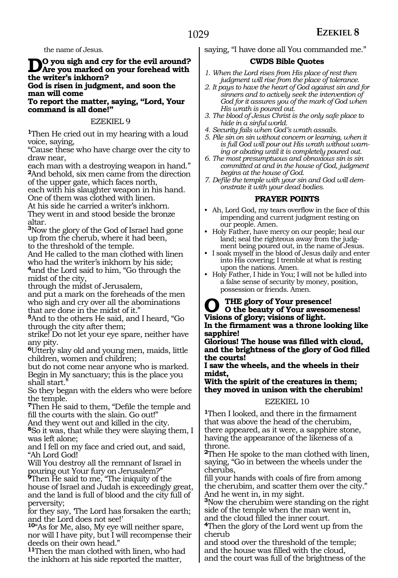the name of Jesus.

### **Do you sigh and cry for the evil around? Are you marked on your forehead with the writer's inkhorn?**

**God is risen in judgment, and soon the man will come**

**To report the matter, saying, "Lord, Your command is all done!"** 

#### EZEKIEL 9

**<sup>1</sup>**Then He cried out in my hearing with a loud voice, saying,

"Cause these who have charge over the city to draw near,

each man with a destroying weapon in hand." **<sup>2</sup>**And behold, six men came from the direction of the upper gate, which faces north,

each with his slaughter weapon in his hand. One of them was clothed with linen.

At his side he carried a writer's inkhorn. They went in and stood beside the bronze altar.

**<sup>3</sup>**Now the glory of the God of Israel had gone up from the cherub, where it had been, to the threshold of the temple.

And He called to the man clothed with linen who had the writer's inkhorn by his side;

**<sup>4</sup>**and the Lord said to him, "Go through the midst of the city,

through the midst of Jerusalem,

and put a mark on the foreheads of the men who sigh and cry over all the abominations that are done in the midst of it."

**<sup>5</sup>**And to the others He said, and I heard, "Go through the city after them;

strike! Do not let your eye spare, neither have any pity.

**<sup>6</sup>**Utterly slay old and young men, maids, little children, women and children;

but do not come near anyone who is marked. Begin in My sanctuary; this is the place you shall start.

So they began with the elders who were before the temple.

**<sup>7</sup>**Then He said to them, "Defile the temple and fill the courts with the slain. Go out!"

And they went out and killed in the city.

**<sup>8</sup>**So it was, that while they were slaying them, I was left alone;

and I fell on my face and cried out, and said, "Ah Lord God!

Will You destroy all the remnant of Israel in pouring out Your fury on Jerusalem?"

**<sup>9</sup>**Then He said to me, "The iniquity of the house of Israel and Judah is exceedingly great, and the land is full of blood and the city full of perversity;

for they say, 'The Lord has forsaken the earth; and the Lord does not see!'

**<sup>10</sup>**"As for Me, also, My eye will neither spare, nor will I have pity, but I will recompense their deeds on their own head."

**<sup>11</sup>**Then the man clothed with linen, who had the inkhorn at his side reported the matter,

saying, "I have done all You commanded me."

#### **CWDS Bible Quotes**

- *1. When the Lord rises from His place of rest then judgment will rise from the place of tolerance.*
- *2. It pays to have the heart of God against sin and for sinners and to actively seek the intervention of God for it assures you of the mark of God when His wrath is poured out.*
- *3. The blood of Jesus Christ is the only safe place to hide in a sinful world.*
- *4. Security fails when God's wrath assails.*
- *5. Pile sin on sin without concern or learning, when it is full God will pour out His wrath without warning or abating until it is completely poured out.*
- *6. The most presumptuous and obnoxious sin is sin committed at and in the house of God, judgment begins at the house of God.*
- *7. Defile the temple with your sin and God will demonstrate it with your dead bodies.*

#### **PRAYER POINTS**

- Ah, Lord God, my tears overflow in the face of this impending and current judgment resting on our people. Amen.
- Holy Father, have mercy on our people; heal our land; seal the righteous away from the judgment being poured out, in the name of Jesus.
- I soak myself in the blood of Jesus daily and enter into His covering; I tremble at what is resting upon the nations. Amen.
- Holy Father, I hide in You; I will not be lulled into a false sense of security by money, position, possession or friends. Amen.

# **O the glory of Your presence! O the beauty of Your awesomeness!**

**Visions of glory; visions of light.**

**In the firmament was a throne looking like sapphire!** 

**Glorious! The house was filled with cloud, and the brightness of the glory of God filled the courts!**

**I saw the wheels, and the wheels in their midst,**

**With the spirit of the creatures in them; they moved in unison with the cherubim!** 

#### EZEKIEL 10

**<sup>1</sup>**Then I looked, and there in the firmament that was above the head of the cherubim, there appeared, as it were, a sapphire stone, having the appearance of the likeness of a throne.

**<sup>2</sup>**Then He spoke to the man clothed with linen, saying, "Go in between the wheels under the cherubs,

fill your hands with coals of fire from among the cherubim, and scatter them over the city." And he went in, in my sight.

**<sup>3</sup>**Now the cherubim were standing on the right side of the temple when the man went in,

and the cloud filled the inner court. **<sup>4</sup>**Then the glory of the Lord went up from the cherub

and stood over the threshold of the temple; and the house was filled with the cloud, and the court was full of the brightness of the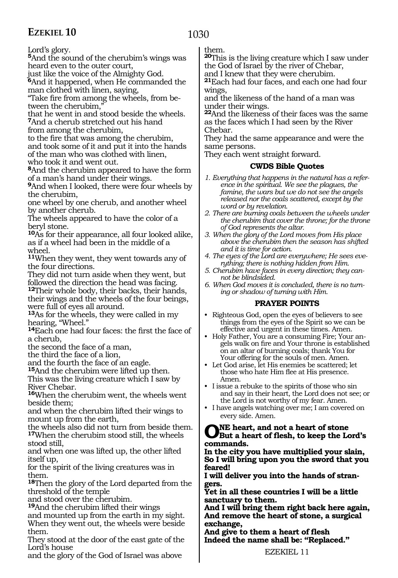1030

Lord's glory.

**<sup>5</sup>**And the sound of the cherubim's wings was heard even to the outer court,

just like the voice of the Almighty God.

**<sup>6</sup>**And it happened, when He commanded the man clothed with linen, saying,

"Take fire from among the wheels, from between the cherubim.

that he went in and stood beside the wheels. **<sup>7</sup>**And a cherub stretched out his hand from among the cherubim,

to the fire that was among the cherubim, and took some of it and put it into the hands of the man who was clothed with linen, who took it and went out.

**<sup>8</sup>**And the cherubim appeared to have the form of a man's hand under their wings.

**<sup>9</sup>**And when I looked, there were four wheels by the cherubim,

one wheel by one cherub, and another wheel by another cherub.

The wheels appeared to have the color of a beryl stone.

**<sup>10</sup>**As for their appearance, all four looked alike, as if a wheel had been in the middle of a wheel.

**<sup>11</sup>**When they went, they went towards any of the four directions.

They did not turn aside when they went, but followed the direction the head was facing.

**<sup>12</sup>**Their whole body, their backs, their hands, their wings and the wheels of the four beings, were full of eyes all around.

**<sup>13</sup>**As for the wheels, they were called in my hearing, "Wheel."

**<sup>14</sup>**Each one had four faces: the first the face of a cherub,

the second the face of a man,

the third the face of a lion,

and the fourth the face of an eagle.

**<sup>15</sup>**And the cherubim were lifted up then.

This was the living creature which I saw by River Chebar.

**<sup>16</sup>**When the cherubim went, the wheels went beside them;

and when the cherubim lifted their wings to mount up from the earth,

the wheels also did not turn from beside them. **<sup>17</sup>**When the cherubim stood still, the wheels stood still,

and when one was lifted up, the other lifted itself up,

for the spirit of the living creatures was in them.

**<sup>18</sup>**Then the glory of the Lord departed from the threshold of the temple

and stood over the cherubim.

**<sup>19</sup>**And the cherubim lifted their wings

and mounted up from the earth in my sight. When they went out, the wheels were beside them.

They stood at the door of the east gate of the Lord's house

and the glory of the God of Israel was above

them.

**<sup>20</sup>**This is the living creature which I saw under the God of Israel by the river of Chebar,

and I knew that they were cherubim.

**<sup>21</sup>**Each had four faces, and each one had four wings,

and the likeness of the hand of a man was under their wings.

**<sup>22</sup>**And the likeness of their faces was the same as the faces which I had seen by the River Chebar.

They had the same appearance and were the same persons.

They each went straight forward.

#### **CWDS Bible Quotes**

- *1. Everything that happens in the natural has a reference in the spiritual. We see the plagues, the famine, the wars but we do not see the angels released nor the coals scattered, except by the word or by revelation.*
- *2. There are burning coals between the wheels under the cherubim that cover the throne; for the throne of God represents the altar.*
- *3. When the glory of the Lord moves from His place above the cherubim then the season has shifted and it is time for action.*
- *4. The eyes of the Lord are everywhere; He sees everything; there is nothing hidden from Him.*
- *5. Cherubim have faces in every direction; they cannot be blindsided.*
- *6. When God moves it is concluded, there is no turning or shadow of turning with Him.*

#### **PRAYER POINTS**

- Righteous God, open the eyes of believers to see things from the eyes of the Spirit so we can be effective and urgent in these times. Amen.
- Holy Father, You are a consuming Fire; Your angels walk on fire and Your throne is established on an altar of burning coals; thank You for Your offering for the souls of men. Amen.
- Let God arise, let His enemies be scattered; let those who hate Him flee at His presence. Amen.
- I issue a rebuke to the spirits of those who sin and say in their heart, the Lord does not see; or the Lord is not worthy of my fear. Amen.
- I have angels watching over me; I am covered on every side. Amen.

### ONE heart, and not a heart of stone<br> **OBut a heart of flesh, to keep the Lord's commands.**

**In the city you have multiplied your slain, So I will bring upon you the sword that you feared!**

**I will deliver you into the hands of stran- gers.**

**Yet in all these countries I will be a little sanctuary to them.**

**And I will bring them right back here again, And remove the heart of stone, a surgical exchange,**

**And give to them a heart of flesh Indeed the name shall be: "Replaced."**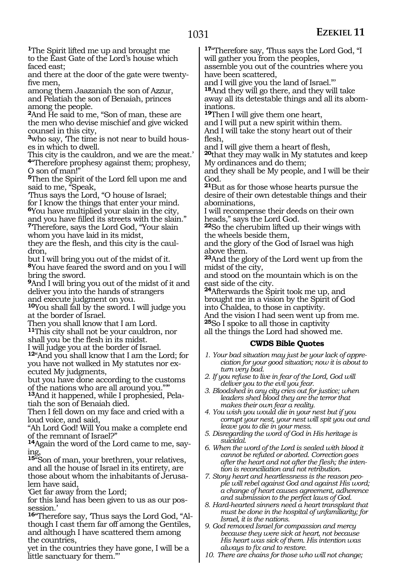**<sup>1</sup>**The Spirit lifted me up and brought me to the East Gate of the Lord's house which faced east;

and there at the door of the gate were twentyfive men,

among them Jaazaniah the son of Azzur, and Pelatiah the son of Benaiah, princes among the people.

**<sup>2</sup>**And He said to me, "Son of man, these are the men who devise mischief and give wicked counsel in this city,

**<sup>3</sup>**who say, 'The time is not near to build hous- es in which to dwell.

This city is the cauldron, and we are the meat.' **<sup>4</sup>**"Therefore prophesy against them; prophesy, O son of man!"

**<sup>5</sup>**Then the Spirit of the Lord fell upon me and said to me, "Speak,

'Thus says the Lord, "O house of Israel; for I know the things that enter your mind.

**<sup>6</sup>**You have multiplied your slain in the city, and you have filled its streets with the slain." **<sup>7</sup>**'Therefore, says the Lord God, "Your slain

whom you have laid in its midst,

they are the flesh, and this city is the caul- dron,

but I will bring you out of the midst of it. **<sup>8</sup>**You have feared the sword and on you I will bring the sword.

**<sup>9</sup>**And I will bring you out of the midst of it and deliver you into the hands of strangers and execute judgment on you.

**<sup>10</sup>**You shall fall by the sword. I will judge you at the border of Israel.

Then you shall know that I am Lord. **<sup>11</sup>**This city shall not be your cauldron, nor shall you be the flesh in its midst. I will judge you at the border of Israel.

**<sup>12</sup>**"And you shall know that I am the Lord; for you have not walked in My statutes nor executed My judgments,

but you have done according to the customs of the nations who are all around you."'"

**13**And it happened, while I prophesied, Pelatiah the son of Benaiah died.

Then I fell down on my face and cried with a loud voice, and said,

"Ah Lord God! Will You make a complete end of the remnant of Israel?"

**14**Again the word of the Lord came to me, saying,

**<sup>15</sup>**"Son of man, your brethren, your relatives, and all the house of Israel in its entirety, are those about whom the inhabitants of Jerusalem have said,

'Get far away from the Lord;

for this land has been given to us as our possession.'

16<sup>"</sup>Therefore say, Thus says the Lord God, "Although I cast them far off among the Gentiles, and although I have scattered them among the countries,

yet in the countries they have gone, I will be a little sanctuary for them."'

**<sup>17</sup>**"Therefore say, 'Thus says the Lord God, "I will gather you from the peoples,

assemble you out of the countries where you have been scattered,

and I will give you the land of Israel."' **<sup>18</sup>**And they will go there, and they will take away all its detestable things and all its abom- inations.

**<sup>19</sup>**Then I will give them one heart,

and I will put a new spirit within them. And I will take the stony heart out of their flesh,

and I will give them a heart of flesh,

**<sup>20</sup>**that they may walk in My statutes and keep My ordinances and do them;

and they shall be My people, and I will be their God.

**<sup>21</sup>**But as for those whose hearts pursue the desire of their own detestable things and their abominations,

I will recompense their deeds on their own heads," says the Lord God.

**<sup>22</sup>**So the cherubim lifted up their wings with the wheels beside them,

and the glory of the God of Israel was high above them.

**<sup>23</sup>**And the glory of the Lord went up from the midst of the city,

and stood on the mountain which is on the east side of the city.

**<sup>24</sup>**Afterwards the Spirit took me up, and brought me in a vision by the Spirit of God into Chaldea, to those in captivity.

And the vision I had seen went up from me. **<sup>25</sup>**So I spoke to all those in captivity

all the things the Lord had showed me.

#### **CWDS Bible Quotes**

- *1. Your bad situation may just be your lack of appreciation for your good situation; now it is about to turn very bad.*
- *2. If you refuse to live in fear of the Lord, God will deliver you to the evil you fear.*
- *3. Bloodshed in any city cries out for justice; when leaders shed blood they are the terror that makes their own fear a reality.*

*4. You wish you would die in your nest but if you corrupt your nest, your nest will spit you out and leave you to die in your mess.*

- *5. Disregarding the word of God in His heritage is suicidal.*
- *6. When the word of the Lord is sealed with blood it cannot be refuted or aborted. Correction goes after the heart and not after the flesh; the intention is reconciliation and not retribution.*

*7. Stony heart and heartlessness is the reason people will rebel against God and against His word; a change of heart causes agreement, adherence and submission to the perfect laws of God.*

*8. Hard-hearted sinners need a heart transplant that must be done in the hospital of unfamiliarity; for Israel, it is the nations.*

*9. God removed Israel for compassion and mercy because they were sick at heart, not because His heart was sick of them. His intention was always to fix and to restore.*

*10. There are chains for those who will not change;*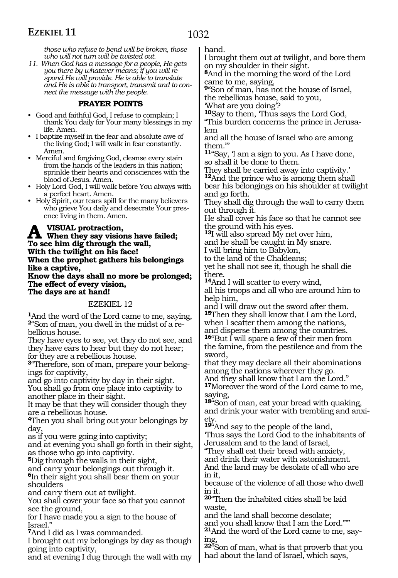1032

*those who refuse to bend will be broken, those who will not turn will be twisted out.*

*11. When God has a message for a people, He gets you there by whatever means; if you will respond He will provide. He is able to translate and He is able to transport, transmit and to connect the message with the people.*

#### **PRAYER POINTS**

• Good and faithful God, I refuse to complain; I thank You daily for Your many blessings in my life. Amen.

• I baptize myself in the fear and absolute awe of the living God; I will walk in fear constantly. Amen.

• Merciful and forgiving God, cleanse every stain from the hands of the leaders in this nation; sprinkle their hearts and consciences with the blood of Jesus. Amen.

• Holy Lord God, I will walk before You always with a perfect heart. Amen.

• Holy Spirit, our tears spill for the many believers who grieve You daily and desecrate Your presence living in them. Amen.

#### **A** VISUAL protraction,<br>To see him dig through the wall **To see him dig through the wall, With the twilight on his face! When the prophet gathers his belongings like a captive,**

**Know the days shall no more be prolonged; The effect of every vision, The days are at hand!**

EZEKIEL 12

**<sup>1</sup>**And the word of the Lord came to me, saying, **2**"Son of man, you dwell in the midst of a rebellious house.

They have eyes to see, yet they do not see, and they have ears to hear but they do not hear; for they are a rebellious house.

**3**"Therefore, son of man, prepare your belongings for captivity,

and go into captivity by day in their sight. You shall go from one place into captivity to another place in their sight.

It may be that they will consider though they are a rebellious house.

**<sup>4</sup>**Then you shall bring out your belongings by day,

as if you were going into captivity;

and at evening you shall go forth in their sight, as those who go into captivity.

**<sup>5</sup>**Dig through the walls in their sight,

and carry your belongings out through it. **<sup>6</sup>**In their sight you shall bear them on your shoulders

and carry them out at twilight.

You shall cover your face so that you cannot see the ground,

for I have made you a sign to the house of Israel."

**<sup>7</sup>**And I did as I was commanded.

I brought out my belongings by day as though going into captivity,

and at evening I dug through the wall with my

hand.

I brought them out at twilight, and bore them on my shoulder in their sight.

**<sup>8</sup>**And in the morning the word of the Lord came to me, saying,

**<sup>9</sup>**"Son of man, has not the house of Israel, the rebellious house, said to you,

'What are you doing'?

**<sup>10</sup>**Say to them, 'Thus says the Lord God,

"This burden concerns the prince in Jerusalem

and all the house of Israel who are among them."'

**<sup>11</sup>**"Say, 'I am a sign to you. As I have done, so shall it be done to them.

They shall be carried away into captivity.' **<sup>12</sup>**And the prince who is among them shall bear his belongings on his shoulder at twilight and go forth.

They shall dig through the wall to carry them out through it.

He shall cover his face so that he cannot see the ground with his eyes.

**<sup>13</sup>**I will also spread My net over him,

and he shall be caught in My snare.

I will bring him to Babylon,

to the land of the Chaldeans; yet he shall not see it, though he shall die there.

**<sup>14</sup>**And I will scatter to every wind,

all his troops and all who are around him to help him,

and I will draw out the sword after them. **<sup>15</sup>**Then they shall know that I am the Lord, when I scatter them among the nations, and disperse them among the countries.

**<sup>16</sup>**"But I will spare a few of their men from the famine, from the pestilence and from the sword,

that they may declare all their abominations among the nations wherever they go.

And they shall know that I am the Lord." **<sup>17</sup>**Moreover the word of the Lord came to me, saying,

**<sup>18</sup>**"Son of man, eat your bread with quaking, and drink your water with trembling and anxiety.

**<sup>19</sup>**"And say to the people of the land, 'Thus says the Lord God to the inhabitants of Jerusalem and to the land of Israel,

"They shall eat their bread with anxiety, and drink their water with astonishment. And the land may be desolate of all who are in it,

because of the violence of all those who dwell in it.

**<sup>20</sup>**"Then the inhabited cities shall be laid waste,

and the land shall become desolate; and you shall know that I am the Lord."'" **21**And the word of the Lord came to me, saying,

**<sup>22</sup>**"Son of man, what is that proverb that you had about the land of Israel, which says,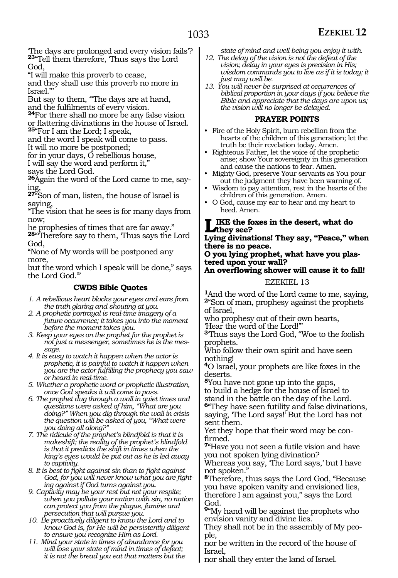'The days are prolonged and every vision fails'? **<sup>23</sup>**"Tell them therefore, 'Thus says the Lord God,

"I will make this proverb to cease,

and they shall use this proverb no more in Israel."'

But say to them, "The days are at hand, and the fulfilments of every vision.

**24**For there shall no more be any false vision.

or flattering divinations in the house of Israel. **<sup>25</sup>**"For I am the Lord; I speak,

and the word I speak will come to pass.

It will no more be postponed;

for in your days, O rebellious house,

I will say the word and perform it,"

says the Lord God.

**26**Again the word of the Lord came to me, saying,

**<sup>27</sup>**"Son of man, listen, the house of Israel is saying,

"The vision that he sees is for many days from now;

he prophesies of times that are far away."

**<sup>28</sup>**"'Therefore say to them, 'Thus says the Lord God,

"None of My words will be postponed any more,

but the word which I speak will be done," says the Lord God.'"

#### **CWDS Bible Quotes**

*1. A rebellious heart blocks your eyes and ears from the truth glaring and shouting at you.* 

*2. A prophetic portrayal is real-time imagery of a future occurrence; it takes you into the moment before the moment takes you.*

*3. Keep your eyes on the prophet for the prophet is not just a messenger, sometimes he is the message.*

*4. It is easy to watch it happen when the actor is prophetic, it is painful to watch it happen when you are the actor fulfilling the prophecy you saw or heard in real-time.*

*5. Whether a prophetic word or prophetic illustration, once God speaks it will come to pass.*

*6. The prophet dug through a wall in quiet times and questions were asked of him, "What are you doing?" When you dig through the wall in crisis the question will be asked of you, "What were you doing all along?"*

*7. The ridicule of the prophet's blindfold is that it is makeshift; the reality of the prophet's blindfold is that it predicts the shift in times when the king's eyes would be put out as he is led away to captivity.*

*8. It is best to fight against sin than to fight against God, for you will never know what you are fighting against if God turns against you.*

*9. Captivity may be your rest but not your respite; when you pollute your nation with sin, no nation can protect you from the plague, famine and persecution that will pursue you.*

*10. Be proactively diligent to know the Lord and to know God is, for He will be persistently diligent to ensure you recognize Him as Lord.*

*11. Mind your state in times of abundance for you will lose your state of mind in times of defeat; it is not the bread you eat that matters but the*  *state of mind and well-being you enjoy it with.*

- *12. The delay of the vision is not the defeat of the vision; delay in your eyes is precision in His; wisdom commands you to live as if it is today; it just may well be.*
- *13. You will never be surprised at occurrences of biblical proportion in your days if you believe the Bible and appreciate that the days are upon us; the vision will no longer be delayed.*

#### **PRAYER POINTS**

- Fire of the Holy Spirit, burn rebellion from the hearts of the children of this generation; let the truth be their revelation today. Amen.
- Righteous Father, let the voice of the prophetic arise; show Your sovereignty in this generation and cause the nations to fear. Amen.
- Mighty God, preserve Your servants as You pour out the judgment they have been warning of.
- Wisdom to pay attention, rest in the hearts of the children of this generation. Amen.
- O God, cause my ear to hear and my heart to heed. Amen.

#### **Like the foxes in the desert, what do they see?**

**Lying divinations! They say, "Peace," when there is no peace.**

**O you lying prophet, what have you plastered upon your wall?**

**An overflowing shower will cause it to fall!**

#### EZEKIEL 13

**<sup>1</sup>**And the word of the Lord came to me, saying, **<sup>2</sup>**"Son of man, prophesy against the prophets of Israel,

who prophesy out of their own hearts, 'Hear the word of the Lord!'"

**<sup>3</sup>**'Thus says the Lord God, "Woe to the foolish prophets.

Who follow their own spirit and have seen nothing!

**<sup>4</sup>**O Israel, your prophets are like foxes in the deserts.

**<sup>5</sup>**You have not gone up into the gaps, to build a hedge for the house of Israel to

stand in the battle on the day of the Lord. **<sup>6</sup>**"They have seen futility and false divinations, saying, 'The Lord says!' But the Lord has not sent them.

Yet they hope that their word may be confirmed.

**<sup>7</sup>**"Have you not seen a futile vision and have you not spoken lying divination?

Whereas you say, 'The Lord says,' but I have not spoken."

**<sup>8</sup>**Therefore, thus says the Lord God, "Because you have spoken vanity and envisioned lies, therefore I am against you," says the Lord God.

**<sup>9</sup>**"My hand will be against the prophets who envision vanity and divine lies.

They shall not be in the assembly of My people,

nor be written in the record of the house of Israel,

nor shall they enter the land of Israel.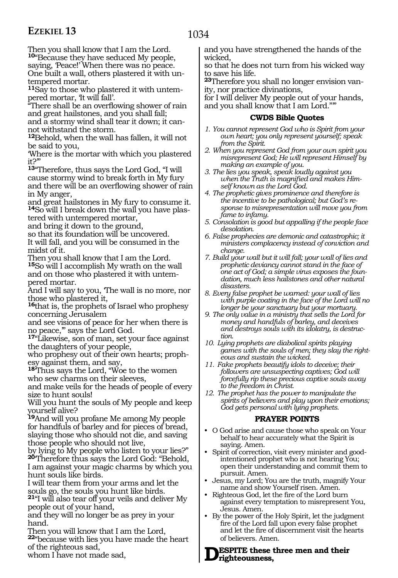Then you shall know that I am the Lord. **<sup>10</sup>**"Because they have seduced My people, saying, 'Peace!' When there was no peace. One built a wall, others plastered it with untempered mortar.

**11**Say to those who plastered it with untempered mortar, 'It will fall'.

"There shall be an overflowing shower of rain and great hailstones, and you shall fall; and a stormy wind shall tear it down; it cannot withstand the storm.

**<sup>12</sup>**Behold, when the wall has fallen, it will not be said to you,

'Where is the mortar with which you plastered it?'"

**<sup>13</sup>**"Therefore, thus says the Lord God, "I will cause stormy wind to break forth in My fury and there will be an overflowing shower of rain in My anger,

and great hailstones in My fury to consume it. **14**So will I break down the wall you have plastered with untempered mortar,

and bring it down to the ground,

so that its foundation will be uncovered. It will fall, and you will be consumed in the midst of it.

Then you shall know that I am the Lord. **<sup>15</sup>**So will I accomplish My wrath on the wall and on those who plastered it with untempered mortar.

And I will say to you, 'The wall is no more, nor those who plastered it,

**<sup>16</sup>**that is, the prophets of Israel who prophesy concerning Jerusalem

and see visions of peace for her when there is no peace,'" says the Lord God.

**<sup>17</sup>**"Likewise, son of man, set your face against the daughters of your people,

who prophesy out of their own hearts; prophesy against them, and say,

**<sup>18</sup>**'Thus says the Lord, "Woe to the women who sew charms on their sleeves,

and make veils for the heads of people of every size to hunt souls!

Will you hunt the souls of My people and keep yourself alive?

**<sup>19</sup>**And will you profane Me among My people for handfuls of barley and for pieces of bread, slaying those who should not die, and saving those people who should not live,

by lying to My people who listen to your lies?" **<sup>20</sup>**'Therefore thus says the Lord God: "Behold, I am against your magic charms by which you hunt souls like birds.

I will tear them from your arms and let the souls go, the souls you hunt like birds.

**<sup>21</sup>**"I will also tear off your veils and deliver My people out of your hand,

and they will no longer be as prey in your hand.

Then you will know that I am the Lord, **<sup>22</sup>**"because with lies you have made the heart of the righteous sad,

whom I have not made sad,

and you have strengthened the hands of the wicked,

so that he does not turn from his wicked way to save his life.

**23**Therefore you shall no longer envision vanity, nor practice divinations,

for I will deliver My people out of your hands, and you shall know that I am Lord."'"

#### **CWDS Bible Quotes**

- *1. You cannot represent God who is Spirit from your own heart; you only represent yourself; speak from the Spirit.*
- *2. When you represent God from your own spirit you misrepresent God; He will represent Himself by making an example of you.*
- *3. The lies you speak, speak loudly against you when the Truth is magnified and makes Himself known as the Lord God.*
- *4. The prophetic gives prominence and therefore is the incentive to be pathological; but God's response to misrepresentation will move you from fame to infamy.*
- *5. Consolation is good but appalling if the people face desolation.*
- *6. False prophecies are demonic and catastrophic; it ministers complacency instead of conviction and change.*
- *7. Build your wall but it will fall; your wall of lies and prophetic deviancy cannot stand in the face of one act of God; a simple virus exposes the foundation, much less hailstones and other natural disasters.*
- *8. Every false prophet be warned: your wall of lies with purple coating in the face of the Lord will no longer be your sanctuary but your mortuary.*
- *9. The only value in a ministry that sells the Lord for money and handfuls of barley, and deceives and destroys souls with its idolatry, is destruction.*
- *10. Lying prophets are diabolical spirits playing games with the souls of men; they slay the righteous and sustain the wicked.*
- *11. Fake prophets beautify idols to deceive; their followers are unsuspecting captives; God will forcefully rip these precious captive souls away to the freedom in Christ.*
- *12. The prophet has the power to manipulate the spirits of believers and play upon their emotions; God gets personal with lying prophets.*

#### **PRAYER POINTS**

- O God arise and cause those who speak on Your behalf to hear accurately what the Spirit is saying. Amen.
- Spirit of correction, visit every minister and goodintentioned prophet who is not hearing You; open their understanding and commit them to pursuit. Amen.
- Jesus, my Lord; You are the truth, magnify Your name and show Yourself risen. Amen.
- Righteous God, let the fire of the Lord burn against every temptation to misrepresent You, Jesus. Amen.
- By the power of the Holy Spirit, let the judgment fire of the Lord fall upon every false prophet and let the fire of discernment visit the hearts of believers. Amen.

#### **ESPITE** these three men and their **righteousness,**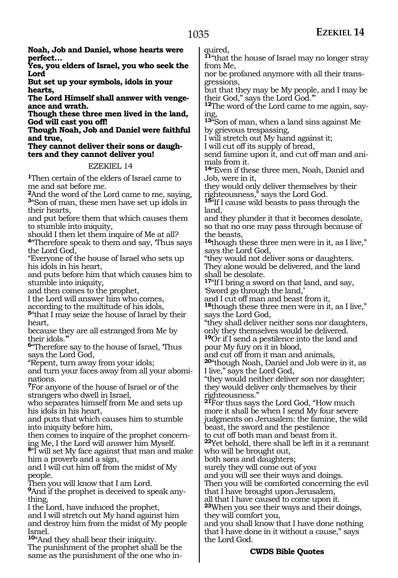**Noah, Job and Daniel, whose hearts were perfect…**

**Yes, you elders of Israel, you who seek the Lord**

**But set up your symbols, idols in your hearts,**

**The Lord Himself shall answer with vengeance and wrath.**

**Though these three men lived in the land, God will cast you off!**

**Though Noah, Job and Daniel were faithful and true,**

**They cannot deliver their sons or daughters and they cannot deliver you!**

#### EZEKIEL 14

**<sup>1</sup>**Then certain of the elders of Israel came to me and sat before me.

**<sup>2</sup>**And the word of the Lord came to me, saying, **<sup>3</sup>**"Son of man, these men have set up idols in their hearts,

and put before them that which causes them to stumble into iniquity,

should I then let them inquire of Me at all?

**<sup>4</sup>**"Therefore speak to them and say, 'Thus says the Lord God,

"Everyone of the house of Israel who sets up his idols in his heart,

and puts before him that which causes him to stumble into iniquity,

and then comes to the prophet,

I the Lord will answer him who comes,

according to the multitude of his idols,

**<sup>5</sup>**"that I may seize the house of Israel by their heart,

because they are all estranged from Me by their idols.'

**<sup>6</sup>**"Therefore say to the house of Israel, 'Thus says the Lord God,

"Repent, turn away from your idols;

and turn your faces away from all your abominations.

**<sup>7</sup>**For anyone of the house of Israel or of the strangers who dwell in Israel,

who separates himself from Me and sets up his idols in his heart,

and puts that which causes him to stumble into iniquity before him,

then comes to inquire of the prophet concerning Me, I the Lord will answer him Myself.

**<sup>8</sup>**"I will set My face against that man and make him a proverb and a sign,

and I will cut him off from the midst of My people.

Then you will know that I am Lord.

**9**And if the prophet is deceived to speak anything,

I the Lord, have induced the prophet, and I will stretch out My hand against him and destroy him from the midst of My people Israel.

**<sup>10</sup>**"And they shall bear their iniquity. The punishment of the prophet shall be the same as the punishment of the one who inquired,

**<sup>11</sup>**"that the house of Israel may no longer stray from Me,

nor be profaned anymore with all their transgressions,

but that they may be My people, and I may be their God," says the Lord God.'"

**12**The word of the Lord came to me again, saying,

**<sup>13</sup>**"Son of man, when a land sins against Me by grievous trespassing,

I will stretch out My hand against it;

I will cut off its supply of bread,

send famine upon it, and cut off man and ani- mals from it.

**<sup>14</sup>**"Even if these three men, Noah, Daniel and Job, were in it,

they would only deliver themselves by their righteousness," says the Lord God.

**<sup>15</sup>**"If I cause wild beasts to pass through the land,

and they plunder it that it becomes desolate, so that no one may pass through because of the beasts,

**<sup>16</sup>**though these three men were in it, as I live," says the Lord God,

"they would not deliver sons or daughters. They alone would be delivered, and the land shall be desolate.

**<sup>17</sup>**"If I bring a sword on that land, and say, 'Sword go through the land,'

and I cut off man and beast from it,

**<sup>18</sup>**though these three men were in it, as I live," says the Lord God,

"they shall deliver neither sons nor daughters, only they themselves would be delivered.

**<sup>19</sup>**Or if I send a pestilence into the land and pour My fury on it in blood,

and cut off from it man and animals,

**<sup>20</sup>**"though Noah, Daniel and Job were in it, as I live," says the Lord God,

"they would neither deliver son nor daughter; they would deliver only themselves by their righteousness."

**<sup>21</sup>**For thus says the Lord God, "How much more it shall be when I send My four severe judgments on Jerusalem: the famine, the wild beast, the sword and the pestilence

to cut off both man and beast from it.

**<sup>22</sup>**Yet behold, there shall be left in it a remnant who will be brought out,

both sons and daughters;

surely they will come out of you

and you will see their ways and doings.

Then you will be comforted concerning the evil that I have brought upon Jerusalem,

all that I have caused to come upon it.

**<sup>23</sup>**When you see their ways and their doings, they will comfort you,

and you shall know that I have done nothing that I have done in it without a cause," says the Lord God.

#### **CWDS Bible Quotes**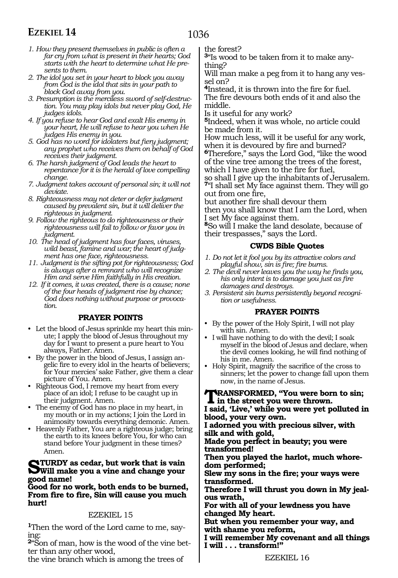- 1036
- *1. How they present themselves in public is often a far cry from what is present in their hearts; God starts with the heart to determine what He presents to them.*
- *2. The idol you set in your heart to block you away from God is the idol that sits in your path to block God away from you.*
- *3. Presumption is the merciless sword of self-destruction. You may play idols but never play God, He judges idols.*
- *4. If you refuse to hear God and exalt His enemy in your heart, He will refuse to hear you when He judges His enemy in you.*
- *5. God has no word for idolaters but fiery judgment; any prophet who receives them on behalf of God receives their judgment.*
- *6. The harsh judgment of God leads the heart to repentance for it is the herald of love compelling change.*
- *7. Judgment takes account of personal sin; it will not deviate.*
- *8. Righteousness may not deter or defer judgment caused by prevalent sin, but it will deliver the righteous in judgment.*
- *9. Follow the righteous to do righteousness or their righteousness will fail to follow or favor you in judgment.*
- *10. The head of judgment has four faces, viruses, wild beast, famine and war; the heart of judgment has one face, righteousness.*
- *11. Judgment is the sifting pot for righteousness; God is always after a remnant who will recognize Him and serve Him faithfully in His creation.*
- *12. If it comes, it was created, there is a cause; none of the four heads of judgment rise by chance; God does nothing without purpose or provocation.*

#### **PRAYER POINTS**

- Let the blood of Jesus sprinkle my heart this minute; I apply the blood of Jesus throughout my day for I want to present a pure heart to You always, Father. Amen.
- By the power in the blood of Jesus, I assign angelic fire to every idol in the hearts of believers; for Your mercies' sake Father, give them a clear picture of You. Amen.
- Righteous God, I remove my heart from every place of an idol; I refuse to be caught up in their judgment. Amen.
- The enemy of God has no place in my heart, in my mouth or in my actions; I join the Lord in animosity towards everything demonic. Amen.
- Heavenly Father, You are a righteous judge; bring the earth to its knees before You, for who can stand before Your judgment in these times? Amen.

### **STURDY** as cedar, but work that is vain<br>Will make you a vine and change your **good name!**

**Good for no work, both ends to be burned, From fire to fire, Sin will cause you much hurt!**

#### EZEKIEL 15

**1**Then the word of the Lord came to me, saying:

**2**"Son of man, how is the wood of the vine better than any other wood,

the vine branch which is among the trees of

the forest?

**3**"Is wood to be taken from it to make anything?

Will man make a peg from it to hang any ves- sel on?

**<sup>4</sup>**Instead, it is thrown into the fire for fuel. The fire devours both ends of it and also the middle.

Is it useful for any work?

**<sup>5</sup>**Indeed, when it was whole, no article could be made from it.

How much less, will it be useful for any work, when it is devoured by fire and burned?

**<sup>6</sup>**Therefore," says the Lord God, "like the wood of the vine tree among the trees of the forest, which I have given to the fire for fuel,

so shall I give up the inhabitants of Jerusalem. **<sup>7</sup>**"I shall set My face against them. They will go out from one fire,

but another fire shall devour them

then you shall know that I am the Lord, when I set My face against them.

**<sup>8</sup>**So will I make the land desolate, because of their trespasses," says the Lord.

#### **CWDS Bible Quotes**

- *1. Do not let it fool you by its attractive colors and playful show, sin is fire; fire burns.*
- *2. The devil never leaves you the way he finds you, his only intent is to damage you just as fire damages and destroys.*
- *3. Persistent sin burns persistently beyond recognition or usefulness.*

#### **PRAYER POINTS**

- By the power of the Holy Spirit, I will not play with sin. Amen.
- I will have nothing to do with the devil; I soak myself in the blood of Jesus and declare, when the devil comes looking, he will find nothing of his in me. Amen.
- Holy Spirit, magnify the sacrifice of the cross to sinners; let the power to change fall upon them now, in the name of Jesus.

#### **Transformed, "You were born to sin; in the street you were thrown.**

**I said, 'Live,' while you were yet polluted in blood, your very own.** 

**I adorned you with precious silver, with silk and with gold,** 

**Made you perfect in beauty; you were transformed!** 

**Then you played the harlot, much whore- dom performed;** 

**Slew my sons in the fire; your ways were transformed.** 

**Therefore I will thrust you down in My jeal- ous wrath,** 

**For with all of your lewdness you have changed My heart.** 

**But when you remember your way, and with shame you reform,** 

**I will remember My covenant and all things I will . . . transform!"**

EZEKIEL 16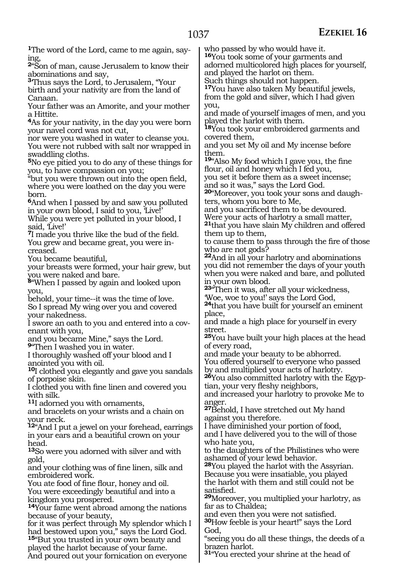ing,

born.

you,

head.

gold,

**1**The word of the Lord, came to me again, say-**<sup>2</sup>**"Son of man, cause Jerusalem to know their abominations and say, **<sup>3</sup>**'Thus says the Lord, to Jerusalem, "Your birth and your nativity are from the land of Canaan. Your father was an Amorite, and your mother a Hittite. **<sup>4</sup>**As for your nativity, in the day you were born your navel cord was not cut, nor were you washed in water to cleanse you. You were not rubbed with salt nor wrapped in swaddling cloths. **<sup>5</sup>**No eye pitied you to do any of these things for you, to have compassion on you; "but you were thrown out into the open field, where you were loathed on the day you were **<sup>6</sup>**And when I passed by and saw you polluted in your own blood, I said to you, 'Live!' While you were yet polluted in your blood, I said, Live!' **<sup>7</sup>**I made you thrive like the bud of the field. You grew and became great, you were increased. You became beautiful, your breasts were formed, your hair grew, but you were naked and bare. **<sup>8</sup>**"When I passed by again and looked upon behold, your time--it was the time of love. So I spread My wing over you and covered your nakedness. I swore an oath to you and entered into a covenant with you, and you became Mine," says the Lord. **<sup>9</sup>**"Then I washed you in water. I thoroughly washed off your blood and I anointed you with oil. **<sup>10</sup>**I clothed you elegantly and gave you sandals of porpoise skin. I clothed you with fine linen and covered you with silk. **<sup>11</sup>**I adorned you with ornaments, and bracelets on your wrists and a chain on your neck. **<sup>12</sup>**"And I put a jewel on your forehead, earrings in your ears and a beautiful crown on your **<sup>13</sup>**So were you adorned with silver and with and your clothing was of fine linen, silk and embroidered work. You ate food of fine flour, honey and oil. You were exceedingly beautiful and into a kingdom you prospered. **<sup>14</sup>**Your fame went abroad among the nations because of your beauty, for it was perfect through My splendor which I had bestowed upon you," says the Lord God. **<sup>15</sup>**"But you trusted in your own beauty and played the harlot because of your fame. And poured out your fornication on everyone who passed by who would have it. **<sup>16</sup>**You took some of your garments and adorned multicolored high places for yourself, and played the harlot on them. Such things should not happen. **<sup>17</sup>**You have also taken My beautiful jewels, from the gold and silver, which I had given you, and made of yourself images of men, and you played the harlot with them. **<sup>18</sup>**You took your embroidered garments and covered them, and you set My oil and My incense before them. **<sup>19</sup>**"Also My food which I gave you, the fine flour, oil and honey which I fed you, you set it before them as a sweet incense; and so it was," says the Lord God. **20**"Moreover, you took your sons and daughters, whom you bore to Me, and you sacrificed them to be devoured. Were your acts of harlotry a small matter, **<sup>21</sup>**that you have slain My children and offered them up to them, to cause them to pass through the fire of those who are not gods? **<sup>22</sup>**And in all your harlotry and abominations you did not remember the days of your youth when you were naked and bare, and polluted in your own blood. **<sup>23</sup>**"Then it was, after all your wickedness, 'Woe, woe to you!' says the Lord God, **<sup>24</sup>**that you have built for yourself an eminent place, and made a high place for yourself in every street. **<sup>25</sup>**You have built your high places at the head of every road, and made your beauty to be abhorred. You offered yourself to everyone who passed by and multiplied your acts of harlotry. **<sup>26</sup>**You also committed harlotry with the Egyp- tian, your very fleshy neighbors, and increased your harlotry to provoke Me to anger. **<sup>27</sup>**Behold, I have stretched out My hand against you therefore. I have diminished your portion of food, and I have delivered you to the will of those who hate you, to the daughters of the Philistines who were ashamed of your lewd behavior. **<sup>28</sup>**You played the harlot with the Assyrian. Because you were insatiable, you played the harlot with them and still could not be satisfied. **<sup>29</sup>**Moreover, you multiplied your harlotry, as far as to Chaldea; and even then you were not satisfied. **<sup>30</sup>**How feeble is your heart!" says the Lord God, "seeing you do all these things, the deeds of a brazen harlot. **<sup>31</sup>**"You erected your shrine at the head of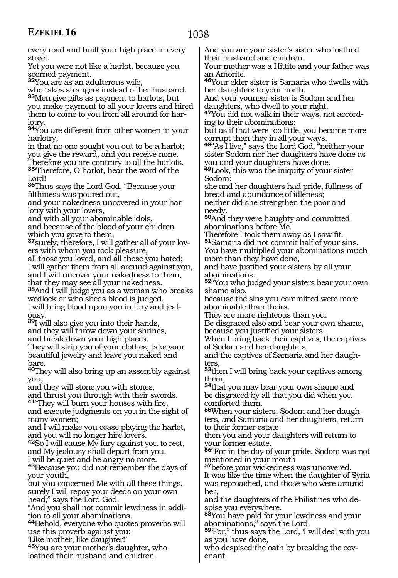every road and built your high place in every street.

Yet you were not like a harlot, because you scorned payment.

**<sup>32</sup>**You are as an adulterous wife,

who takes strangers instead of her husband. **<sup>33</sup>**Men give gifts as payment to harlots, but you make payment to all your lovers and hired them to come to you from all around for harlotry.

**<sup>34</sup>**You are different from other women in your harlotry,

in that no one sought you out to be a harlot; you give the reward, and you receive none.

Therefore you are contrary to all the harlots. **<sup>35</sup>**'Therefore, O harlot, hear the word of the Lord!

**<sup>36</sup>**Thus says the Lord God, "Because your filthiness was poured out,

and your nakedness uncovered in your harlotry with your lovers,

and with all your abominable idols,

and because of the blood of your children which you gave to them,

**37**surely, therefore, I will gather all of your lovers with whom you took pleasure,

all those you loved, and all those you hated; I will gather them from all around against you, and I will uncover your nakedness to them, that they may see all your nakedness.

**<sup>38</sup>**And I will judge you as a woman who breaks wedlock or who sheds blood is judged. I will bring blood upon you in fury and jealousy.

**<sup>39</sup>**I will also give you into their hands, and they will throw down your shrines, and break down your high places.

They will strip you of your clothes, take your beautiful jewelry and leave you naked and bare.

**<sup>40</sup>**They will also bring up an assembly against you,

and they will stone you with stones,

and thrust you through with their swords. **<sup>41</sup>**"They will burn your houses with fire,

and execute judgments on you in the sight of many women;

and I will make you cease playing the harlot, and you will no longer hire lovers.

**<sup>42</sup>**So I will cause My fury against you to rest, and My jealousy shall depart from you. I will be quiet and be angry no more.

**<sup>43</sup>**Because you did not remember the days of your youth,

but you concerned Me with all these things, surely I will repay your deeds on your own head," says the Lord God.

"And you shall not commit lewdness in addition to all your abominations.

**<sup>44</sup>**Behold, everyone who quotes proverbs will use this proverb against you:

'Like mother, like daughter!'

**<sup>45</sup>**You are your mother's daughter, who loathed their husband and children.

And you are your sister's sister who loathed their husband and children.

Your mother was a Hittite and your father was an Amorite.

**<sup>46</sup>**Your elder sister is Samaria who dwells with her daughters to your north.

And your younger sister is Sodom and her daughters, who dwell to your right.

**47**You did not walk in their ways, not according to their abominations;

but as if that were too little, you became more corrupt than they in all your ways.

**<sup>48</sup>**"As I live," says the Lord God, "neither your sister Sodom nor her daughters have done as you and your daughters have done.

**<sup>49</sup>**Look, this was the iniquity of your sister Sodom:

she and her daughters had pride, fullness of bread and abundance of idleness; neither did she strengthen the poor and

needy. **<sup>50</sup>**And they were haughty and committed

abominations before Me.

Therefore I took them away as I saw fit.

**<sup>51</sup>**Samaria did not commit half of your sins. You have multiplied your abominations much more than they have done,

and have justified your sisters by all your abominations.

**<sup>52</sup>**"You who judged your sisters bear your own shame also,

because the sins you committed were more abominable than theirs.

They are more righteous than you.

Be disgraced also and bear your own shame, because you justified your sisters.

When I bring back their captives, the captives of Sodom and her daughters,

and the captives of Samaria and her daugh- ters,

**<sup>53</sup>**then I will bring back your captives among them,

**<sup>54</sup>**that you may bear your own shame and be disgraced by all that you did when you comforted them.

**55**When your sisters, Sodom and her daughters, and Samaria and her daughters, return to their former estate

then you and your daughters will return to your former estate.

**<sup>56</sup>**"For in the day of your pride, Sodom was not mentioned in your mouth

**<sup>57</sup>**before your wickedness was uncovered. It was like the time when the daughter of Syria was reproached, and those who were around her,

and the daughters of the Philistines who despise you everywhere.

**<sup>58</sup>**You have paid for your lewdness and your abominations," says the Lord.

**<sup>59</sup>**'For," thus says the Lord, 'I will deal with you as you have done,

who despised the oath by breaking the covenant.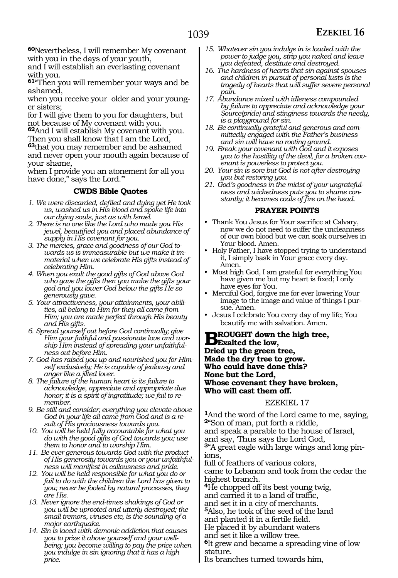**<sup>60</sup>**Nevertheless, I will remember My covenant with you in the days of your youth,

and I will establish an everlasting covenant with you.

**<sup>61</sup>**"Then you will remember your ways and be ashamed,

when you receive your older and your younger sisters;

for I will give them to you for daughters, but not because of My covenant with you.

**<sup>62</sup>**And I will establish My covenant with you. Then you shall know that I am the Lord,

**<sup>63</sup>**that you may remember and be ashamed and never open your mouth again because of your shame,

when I provide you an atonement for all you have done," says the Lord."

#### **CWDS Bible Quotes**

- *1. We were discarded, defiled and dying yet He took us, washed us in His blood and spoke life into our dying souls, just as with Israel.*
- *2. There is no one like the Lord who made you His jewel, beautified you and placed abundance of supply in His covenant for you.*
- *3. The mercies, grace and goodness of our God towards us is immeasurable but we make it immaterial when we celebrate His gifts instead of celebrating Him.*
- *4. When you exalt the good gifts of God above God who gave the gifts then you make the gifts your god and you lower God below the gifts He so generously gave.*
- *5. Your attractiveness, your attainments, your abilities, all belong to Him for they all came from Him; you are made perfect through His beauty and His gifts.*
- *6. Spread yourself out before God continually; give Him your faithful and passionate love and worship Him instead of spreading your unfaithfulness out before Him.*
- *7. God has raised you up and nourished you for Himself exclusively; He is capable of jealousy and anger like a jilted lover.*
- *8. The failure of the human heart is its failure to acknowledge, appreciate and appropriate due honor; it is a spirit of ingratitude; we fail to remember.*
- *9. Be still and consider; everything you elevate above God in your life all came from God and is a result of His graciousness towards you.*
- *10. You will be held fully accountable for what you do with the good gifts of God towards you; use them to honor and to worship Him.*
- *11. Be ever generous towards God with the product of His generosity towards you or your unfaithfulness will manifest in callousness and pride.*
- *12. You will be held responsible for what you do or fail to do with the children the Lord has given to you; never be fooled by natural processes, they are His.*
- *13. Never ignore the end-times shakings of God or you will be uprooted and utterly destroyed; the small tremors, viruses etc, is the sounding of a major earthquake.*
- *14. Sin is laced with demonic addiction that causes you to prize it above yourself and your wellbeing; you become willing to pay the price when you indulge in sin ignoring that it has a high price.*
- *15. Whatever sin you indulge in is loaded with the power to judge you, strip you naked and leave you defeated, destitute and destroyed.*
- *16. The hardness of hearts that sin against spouses and children in pursuit of personal lusts is the tragedy of hearts that will suffer severe personal pain.*
- *17. Abundance mixed with idleness compounded by failure to appreciate and acknowledge your Source(pride) and stinginess towards the needy, is a playground for sin.*
- *18. Be continually grateful and generous and committedly engaged with the Father's business and sin will have no rooting ground.*
- *19. Break your covenant with God and it exposes you to the hostility of the devil, for a broken covenant is powerless to protect you.*
- *20. Your sin is sore but God is not after destroying you but restoring you.*
- *21. God's goodness in the midst of your ungratefulness and wickedness puts you to shame constantly; it becomes coals of fire on the head.*

#### **PRAYER POINTS**

- Thank You Jesus for Your sacrifice at Calvary, now we do not need to suffer the uncleanness of our own blood but we can soak ourselves in Your blood. Amen.
- Holy Father, I have stopped trying to understand it, I simply bask in Your grace every day. Amen.
- Most high God, I am grateful for everything You have given me but my heart is fixed; I only have eyes for You.
- Merciful God, forgive me for ever lowering Your image to the image and value of things I pursue. Amen.
- Jesus I celebrate You every day of my life; You beautify me with salvation. Amen.

**BROUGHT** down the high tree,<br> **BExalted the low,**<br> **Dried yn the graps free Dried up the green tree, Made the dry tree to grow. Who could have done this? None but the Lord, Whose covenant they have broken, Who will cast them off.**

#### EZEKIEL 17

**<sup>1</sup>**And the word of the Lord came to me, saying, **<sup>2</sup>**"Son of man, put forth a riddle, and speak a parable to the house of Israel, and say, 'Thus says the Lord God, **3**"A great eagle with large wings and long pinions, full of feathers of various colors, came to Lebanon and took from the cedar the highest branch. **<sup>4</sup>**He chopped off its best young twig, and carried it to a land of traffic, and set it in a city of merchants. **<sup>5</sup>**Also, he took of the seed of the land and planted it in a fertile field. He placed it by abundant waters and set it like a willow tree. **<sup>6</sup>**It grew and became a spreading vine of low stature.

Its branches turned towards him,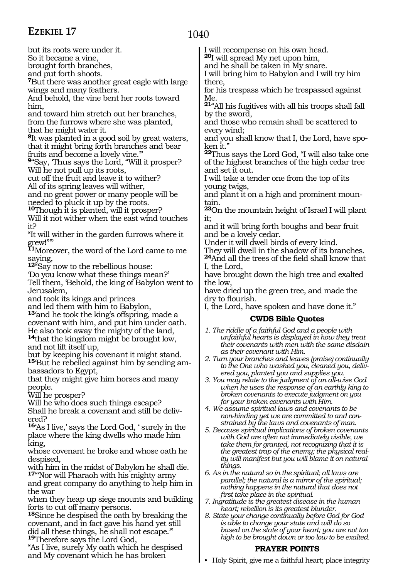1040

but its roots were under it.

So it became a vine,

brought forth branches,

and put forth shoots.

**<sup>7</sup>**But there was another great eagle with large wings and many feathers.

And behold, the vine bent her roots toward him,

and toward him stretch out her branches, from the furrows where she was planted, that he might water it.

**<sup>8</sup>**It was planted in a good soil by great waters, that it might bring forth branches and bear fruits and become a lovely vine.'"

**<sup>9</sup>**"Say, 'Thus says the Lord, "Will it prosper? Will he not pull up its roots,

cut off the fruit and leave it to wither? All of its spring leaves will wither,

and no great power or many people will be needed to pluck it up by the roots.

**<sup>10</sup>**Though it is planted, will it prosper?

Will it not wither when the east wind touches it?

"It will wither in the garden furrows where it grew!"'"

**<sup>11</sup>**Moreover, the word of the Lord came to me saying,

**<sup>12</sup>**"Say now to the rebellious house:

'Do you know what these things mean?'

Tell them, 'Behold, the king of Babylon went to Jerusalem,

and took its kings and princes

and led them with him to Babylon, **<sup>13</sup>**'and he took the king's offspring, made a covenant with him, and put him under oath. He also took away the mighty of the land, **<sup>14</sup>**that the kingdom might be brought low, and not lift itself up,

but by keeping his covenant it might stand. **15**'But he rebelled against him by sending ambassadors to Egypt,

that they might give him horses and many people.

Will he prosper?

Will he who does such things escape?

Shall he break a covenant and still be delivered?

**<sup>16</sup>**'As I live,' says the Lord God, ' surely in the place where the king dwells who made him king,

whose covenant he broke and whose oath he despised,

with him in the midst of Babylon he shall die. **<sup>17</sup>**"'Nor will Pharaoh with his mighty army

and great company do anything to help him in the war

when they heap up siege mounts and building forts to cut off many persons.

**<sup>18</sup>**Since he despised the oath by breaking the covenant, and in fact gave his hand yet still did all these things, he shall not escape." **<sup>19</sup>**Therefore says the Lord God,

"As I live, surely My oath which he despised and My covenant which he has broken

I will recompense on his own head.

**<sup>20</sup>**I will spread My net upon him, and he shall be taken in My snare.

I will bring him to Babylon and I will try him there,

for his trespass which he trespassed against Me.

**<sup>21</sup>**"All his fugitives with all his troops shall fall by the sword,

and those who remain shall be scattered to every wind;

and you shall know that I, the Lord, have spoken it."

**<sup>22</sup>**Thus says the Lord God, "I will also take one of the highest branches of the high cedar tree and set it out.

I will take a tender one from the top of its young twigs,

and plant it on a high and prominent mountain.

**<sup>23</sup>**On the mountain height of Israel I will plant it;

and it will bring forth boughs and bear fruit and be a lovely cedar.

Under it will dwell birds of every kind.

They will dwell in the shadow of its branches. **<sup>24</sup>**And all the trees of the field shall know that I, the Lord,

have brought down the high tree and exalted the low,

have dried up the green tree, and made the dry to flourish.

I, the Lord, have spoken and have done it."

#### **CWDS Bible Quotes**

- *1. The riddle of a faithful God and a people with unfaithful hearts is displayed in how they treat their covenants with men with the same disdain as their covenant with Him.*
- *2. Turn your branches and leaves (praise) continually to the One who washed you, cleaned you, delivered you, planted you and supplies you.*

*3. You may relate to the judgment of an all-wise God when he uses the response of an earthly king to broken covenants to execute judgment on you for your broken covenants with Him.*

*4. We assume spiritual laws and covenants to be non-binding yet we are committed to and constrained by the laws and covenants of man.*

*5. Because spiritual implications of broken covenants with God are often not immediately visible, we take them for granted, not recognizing that it is the greatest trap of the enemy; the physical reality will manifest but you will blame it on natural things.*

*6. As in the natural so in the spiritual; all laws are parallel; the natural is a mirror of the spiritual; nothing happens in the natural that does not first take place in the spiritual.*

*7. Ingratitude is the greatest disease in the human heart; rebellion is its greatest blunder.*

*8. State your change continually before God for God is able to change your state and will do so based on the state of your heart; you are not too high to be brought down or too low to be exalted.*

#### **PRAYER POINTS**

• Holy Spirit, give me a faithful heart; place integrity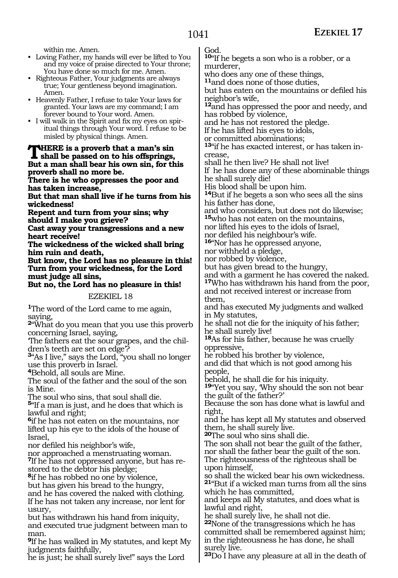within me. Amen.

- Loving Father, my hands will ever be lifted to You and my voice of praise directed to Your throne; You have done so much for me. Amen.
- Righteous Father, Your judgments are always true; Your gentleness beyond imagination. Amen.
- Heavenly Father, I refuse to take Your laws for granted. Your laws are my command; I am forever bound to Your word. Amen.
- I will walk in the Spirit and fix my eyes on spiritual things through Your word. I refuse to be misled by physical things. Amen.

### **THERE is a proverb that a man's sin <br>shall be passed on to his offsprings, But a man shall bear his own sin, for this proverb shall no more be.**

**There is he who oppresses the poor and has taken increase,**

**But that man shall live if he turns from his wickedness!**

**Repent and turn from your sins; why should I make you grieve?**

**Cast away your transgressions and a new heart receive!**

**The wickedness of the wicked shall bring him ruin and death,**

**But know, the Lord has no pleasure in this! Turn from your wickedness, for the Lord must judge all sins,**

**But no, the Lord has no pleasure in this!**

EZEKIEL 18

**<sup>1</sup>**The word of the Lord came to me again, saying,

**<sup>2</sup>**"What do you mean that you use this proverb concerning Israel, saying,

'The fathers eat the sour grapes, and the children's teeth are set on edge'?

**<sup>3</sup>**"As I live," says the Lord, "you shall no longer use this proverb in Israel.

**<sup>4</sup>**Behold, all souls are Mine.

The soul of the father and the soul of the son is Mine.

The soul who sins, that soul shall die.

**<sup>5</sup>**"If a man is just, and he does that which is lawful and right;

**<sup>6</sup>**if he has not eaten on the mountains, nor lifted up his eye to the idols of the house of Israel,

nor defiled his neighbor's wife,

nor approached a menstruating woman.

**7**If he has not oppressed anyone, but has restored to the debtor his pledge;

**<sup>8</sup>**if he has robbed no one by violence,

but has given his bread to the hungry,

and he has covered the naked with clothing. If he has not taken any increase, nor lent for usury,

but has withdrawn his hand from iniquity, and executed true judgment between man to man.

**<sup>9</sup>**If he has walked in My statutes, and kept My judgments faithfully,

he is just; he shall surely live!" says the Lord

God.

**<sup>10</sup>**"If he begets a son who is a robber, or a murderer,

who does any one of these things,

**<sup>11</sup>**and does none of those duties,

but has eaten on the mountains or defiled his neighbor's wife,

**<sup>12</sup>**and has oppressed the poor and needy, and has robbed by violence,

and he has not restored the pledge.

If he has lifted his eyes to idols,

or committed abominations;

**13**"if he has exacted interest, or has taken increase,

shall he then live? He shall not live!

If he has done any of these abominable things he shall surely die!

His blood shall be upon him.

**<sup>14</sup>**But if he begets a son who sees all the sins his father has done,

and who considers, but does not do likewise; **<sup>15</sup>**who has not eaten on the mountains,

nor lifted his eyes to the idols of Israel,

nor defiled his neighbour's wife. **16**"Nor has he oppressed anyone,

nor withheld a pledge,

nor robbed by violence,

but has given bread to the hungry,

and with a garment he has covered the naked. **<sup>17</sup>**Who has withdrawn his hand from the poor,

and not received interest or increase from them,

and has executed My judgments and walked in My statutes,

he shall not die for the iniquity of his father; he shall surely live!

**<sup>18</sup>**As for his father, because he was cruelly oppressive,

he robbed his brother by violence,

and did that which is not good among his people,

behold, he shall die for his iniquity.

**<sup>19</sup>**"Yet you say, 'Why should the son not bear the guilt of the father?'

Because the son has done what is lawful and right,

and he has kept all My statutes and observed them, he shall surely live.

**<sup>20</sup>**The soul who sins shall die.

The son shall not bear the guilt of the father, nor shall the father bear the guilt of the son. The righteousness of the righteous shall be upon himself,

so shall the wicked bear his own wickedness. **<sup>21</sup>**"But if a wicked man turns from all the sins which he has committed,

and keeps all My statutes, and does what is lawful and right,

he shall surely live, he shall not die.

**<sup>22</sup>**None of the transgressions which he has committed shall be remembered against him; in the righteousness he has done, he shall surely live.

**<sup>23</sup>**Do I have any pleasure at all in the death of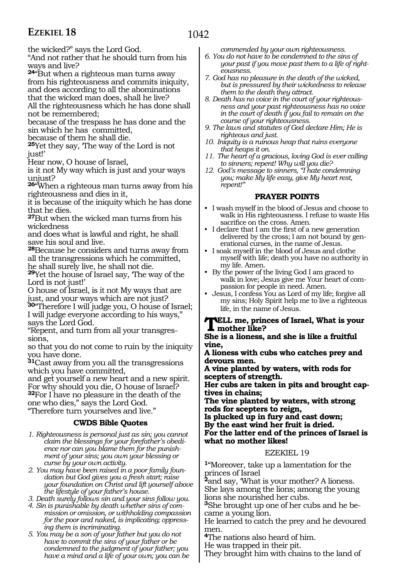the wicked?" says the Lord God.

"And not rather that he should turn from his ways and live?

**<sup>24</sup>**"But when a righteous man turns away from his righteousness and commits iniquity, and does according to all the abominations that the wicked man does, shall he live?

All the righteousness which he has done shall not be remembered;

because of the trespass he has done and the sin which he has committed,

because of them he shall die.

**<sup>25</sup>**Yet they say, 'The way of the Lord is not just!'

Hear now, O house of Israel,

is it not My way which is just and your ways unjust?

**<sup>26</sup>**"When a righteous man turns away from his righteousness and dies in it,

it is because of the iniquity which he has done that he dies.

**<sup>27</sup>**But when the wicked man turns from his wickedness

and does what is lawful and right, he shall save his soul and live.

**<sup>28</sup>**Because he considers and turns away from all the transgressions which he committed, he shall surely live, he shall not die.

**<sup>29</sup>**Yet the house of Israel say, 'The way of the Lord is not just!'

O house of Israel, is it not My ways that are just, and your ways which are not just?

**<sup>30</sup>**"Therefore I will judge you, O house of Israel; I will judge everyone according to his ways," says the Lord God.

"Repent, and turn from all your transgres- sions,

so that you do not come to ruin by the iniquity you have done.

**<sup>31</sup>**Cast away from you all the transgressions which you have committed,

and get yourself a new heart and a new spirit. For why should you die, O house of Israel? **<sup>32</sup>**For I have no pleasure in the death of the one who dies," says the Lord God.

"Therefore turn yourselves and live."

#### **CWDS Bible Quotes**

- *1. Righteousness is personal just as sin; you cannot claim the blessings for your forefather's obedience nor can you blame them for the punishment of your sins; you own your blessing or curse by your own activity.*
- *2. You may have been raised in a poor family foundation but God gives you a fresh start; raise your foundation on Christ and lift yourself above the lifestyle of your father's house.*
- *3. Death surely follows sin and your sins follow you.*
- *4. Sin is punishable by death whether sins of commission or omission, or withholding compassion for the poor and naked, is implicating; oppressing them is incriminating.*
- *5. You may be a son of your father but you do not have to commit the sins of your father or be condemned to the judgment of your father; you have a mind and a life of your own; you can be*

*commended by your own righteousness.*

- *6. You do not have to be condemned to the sins of your past if you move past them to a life of righteousness.*
- *7. God has no pleasure in the death of the wicked, but is pressured by their wickedness to release them to the death they attract.*
- *8. Death has no voice in the court of your righteousness and your past righteousness has no voice in the court of death if you fail to remain on the course of your righteousness.*
- *9. The laws and statutes of God declare Him; He is righteous and just.*
- *10. Iniquity is a ruinous heap that ruins everyone that heaps it on.*
- *11. The heart of a gracious, loving God is ever calling to sinners; repent! Why will you die?*
- *12. God's message to sinners, "I hate condemning you; make My life easy, give My heart rest, repent!"*

#### **PRAYER POINTS**

- I wash myself in the blood of Jesus and choose to walk in His righteousness. I refuse to waste His sacrifice on the cross. Amen.
- I declare that I am the first of a new generation delivered by the cross; I am not bound by generational curses, in the name of Jesus.
- I soak myself in the blood of Jesus and clothe myself with life; death you have no authority in my life. Amen.
- By the power of the living God I am graced to walk in love; Jesus give me Your heart of compassion for people in need. Amen.
- Jesus, I confess You as Lord of my life; forgive all my sins; Holy Spirit help me to live a righteous life, in the name of Jesus.

#### **Tell me, princes of Israel, What is your mother like?**

**She is a lioness, and she is like a fruitful vine,**

**A lioness with cubs who catches prey and devours men.**

**A vine planted by waters, with rods for scepters of strength.**

**Her cubs are taken in pits and brought captives in chains;**

**The vine planted by waters, with strong rods for scepters to reign,**

**Is plucked up in fury and cast down; By the east wind her fruit is dried. For the latter end of the princes of Israel is what no mother likes!**

#### EZEKIEL 19

**<sup>1</sup>**"Moreover, take up a lamentation for the princes of Israel

**<sup>2</sup>**and say, 'What is your mother? A lioness. She lays among the lions; among the young lions she nourished her cubs.

**3**She brought up one of her cubs and he became a young lion.

He learned to catch the prey and he devoured men.

**<sup>4</sup>**The nations also heard of him.

He was trapped in their pit.

They brought him with chains to the land of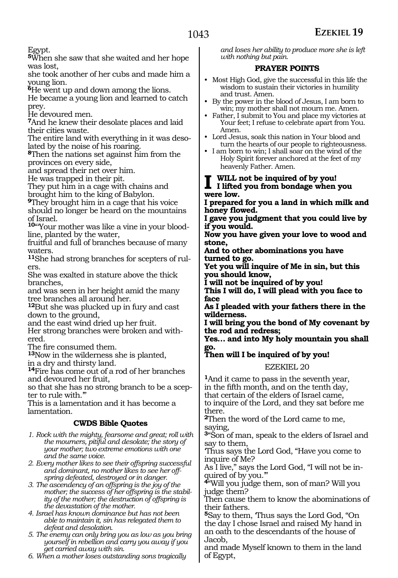Egypt.

**<sup>5</sup>**When she saw that she waited and her hope was lost,

she took another of her cubs and made him a young lion.

**<sup>6</sup>**He went up and down among the lions.

He became a young lion and learned to catch prey.

He devoured men.

**<sup>7</sup>**And he knew their desolate places and laid their cities waste.

The entire land with everything in it was desolated by the noise of his roaring.

**<sup>8</sup>**Then the nations set against him from the provinces on every side,

and spread their net over him.

He was trapped in their pit.

They put him in a cage with chains and brought him to the king of Babylon.

**<sup>9</sup>**They brought him in a cage that his voice should no longer be heard on the mountains of Israel.

**10**"'Your mother was like a vine in your bloodline, planted by the water,

fruitful and full of branches because of many waters.

**11**She had strong branches for scepters of rulers.

She was exalted in stature above the thick branches,

and was seen in her height amid the many tree branches all around her.

**<sup>12</sup>**But she was plucked up in fury and cast down to the ground,

and the east wind dried up her fruit.

Her strong branches were broken and with- ered.

The fire consumed them.

**<sup>13</sup>**Now in the wilderness she is planted, in a dry and thirsty land.

**<sup>14</sup>**Fire has come out of a rod of her branches and devoured her fruit,

so that she has no strong branch to be a scepter to rule with."

This is a lamentation and it has become a lamentation.

#### **CWDS Bible Quotes**

*1. Rock with the mighty, fearsome and great; roll with the mourners, pitiful and desolate; the story of your mother; two extreme emotions with one and the same voice.*

*2. Every mother likes to see their offspring successful and dominant, no mother likes to see her offspring defeated, destroyed or in danger.*

*3. The ascendency of an offspring is the joy of the mother; the success of her offspring is the stability of the mother; the destruction of offspring is the devastation of the mother.* 

*4. Israel has known dominance but has not been able to maintain it, sin has relegated them to defeat and desolation.*

*5. The enemy can only bring you as low as you bring yourself in rebellion and carry you away if you get carried away with sin.*

*6. When a mother loses outstanding sons tragically* 

*and loses her ability to produce more she is left with nothing but pain.*

#### **PRAYER POINTS**

- Most High God, give the successful in this life the wisdom to sustain their victories in humility and trust. Amen.
- By the power in the blood of Jesus, I am born to win; my mother shall not mourn me. Amen.
- Father, I submit to You and place my victories at Your feet; I refuse to celebrate apart from You. Amen.
- Lord Jesus, soak this nation in Your blood and turn the hearts of our people to righteousness.
- I am born to win; I shall soar on the wind of the Holy Spirit forever anchored at the feet of my heavenly Father. Amen.
- **I will not be inquired of by you! I lifted you from bondage when you were low.**

**I prepared for you a land in which milk and honey flowed.**

**I gave you judgment that you could live by if you would.**

**Now you have given your love to wood and stone,**

**And to other abominations you have turned to go.**

**Yet you will inquire of Me in sin, but this you should know,**

**I will not be inquired of by you!**

**This I will do, I will plead with you face to face**

**As I pleaded with your fathers there in the wilderness.**

**I will bring you the bond of My covenant by the rod and redress;**

**Yes… and into My holy mountain you shall go.**

#### **Then will I be inquired of by you!**

EZEKIEL 20

**<sup>1</sup>**And it came to pass in the seventh year, in the fifth month, and on the tenth day, that certain of the elders of Israel came, to inquire of the Lord, and they sat before me there.

**<sup>2</sup>**Then the word of the Lord came to me, saying,

**<sup>3</sup>**"Son of man, speak to the elders of Israel and say to them,

'Thus says the Lord God, "Have you come to inquire of Me?

As I live," says the Lord God, "I will not be inquired of by you.'"

**<sup>4</sup>**"Will you judge them, son of man? Will you judge them?

Then cause them to know the abominations of their fathers.

**<sup>5</sup>**Say to them, 'Thus says the Lord God, "On the day I chose Israel and raised My hand in an oath to the descendants of the house of Jacob,

and made Myself known to them in the land of Egypt,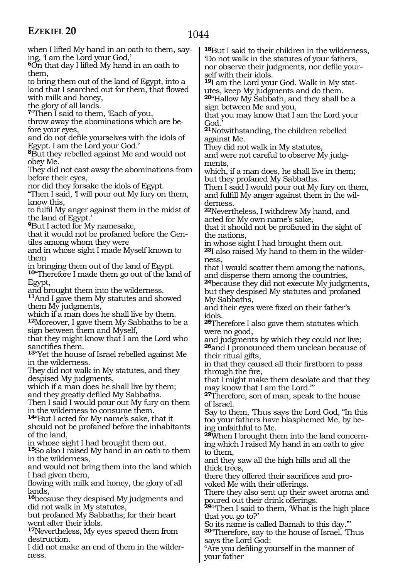| when I lifted My hand in an oath to them, say-<br>ing, I am the Lord your God,'<br><b>O</b> n that day I lifted My hand in an oath to<br>them,                                                                     | <sup>18</sup> But I said to their children in the wilderness,<br>Do not walk in the statutes of your fathers,<br>nor observe their judgments, nor defile your-                                   |
|--------------------------------------------------------------------------------------------------------------------------------------------------------------------------------------------------------------------|--------------------------------------------------------------------------------------------------------------------------------------------------------------------------------------------------|
| to bring them out of the land of Egypt, into a                                                                                                                                                                     | self with their idols.                                                                                                                                                                           |
| land that I searched out for them, that flowed                                                                                                                                                                     | <sup>19</sup> I am the Lord your God. Walk in My stat-                                                                                                                                           |
| with milk and honey,                                                                                                                                                                                               | utes, keep My judgments and do them.                                                                                                                                                             |
| the glory of all lands.                                                                                                                                                                                            | 20"Hallow My Sabbath, and they shall be a                                                                                                                                                        |
| 7"Then I said to them, Each of you,<br>throw away the abominations which are be-<br>fore your eyes,<br>and do not defile yourselves with the idols of                                                              | sign between Me and you,<br>that you may know that I am the Lord your<br>God.<br><sup>21</sup> Notwithstanding, the children rebelled<br>against Me.                                             |
| Egypt. I am the Lord your God.'                                                                                                                                                                                    | They did not walk in My statutes,                                                                                                                                                                |
| <sup>8</sup> But they rebelled against Me and would not                                                                                                                                                            | and were not careful to observe My judg-                                                                                                                                                         |
| obey Me.                                                                                                                                                                                                           | ments,                                                                                                                                                                                           |
| They did not cast away the abominations from                                                                                                                                                                       | which, if a man does, he shall live in them;                                                                                                                                                     |
| before their eyes,                                                                                                                                                                                                 | but they profaned My Sabbaths.                                                                                                                                                                   |
| nor did they forsake the idols of Egypt.                                                                                                                                                                           | Then I said I would pour out My fury on them,                                                                                                                                                    |
| "Then I said, I will pour out My fury on them,                                                                                                                                                                     | and fulfill My anger against them in the wil-                                                                                                                                                    |
| know this,                                                                                                                                                                                                         | derness.                                                                                                                                                                                         |
| to fulfil My anger against them in the midst of<br>the land of Egypt.'<br><b>P</b> But I acted for My namesake,<br>that it would not be profaned before the Gen-                                                   | <sup>22</sup> Nevertheless, I withdrew My hand, and<br>acted for My own name's sake,<br>that it should not be profaned in the sight of                                                           |
| tiles among whom they were<br>and in whose sight I made Myself known to<br>them                                                                                                                                    | the nations,<br>in whose sight I had brought them out.<br><sup>23</sup> I also raised My hand to them in the wilder-<br>ness,                                                                    |
| in bringing them out of the land of Egypt.<br><sup>10</sup> Therefore I made them go out of the land of<br>Egypt,<br>and brought them into the wilderness.<br><sup>11</sup> And I gave them My statutes and showed | that I would scatter them among the nations,<br>and disperse them among the countries,<br><sup>24</sup> because they did not execute My judgments,<br>but they despised My statutes and profaned |
| them My judgments,<br>which if a man does he shall live by them.<br><sup>12</sup> Moreover, I gave them My Sabbaths to be a                                                                                        | My Sabbaths,<br>and their eyes were fixed on their father's<br>idols.<br>25Therefore I also gave them statutes which                                                                             |
| sign between them and Myself,                                                                                                                                                                                      | were no good,                                                                                                                                                                                    |
| that they might know that I am the Lord who                                                                                                                                                                        | and judgments by which they could not live;                                                                                                                                                      |
| sanctifies them.                                                                                                                                                                                                   | <sup>26</sup> and I pronounced them unclean because of                                                                                                                                           |
| <sup>13</sup> Yet the house of Israel rebelled against Me                                                                                                                                                          | their ritual gifts,                                                                                                                                                                              |
| in the wilderness.                                                                                                                                                                                                 | in that they caused all their firstborn to pass                                                                                                                                                  |
| They did not walk in My statutes, and they                                                                                                                                                                         | through the fire,                                                                                                                                                                                |
| despised My judgments,                                                                                                                                                                                             | that I might make them desolate and that they                                                                                                                                                    |
| which if a man does he shall live by them;                                                                                                                                                                         | may know that I am the Lord."                                                                                                                                                                    |
| and they greatly defiled My Sabbaths.<br>Then I said I would pour out My fury on them<br>in the wilderness to consume them.<br><sup>14</sup> "But I acted for My name's sake, that it                              | 27Therefore, son of man, speak to the house<br>of Israel.<br>Say to them, Thus says the Lord God, "In this                                                                                       |
| should not be profaned before the inhabitants                                                                                                                                                                      | too your fathers have blasphemed Me, by be-                                                                                                                                                      |
| of the land,                                                                                                                                                                                                       | ing unfaithful to Me.                                                                                                                                                                            |
| in whose sight I had brought them out.                                                                                                                                                                             | <sup>28</sup> When I brought them into the land concern-                                                                                                                                         |
| <sup>15</sup> So also I raised My hand in an oath to them                                                                                                                                                          | ing which I raised My hand in an oath to give                                                                                                                                                    |
| in the wilderness,<br>and would not bring them into the land which<br>I had given them,                                                                                                                            | to them,<br>and they saw all the high hills and all the<br>thick trees,<br>there they offered their sacrifices and pro-                                                                          |
| flowing with milk and honey, the glory of all                                                                                                                                                                      | voked Me with their offerings.                                                                                                                                                                   |
| lands,                                                                                                                                                                                                             | There they also sent up their sweet aroma and                                                                                                                                                    |
| <sup>16</sup> because they despised My judgments and                                                                                                                                                               | poured out their drink offerings.                                                                                                                                                                |
| did not walk in My statutes,                                                                                                                                                                                       | 29"Then I said to them, 'What is the high place'                                                                                                                                                 |
| but profaned My Sabbaths; for their heart                                                                                                                                                                          | that you go to?'                                                                                                                                                                                 |
| went after their idols.                                                                                                                                                                                            | So its name is called Bamah to this day."                                                                                                                                                        |
| <sup>17</sup> Nevertheless, My eyes spared them from                                                                                                                                                               | 30 <sup>o</sup> Therefore, say to the house of Israel, Thus                                                                                                                                      |
| destruction.                                                                                                                                                                                                       | says the Lord God:                                                                                                                                                                               |
| I did not make an end of them in the wilder-                                                                                                                                                                       | "Are you defiling yourself in the manner of                                                                                                                                                      |
| ness.                                                                                                                                                                                                              | your father                                                                                                                                                                                      |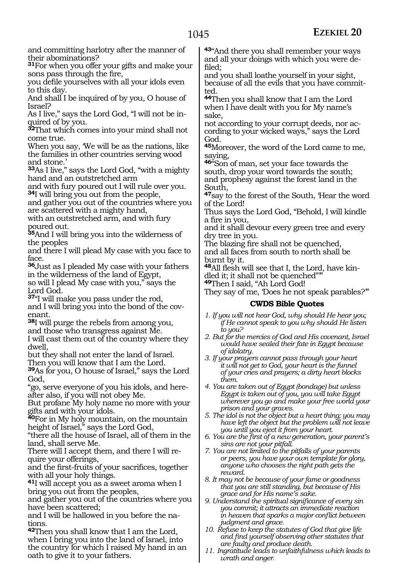and committing harlotry after the manner of their abominations?

**<sup>31</sup>**For when you offer your gifts and make your sons pass through the fire,

you defile yourselves with all your idols even to this day.

And shall I be inquired of by you, O house of Israel?

As I live," says the Lord God, "I will not be inquired of by you.

**<sup>32</sup>**That which comes into your mind shall not come true.

When you say, 'We will be as the nations, like the families in other countries serving wood and stone.'

**<sup>33</sup>**As I live," says the Lord God, "with a mighty hand and an outstretched arm

and with fury poured out I will rule over you. **<sup>34</sup>**I will bring you out from the people,

and gather you out of the countries where you are scattered with a mighty hand,

with an outstretched arm, and with fury poured out.

**<sup>35</sup>**And I will bring you into the wilderness of the peoples

and there I will plead My case with you face to face.

**<sup>36</sup>**Just as I pleaded My case with your fathers in the wilderness of the land of Egypt,

so will I plead My case with you," says the Lord God.

**<sup>37</sup>**"I will make you pass under the rod, and I will bring you into the bond of the covenant.

**<sup>38</sup>**I will purge the rebels from among you,

and those who transgress against Me.

I will cast them out of the country where they dwell,

but they shall not enter the land of Israel. Then you will know that I am the Lord.

**<sup>39</sup>**As for you, O house of Israel," says the Lord God,

"go, serve everyone of you his idols, and hereafter also, if you will not obey Me.

But profane My holy name no more with your gifts and with your idols.

**<sup>40</sup>**For in My holy mountain, on the mountain height of Israel," says the Lord God,

"there all the house of Israel, all of them in the land, shall serve Me.

There will I accept them, and there I will re- quire your offerings,

and the first-fruits of your sacrifices, together with all your holy things.

**<sup>41</sup>**I will accept you as a sweet aroma when I bring you out from the peoples,

and gather you out of the countries where you have been scattered;

and I will be hallowed in you before the nations.

**<sup>42</sup>**Then you shall know that I am the Lord, when I bring you into the land of Israel, into the country for which I raised My hand in an oath to give it to your fathers.

**<sup>43</sup>**"And there you shall remember your ways and all your doings with which you were de- filed;

and you shall loathe yourself in your sight, because of all the evils that you have committed.

**<sup>44</sup>**Then you shall know that I am the Lord when I have dealt with you for My name's sake,

not according to your corrupt deeds, nor according to your wicked ways," says the Lord God.

**<sup>45</sup>**Moreover, the word of the Lord came to me, saying,

**<sup>46</sup>**"Son of man, set your face towards the south, drop your word towards the south; and prophesy against the forest land in the South,

**<sup>47</sup>**say to the forest of the South, 'Hear the word of the Lord!

Thus says the Lord God, "Behold, I will kindle a fire in you,

and it shall devour every green tree and every dry tree in you.

The blazing fire shall not be quenched, and all faces from south to north shall be burnt by it.

**48**All flesh will see that I, the Lord, have kindled it; it shall not be quenched"'"

**<sup>49</sup>**Then I said, "Ah Lord God!

They say of me, Does he not speak parables?"

#### **CWDS Bible Quotes**

- *1. If you will not hear God, why should He hear you; if He cannot speak to you why should He listen to you?*
- *2. But for the mercies of God and His covenant, Israel would have sealed their fate in Egypt because of idolatry.*
- *3. If your prayers cannot pass through your heart it will not get to God, your heart is the funnel of your cries and prayers; a dirty heart blocks them.*
- *4. You are taken out of Egypt (bondage) but unless Egypt is taken out of you, you will take Egypt wherever you go and make your free world your prison and your graves.*
- *5. The idol is not the object but a heart thing; you may have left the object but the problem will not leave you until you eject it from your heart.*
- *6. You are the first of a new generation, your parent's sins are not your pitfall.*
- *7. You are not limited to the pitfalls of your parents or peers, you have your own template for glory, anyone who chooses the right path gets the reward.*
- *8. It may not be because of your fame or goodness that you are still standing, but because of His grace and for His name's sake.*
- *9. Understand the spiritual significance of every sin you commit; it attracts an immediate reaction in heaven that sparks a major conflict between judgment and grace.*
- *10. Refuse to keep the statutes of God that give life and find yourself observing other statutes that are faulty and produce death.*
- *11. Ingratitude leads to unfaithfulness which leads to wrath and anger.*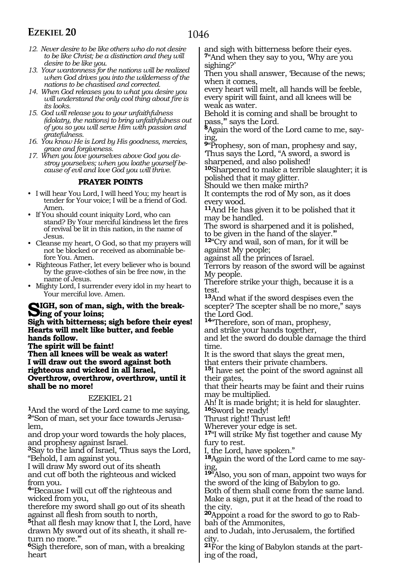- *12. Never desire to be like others who do not desire to be like Christ; be a distinction and they will desire to be like you.*
- *13. Your wantonness for the nations will be realized when God drives you into the wilderness of the nations to be chastised and corrected.*
- *14. When God releases you to what you desire you will understand the only cool thing about fire is its looks.*
- *15. God will release you to your unfaithfulness (idolatry, the nations) to bring unfaithfulness out of you so you will serve Him with passion and gratefulness.*
- *16. You know He is Lord by His goodness, mercies, grace and forgiveness.*
- *17. When you love yourselves above God you destroy yourselves; when you loathe yourself because of evil and love God you will thrive.*

#### **PRAYER POINTS**

- I will hear You Lord, I will heed You; my heart is tender for Your voice; I will be a friend of God. Amen.
- If You should count iniquity Lord, who can stand? By Your merciful kindness let the fires of revival be lit in this nation, in the name of Jesus.
- Cleanse my heart, O God, so that my prayers will not be blocked or received as abominable before You. Amen.
- Righteous Father, let every believer who is bound by the grave-clothes of sin be free now, in the name of Jesus.
- Mighty Lord, I surrender every idol in my heart to Your merciful love. Amen.

## **Sigh, son of man, sigh, with the break- ing of your loins;**

**Sigh with bitterness; sigh before their eyes! Hearts will melt like butter, and feeble hands follow.**

**The spirit will be faint!** 

**Then all knees will be weak as water! I will draw out the sword against both righteous and wicked in all Israel, Overthrow, overthrow, overthrow, until it shall be no more!**

#### EZEKIEL 21

**<sup>1</sup>**And the word of the Lord came to me saying, **<sup>2</sup>**"Son of man, set your face towards Jerusa- lem,

and drop your word towards the holy places, and prophesy against Israel.

**<sup>3</sup>**Say to the land of Israel, 'Thus says the Lord, "Behold, I am against you.

I will draw My sword out of its sheath and cut off both the righteous and wicked from you.

**<sup>4</sup>**"Because I will cut off the righteous and wicked from you,

therefore my sword shall go out of its sheath against all flesh from south to north,

**<sup>5</sup>**that all flesh may know that I, the Lord, have drawn My sword out of its sheath, it shall return no more."

**<sup>6</sup>**Sigh therefore, son of man, with a breaking heart

and sigh with bitterness before their eyes. **<sup>7</sup>**"And when they say to you, 'Why are you sighing?'

Then you shall answer, 'Because of the news; when it comes,

every heart will melt, all hands will be feeble, every spirit will faint, and all knees will be weak as water.

Behold it is coming and shall be brought to pass,'" says the Lord.

**8**Again the word of the Lord came to me, saying,

**<sup>9</sup>**"Prophesy, son of man, prophesy and say, 'Thus says the Lord, "A sword, a sword is sharpened, and also polished!

**<sup>10</sup>**Sharpened to make a terrible slaughter; it is polished that it may glitter.

Should we then make mirth?

It contempts the rod of My son, as it does every wood.

**<sup>11</sup>**And He has given it to be polished that it may be handled.

The sword is sharpened and it is polished, to be given in the hand of the slayer.'"

**<sup>12</sup>**"Cry and wail, son of man, for it will be against My people;

against all the princes of Israel.

Terrors by reason of the sword will be against My people.

Therefore strike your thigh, because it is a test.

**<sup>13</sup>**And what if the sword despises even the scepter? The scepter shall be no more," says the Lord God.

**<sup>14</sup>**"Therefore, son of man, prophesy,

and strike your hands together, and let the sword do double damage the third

time.

It is the sword that slays the great men, that enters their private chambers.

**<sup>15</sup>**I have set the point of the sword against all their gates,

that their hearts may be faint and their ruins may be multiplied.

Ah! It is made bright; it is held for slaughter. **<sup>16</sup>**Sword be ready!

Thrust right! Thrust left!

Wherever your edge is set.

**<sup>17</sup>**"I will strike My fist together and cause My fury to rest.

I, the Lord, have spoken."

**18**Again the word of the Lord came to me saying,

**<sup>19</sup>**"Also, you son of man, appoint two ways for the sword of the king of Babylon to go.

Both of them shall come from the same land. Make a sign, put it at the head of the road to the city.

**20**Appoint a road for the sword to go to Rabbah of the Ammonites,

and to Judah, into Jerusalem, the fortified city.

**21**For the king of Babylon stands at the parting of the road,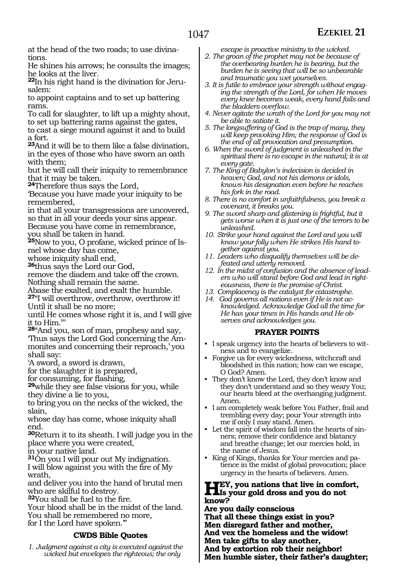at the head of the two roads; to use divinations.

He shines his arrows; he consults the images; he looks at the liver.

**22**In his right hand is the divination for Jerusalem:

to appoint captains and to set up battering rams.

To call for slaughter, to lift up a mighty shout, to set up battering rams against the gates,

to cast a siege mound against it and to build a fort.

**<sup>23</sup>**And it will be to them like a false divination, in the eyes of those who have sworn an oath with them;

but he will call their iniquity to remembrance that it may be taken.

**<sup>24</sup>**Therefore thus says the Lord,

'Because you have made your iniquity to be remembered,

in that all your transgressions are uncovered, so that in all your deeds your sins appear. Because you have come in remembrance,

you shall be taken in hand.

**25**Now to you, O profane, wicked prince of Israel whose day has come,

whose iniquity shall end,

**<sup>26</sup>**thus says the Lord our God,

remove the diadem and take off the crown. Nothing shall remain the same.

Abase the exalted, and exalt the humble. **<sup>27</sup>**"I will overthrow, overthrow, overthrow it! Until it shall be no more;

until He comes whose right it is, and I will give it to Him."'

**<sup>28</sup>**"And you, son of man, prophesy and say, 'Thus says the Lord God concerning the Ammonites and concerning their reproach,' you

shall say:

'A sword, a sword is drawn,

for the slaughter it is prepared,<br>for consuming, for flashing,

**29**while they see false visions for you, while they divine a lie to you,

to bring you on the necks of the wicked, the slain,

whose day has come, whose iniquity shall end.

**<sup>30</sup>**Return it to its sheath. I will judge you in the place where you were created,

in your native land.

**<sup>31</sup>**On you I will pour out My indignation. I will blow against you with the fire of My wrath,

and deliver you into the hand of brutal men who are skilful to destroy.

**<sup>32</sup>**You shall be fuel to the fire.

Your blood shall be in the midst of the land. You shall be remembered no more, for I the Lord have spoken.'"

#### **CWDS Bible Quotes**

*1. Judgment against a city is executed against the wicked but envelopes the righteous; the only* 

*escape is proactive ministry to the wicked.*

- *2. The groan of the prophet may not be because of the overbearing burden he is bearing, but the burden he is seeing that will be so unbearable and traumatic you wet yourselves.*
- *3. It is futile to embrace your strength without engaging the strength of the Lord, for when He moves every knee becomes weak, every hand fails and the bladders overflow.*
- *4. Never agitate the wrath of the Lord for you may not be able to satiate it.*
- *5. The longsuffering of God is the trap of many, they will keep provoking Him; the response of God is the end of all provocation and presumption.*
- *6. When the sword of judgment is unleashed in the spiritual there is no escape in the natural; it is at every gate.*
- *7. The King of Babylon's indecision is decided in heaven; God, and not his demons or idols, knows his designation even before he reaches his fork in the road.*
- *8. There is no comfort in unfaithfulness, you break a covenant, it breaks you.*
- *9. The sword sharp and glistening is frightful, but it gets worse when it is just one of the terrors to be unleashed.*
- *10. Strike your hand against the Lord and you will know your folly when He strikes His hand together against you.*
- *11. Leaders who disqualify themselves will be defeated and utterly removed.*
- *12. In the midst of confusion and the absence of leaders who will stand before God and lead in righteousness, there is the promise of Christ.*
- *13. Complacency is the catalyst for catastrophe.*
- *14. God governs all nations even if He is not acknowledged. Acknowledge God all the time for He has your times in His hands and He observes and acknowledges you.*

#### **PRAYER POINTS**

- I speak urgency into the hearts of believers to witness and to evangelize.
- Forgive us for every wickedness, witchcraft and bloodshed in this nation; how can we escape, O God? Amen.
- They don't know the Lord, they don't know and they don't understand and so they weary You; our hearts bleed at the overhanging judgment. Amen.
- I am completely weak before You Father, frail and trembling every day; pour Your strength into me if only I may stand. Amen.
- Let the spirit of wisdom fall into the hearts of sinners; remove their confidence and blatancy and breathe change; let our mercies hold, in the name of Jesus.
- King of Kings, thanks for Your mercies and patience in the midst of global provocation; place urgency in the hearts of believers. Amen.

### **Hey, you nations that live in comfort,**<br>linearly gold dross and you do not **know?**

**Are you daily conscious That all these things exist in you? Men disregard father and mother, And vex the homeless and the widow! Men take gifts to slay another, And by extortion rob their neighbor! Men humble sister, their father's daughter;**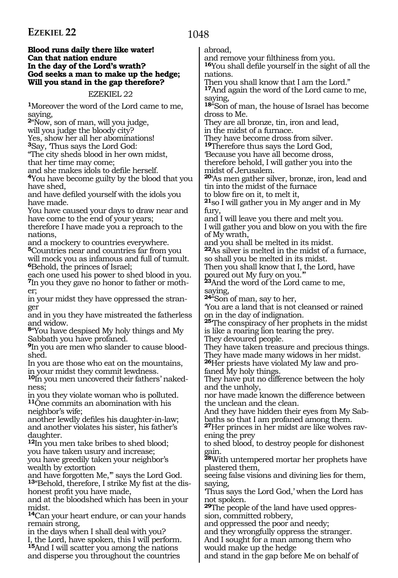#### **Blood runs daily there like water! Can that nation endure In the day of the Lord's wrath? God seeks a man to make up the hedge; Will you stand in the gap therefore?**

#### EZEKIEL 22

**<sup>1</sup>**Moreover the word of the Lord came to me, saying,

**<sup>2</sup>**"Now, son of man, will you judge,

will you judge the bloody city?

Yes, show her all her abominations!

**<sup>3</sup>**Say, 'Thus says the Lord God:

"The city sheds blood in her own midst, that her time may come;<br>and she makes idols to defile herself.

<sup>4</sup>You have become guilty by the blood that you have shed,

and have defiled yourself with the idols you have made.

You have caused your days to draw near and have come to the end of your years;

therefore I have made you a reproach to the nations,

and a mockery to countries everywhere.

**<sup>5</sup>**Countries near and countries far from you will mock you as infamous and full of tumult. **<sup>6</sup>**Behold, the princes of Israel;

each one used his power to shed blood in you. **7**In you they gave no honor to father or mother;

in your midst they have oppressed the stranger

and in you they have mistreated the fatherless and widow.

**<sup>8</sup>**"You have despised My holy things and My Sabbath you have profaned.

**9**In you are men who slander to cause bloodshed.

In you are those who eat on the mountains, in your midst they commit lewdness.

**10**In you men uncovered their fathers' nakedness;

in you they violate woman who is polluted. **<sup>11</sup>**One commits an abomination with his neighbor's wife;

another lewdly defiles his daughter-in-law; and another violates his sister, his father's daughter.

**<sup>12</sup>**In you men take bribes to shed blood; you have taken usury and increase; you have greedily taken your neighbor's wealth by extortion

and have forgotten Me,'" says the Lord God. **13**"Behold, therefore, I strike My fist at the dis-

honest profit you have made, and at the bloodshed which has been in your midst.

**<sup>14</sup>**Can your heart endure, or can your hands remain strong,

in the days when I shall deal with you? I, the Lord, have spoken, this I will perform.

**<sup>15</sup>**And I will scatter you among the nations and disperse you throughout the countries

abroad,<br>and remove your filthiness from you.

<sup>16</sup>You shall defile yourself in the sight of all the nations.

Then you shall know that I am the Lord." **<sup>17</sup>**And again the word of the Lord came to me, saying,

**<sup>18</sup>**"Son of man, the house of Israel has become dross to Me.

They are all bronze, tin, iron and lead, in the midst of a furnace.

They have become dross from silver.

**<sup>19</sup>**Therefore thus says the Lord God,

'Because you have all become dross, therefore behold, I will gather you into the

midst of Jerusalem.

**<sup>20</sup>**'As men gather silver, bronze, iron, lead and tin into the midst of the furnace

to blow fire on it, to melt it,

**<sup>21</sup>**so I will gather you in My anger and in My fury,

and I will leave you there and melt you.

I will gather you and blow on you with the fire of My wrath,

and you shall be melted in its midst.

**<sup>22</sup>**As silver is melted in the midst of a furnace, so shall you be melted in its midst.

Then you shall know that I, the Lord, have poured out My fury on you.'"

**<sup>23</sup>**And the word of the Lord came to me, saying,

**<sup>24</sup>**"Son of man, say to her,

'You are a land that is not cleansed or rained on in the day of indignation.

**<sup>25</sup>**'The conspiracy of her prophets in the midst is like a roaring lion tearing the prey.

They devoured people.

They have taken treasure and precious things. They have made many widows in her midst.

**<sup>26</sup>**Her priests have violated My law and pro- faned My holy things.

They have put no difference between the holy and the unholy,

nor have made known the difference between the unclean and the clean.

And they have hidden their eyes from My Sabbaths so that I am profaned among them.

**27**Her princes in her midst are like wolves ravening the prey

to shed blood, to destroy people for dishonest gain.

**<sup>28</sup>**With untempered mortar her prophets have plastered them,

seeing false visions and divining lies for them, saying,

'Thus says the Lord God,' when the Lord has not spoken.

**29**The people of the land have used oppression, committed robbery,

and oppressed the poor and needy;

and they wrongfully oppress the stranger. And I sought for a man among them who

would make up the hedge

and stand in the gap before Me on behalf of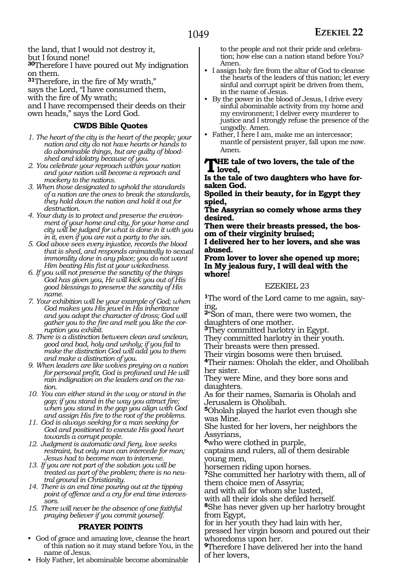the land, that I would not destroy it, but I found none!

**<sup>30</sup>**Therefore I have poured out My indignation on them.

**<sup>31</sup>**Therefore, in the fire of My wrath,"

says the Lord, "I have consumed them,

with the fire of My wrath;

and I have recompensed their deeds on their own heads," says the Lord God.

#### **CWDS Bible Quotes**

- *1. The heart of the city is the heart of the people; your nation and city do not have hearts or hands to do abominable things, but are guilty of bloodshed and idolatry because of you.*
- *2. You celebrate your reproach within your nation and your nation will become a reproach and mockery to the nations.*
- *3. When those designated to uphold the standards of a nation are the ones to break the standards, they hold down the nation and hold it out for destruction.*
- *4. Your duty is to protect and preserve the environment of your home and city, for your home and city will be judged for what is done in it with you in it, even if you are not a party to the sin.*
- *5. God above sees every injustice, records the blood that is shed, and responds animatedly to sexual immorality done in any place; you do not want Him beating His fist at your wickedness.*
- *6. If you will not preserve the sanctity of the things God has given you, He will kick you out of His good blessings to preserve the sanctity of His name.*
- *7. Your exhibition will be your example of God; when God makes you His jewel in His inheritance and you adopt the character of dross; God will gather you to the fire and melt you like the corruption you exhibit.*
- *8. There is a distinction between clean and unclean, good and bad, holy and unholy; if you fail to make the distinction God will add you to them and make a distinction of you.*
- *9. When leaders are like wolves preying on a nation for personal profit, God is profaned and He will rain indignation on the leaders and on the nation.*
- *10. You can either stand in the way or stand in the gap; if you stand in the way you attract fire; when you stand in the gap you align with God and assign His fire to the root of the problems.*
- *11. God is always seeking for a man seeking for God and positioned to execute His good heart towards a corrupt people.*
- *12. Judgment is automatic and fiery, love seeks restraint, but only man can intercede for man; Jesus had to become man to intervene.*
- *13. If you are not part of the solution you will be treated as part of the problem; there is no neutral ground in Christianity.*
- *14. There is an end time pouring out at the tipping point of offence and a cry for end time intercessors.*
- *15. There will never be the absence of one faithful praying believer if you commit yourself.*

#### **PRAYER POINTS**

- God of grace and amazing love, cleanse the heart of this nation so it may stand before You, in the name of Jesus.
- Holy Father, let abominable become abominable

to the people and not their pride and celebration; how else can a nation stand before You? Amen.

- I assign holy fire from the altar of God to cleanse the hearts of the leaders of this nation; let every sinful and corrupt spirit be driven from them, in the name of Jesus.
- By the power in the blood of Jesus, I drive every sinful abominable activity from my home and my environment; I deliver every murderer to justice and I strongly refuse the presence of the ungodly. Amen.
- Father, I here I am, make me an intercessor; mantle of persistent prayer, fall upon me now. Amen.

#### **The tale of two lovers, the tale of the loved,**

**Is the tale of two daughters who have for- saken God.**

**Spoiled in their beauty, for in Egypt they spied,**

**The Assyrian so comely whose arms they desired.**

**Then were their breasts pressed, the bos- om of their virginity bruised;**

**I delivered her to her lovers, and she was abused.**

**From lover to lover she opened up more; In My jealous fury, I will deal with the whore!**

#### EZEKIEL 23

**<sup>1</sup>**The word of the Lord came to me again, say- ing,

**<sup>2</sup>**"Son of man, there were two women, the daughters of one mother.

**<sup>3</sup>**They committed harlotry in Egypt.

They committed harlotry in their youth.

Their breasts were then pressed.

Their virgin bosoms were then bruised.

**<sup>4</sup>**Their names: Oholah the elder, and Oholibah her sister.

They were Mine, and they bore sons and daughters.

As for their names, Samaria is Oholah and Jerusalem is Oholibah.

**<sup>5</sup>**Oholah played the harlot even though she was Mine.

She lusted for her lovers, her neighbors the Assyrians,

**<sup>6</sup>**who were clothed in purple,

captains and rulers, all of them desirable young men,

horsemen riding upon horses.

**<sup>7</sup>**She committed her harlotry with them, all of them choice men of Assyria;

and with all for whom she lusted,

with all their idols she defiled herself.

**<sup>8</sup>**She has never given up her harlotry brought from Egypt,

for in her youth they had lain with her, pressed her virgin bosom and poured out their whoredoms upon her.

**<sup>9</sup>**Therefore I have delivered her into the hand of her lovers,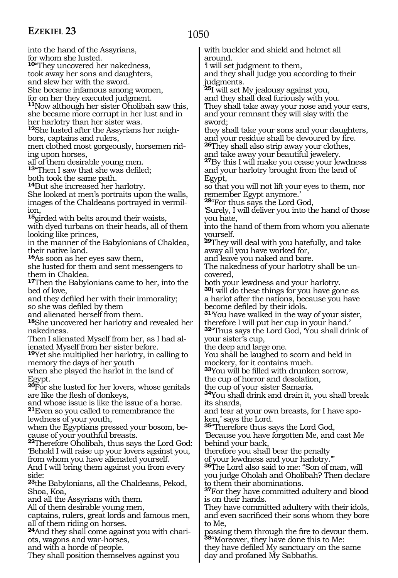1050

into the hand of the Assyrians, for whom she lusted. **<sup>10</sup>**"They uncovered her nakedness, took away her sons and daughters, and slew her with the sword. She became infamous among women, for on her they executed judgment. **<sup>11</sup>**Now although her sister Oholibah saw this, she became more corrupt in her lust and in her harlotry than her sister was. **<sup>12</sup>**She lusted after the Assyrians her neigh- bors, captains and rulers, men clothed most gorgeously, horsemen rid- ing upon horses, all of them desirable young men. **<sup>13</sup>**"Then I saw that she was defiled; both took the same path. **<sup>14</sup>**But she increased her harlotry. She looked at men's portraits upon the walls, images of the Chaldeans portrayed in vermilion, **<sup>15</sup>**girded with belts around their waists, with dyed turbans on their heads, all of them looking like princes, in the manner of the Babylonians of Chaldea, their native land. **<sup>16</sup>**As soon as her eyes saw them, she lusted for them and sent messengers to them in Chaldea. **<sup>17</sup>**Then the Babylonians came to her, into the bed of love, and they defiled her with their immorality; so she was defiled by them and alienated herself from them. **<sup>18</sup>**She uncovered her harlotry and revealed her nakedness. Then I alienated Myself from her, as I had alienated Myself from her sister before. **<sup>19</sup>**Yet she multiplied her harlotry, in calling to memory the days of her youth when she played the harlot in the land of Egypt. **<sup>20</sup>**For she lusted for her lovers, whose genitals are like the flesh of donkeys, and whose issue is like the issue of a horse. **<sup>21</sup>**Even so you called to remembrance the lewdness of your youth, when the Egyptians pressed your bosom, because of your youthful breasts. **<sup>22</sup>**Therefore Oholibah, thus says the Lord God: 'Behold I will raise up your lovers against you, from whom you have alienated yourself. And I will bring them against you from every side: **<sup>23</sup>**the Babylonians, all the Chaldeans, Pekod, Shoa, Koa, and all the Assyrians with them. All of them desirable young men, captains, rulers, great lords and famous men, all of them riding on horses. **24**And they shall come against you with chariots, wagons and war-horses, and with a horde of people. They shall position themselves against you with buckler and shield and helmet all around. 'l will set judgment to them, and they shall judge you according to their judgments. **<sup>25</sup>**I will set My jealousy against you, and they shall deal furiously with you. They shall take away your nose and your ears, and your remnant they will slay with the sword; they shall take your sons and your daughters, and your residue shall be devoured by fire. **<sup>26</sup>**They shall also strip away your clothes, and take away your beautiful jewelery. **<sup>27</sup>**By this I will make you cease your lewdness and your harlotry brought from the land of Egypt, so that you will not lift your eyes to them, nor remember Egypt anymore.' **<sup>28</sup>**"For thus says the Lord God, 'Surely, I will deliver you into the hand of those you hate, into the hand of them from whom you alienate yourself. **<sup>29</sup>**They will deal with you hatefully, and take away all you have worked for, and leave you naked and bare. The nakedness of your harlotry shall be uncovered, both your lewdness and your harlotry. **<sup>30</sup>**I will do these things for you have gone as a harlot after the nations, because you have **31**You have walked in the way of your sister, therefore I will put her cup in your hand.' **<sup>32</sup>**"Thus says the Lord God, 'You shall drink of your sister's cup, the deep and large one. You shall be laughed to scorn and held in mockery, for it contains much. **<sup>33</sup>**You will be filled with drunken sorrow, the cup of horror and desolation, the cup of your sister Samaria. **<sup>34</sup>**You shall drink and drain it, you shall break its shards, and tear at your own breasts, for I have spoken,' says the Lord. **<sup>35</sup>**"Therefore thus says the Lord God, 'Because you have forgotten Me, and cast Me behind your back, therefore you shall bear the penalty of your lewdness and your harlotry. **<sup>36</sup>**The Lord also said to me: "Son of man, will you judge Oholah and Oholibah? Then declare to them their abominations. **<sup>37</sup>**For they have committed adultery and blood is on their hands. They have committed adultery with their idols, and even sacrificed their sons whom they bore to Me, passing them through the fire to devour them. **<sup>38</sup>**"Moreover, they have done this to Me: they have defiled My sanctuary on the same day and profaned My Sabbaths.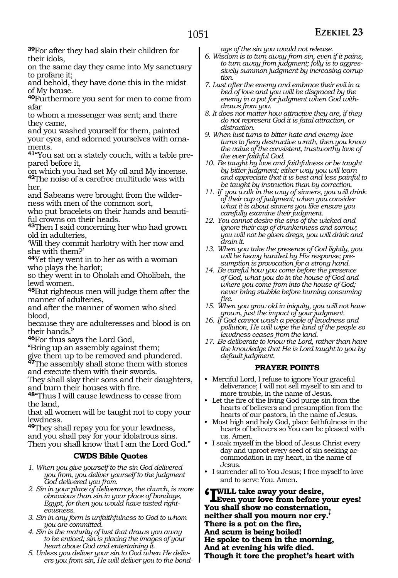**<sup>39</sup>**For after they had slain their children for their idols,

on the same day they came into My sanctuary to profane it;

and behold, they have done this in the midst of My house.

**<sup>40</sup>**Furthermore you sent for men to come from afar

to whom a messenger was sent; and there they came,

and you washed yourself for them, painted your eyes, and adorned yourselves with ornaments.

**41**"You sat on a stately couch, with a table prepared before it,

on which you had set My oil and My incense. **<sup>42</sup>**The noise of a carefree multitude was with her,

and Sabeans were brought from the wilderness with men of the common sort,

who put bracelets on their hands and beautiful crowns on their heads.

**<sup>43</sup>**Then I said concerning her who had grown old in adulteries,

'Will they commit harlotry with her now and she with them?'

**<sup>44</sup>**Yet they went in to her as with a woman who plays the harlot;

so they went in to Oholah and Oholibah, the lewd women.

**<sup>45</sup>**But righteous men will judge them after the manner of adulteries,

and after the manner of women who shed blood,

because they are adulteresses and blood is on their hands."

**<sup>46</sup>**For thus says the Lord God,

"Bring up an assembly against them;

give them up to be removed and plundered.

**<sup>47</sup>**The assembly shall stone them with stones and execute them with their swords.

They shall slay their sons and their daughters, and burn their houses with fire.

**<sup>48</sup>**"Thus I will cause lewdness to cease from the land,

that all women will be taught not to copy your lewdness.

**<sup>49</sup>**They shall repay you for your lewdness, and you shall pay for your idolatrous sins. Then you shall know that I am the Lord God."

#### **CWDS Bible Quotes**

- *1. When you give yourself to the sin God delivered you from, you deliver yourself to the judgment God delivered you from.*
- *2. Sin in your place of deliverance, the church, is more obnoxious than sin in your place of bondage, Egypt, for then you would have tasted righteousness.*
- *3. Sin in any form is unfaithfulness to God to whom you are committed.*
- *4. Sin is the maturity of lust that draws you away to be enticed; sin is placing the images of your heart above God and entertaining it.*
- *5. Unless you deliver your sin to God when He delivers you from sin, He will deliver you to the bond-*

*age of the sin you would not release.*

- *6. Wisdom is to turn away from sin, even if it pains, to turn away from judgment; folly is to aggressively summon judgment by increasing corruption.*
- *7. Lust after the enemy and embrace their evil in a bed of love and you will be disgraced by the enemy in a pot for judgment when God withdraws from you.*
- *8. It does not matter how attractive they are, if they do not represent God it is fatal attraction, or distraction.*
- *9. When lust turns to bitter hate and enemy love turns to fiery destructive wrath, then you know the value of the consistent, trustworthy love of the ever faithful God.*
- *10. Be taught by love and faithfulness or be taught by bitter judgment; either way you will learn and appreciate that it is best and less painful to be taught by instruction than by correction.*
- *11. If you walk in the way of sinners, you will drink of their cup of judgment; when you consider what it is about sinners you like ensure you carefully examine their judgment.*
- *12. You cannot desire the sins of the wicked and ignore their cup of drunkenness and sorrow; you will not be given dregs, you will drink and drain it.*
- *13. When you take the presence of God lightly, you will be heavy handed by His response; presumption is provocation for a strong hand.*
- *14. Be careful how you come before the presence of God, what you do in the house of God and where you come from into the house of God; never bring stubble before burning consuming fire.*
- *15. When you grow old in iniquity, you will not have grown, just the impact of your judgment.*
- *16. If God cannot wash a people of lewdness and pollution, He will wipe the land of the people so lewdness ceases from the land.*
- *17. Be deliberate to know the Lord, rather than have the knowledge that He is Lord taught to you by default judgment.*

#### **PRAYER POINTS**

- Merciful Lord, I refuse to ignore Your graceful deliverance; I will not sell myself to sin and to more trouble, in the name of Jesus.
- Let the fire of the living God purge sin from the hearts of believers and presumption from the hearts of our pastors, in the name of Jesus.
- Most high and holy God, place faithfulness in the hearts of believers so You can be pleased with us. Amen.
- I soak myself in the blood of Jesus Christ every day and uproot every seed of sin seeking accommodation in my heart, in the name of Jesus.
- I surrender all to You Jesus; I free myself to love and to serve You. Amen.

**'I will take away your desire, Even your love from before your eyes! You shall show no consternation, neither shall you mourn nor cry.' There is a pot on the fire, And scum is being boiled! He spoke to them in the morning, And at evening his wife died. Though it tore the prophet's heart with**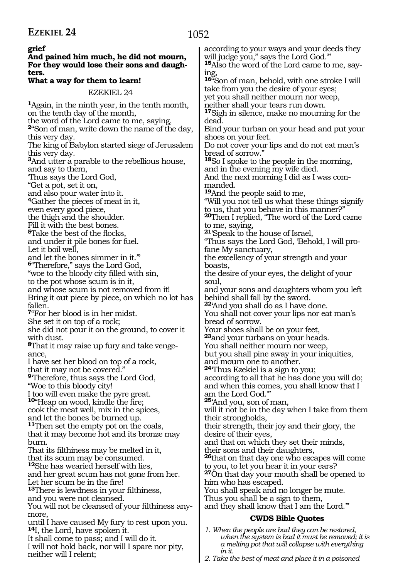**grief And pained him much, he did not mourn, For they would lose their sons and daughters. What a way for them to learn!** EZEKIEL 24 **<sup>1</sup>**Again, in the ninth year, in the tenth month, on the tenth day of the month, the word of the Lord came to me, saying, **<sup>2</sup>**"Son of man, write down the name of the day, this very day. The king of Babylon started siege of Jerusalem this very day. **<sup>3</sup>**And utter a parable to the rebellious house, and say to them, 'Thus says the Lord God, "Get a pot, set it on, and also pour water into it. **<sup>4</sup>**Gather the pieces of meat in it, even every good piece, the thigh and the shoulder. Fill it with the best bones. **<sup>5</sup>**Take the best of the flocks, and under it pile bones for fuel. Let it boil well, and let the bones simmer in it." **<sup>6</sup>**"Therefore," says the Lord God, "woe to the bloody city filled with sin, to the pot whose scum is in it, and whose scum is not removed from it! Bring it out piece by piece, on which no lot has fallen. **<sup>7</sup>**"For her blood is in her midst. She set it on top of a rock; she did not pour it on the ground, to cover it with dust. **8**That it may raise up fury and take vengeance, I have set her blood on top of a rock, that it may not be covered." **<sup>9</sup>**'Therefore, thus says the Lord God, "Woe to this bloody city! I too will even make the pyre great. **<sup>10</sup>**"Heap on wood, kindle the fire; cook the meat well, mix in the spices, and let the bones be burned up. **<sup>11</sup>**Then set the empty pot on the coals, that it may become hot and its bronze may burn. That its filthiness may be melted in it, that its scum may be consumed. **<sup>12</sup>**She has wearied herself with lies, and her great scum has not gone from her. Let her scum be in the fire! **<sup>13</sup>**There is lewdness in your filthiness, and you were not cleansed. You will not be cleansed of your filthiness any- more, until I have caused My fury to rest upon you. **<sup>14</sup>**I, the Lord, have spoken it. It shall come to pass; and I will do it. I will not hold back, nor will I spare nor pity, neither will I relent; according to your ways and your deeds they will judge you," says the Lord God." **15**Also the word of the Lord came to me, saying, **<sup>16</sup>**"Son of man, behold, with one stroke I will take from you the desire of your eyes; yet you shall neither mourn nor weep, neither shall your tears run down. **<sup>17</sup>**Sigh in silence, make no mourning for the dead. Bind your turban on your head and put your shoes on your feet. Do not cover your lips and do not eat man's bread of sorrow." **<sup>18</sup>**So I spoke to the people in the morning, and in the evening my wife died. And the next morning I did as I was commanded. **<sup>19</sup>**And the people said to me, "Will you not tell us what these things signify to us, that you behave in this manner?" **<sup>20</sup>**Then I replied, "The word of the Lord came to me, saying, **<sup>21</sup>**'Speak to the house of Israel, "Thus says the Lord God, 'Behold, I will profane My sanctuary, the excellency of your strength and your boasts, the desire of your eyes, the delight of your soul, and your sons and daughters whom you left behind shall fall by the sword. **<sup>22</sup>**'And you shall do as I have done. You shall not cover your lips nor eat man's bread of sorrow. Your shoes shall be on your feet, **<sup>23</sup>**and your turbans on your heads. You shall neither mourn nor weep, but you shall pine away in your iniquities, and mourn one to another. **<sup>24</sup>**'Thus Ezekiel is a sign to you; according to all that he has done you will do; and when this comes, you shall know that I am the Lord God.'" **<sup>25</sup>**'And you, son of man, will it not be in the day when I take from them their strongholds, their strength, their joy and their glory, the desire of their eyes, and that on which they set their minds, their sons and their daughters, **<sup>26</sup>**that on that day one who escapes will come to you, to let you hear it in your ears? **<sup>27</sup>**On that day your mouth shall be opened to him who has escaped. You shall speak and no longer be mute. Thus you shall be a sign to them, and they shall know that I am the Lord.'" **CWDS Bible Quotes** *1. When the people are bad they can be restored, when the system is bad it must be removed; it is a melting pot that will collapse with everything in it.*

*2. Take the best of meat and place it in a poisoned*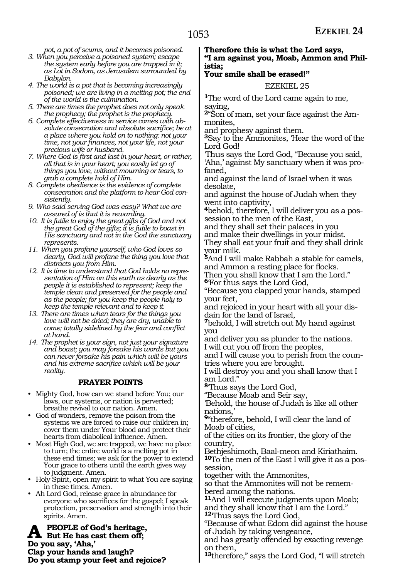*pot, a pot of scums, and it becomes poisoned.*

- *3. When you perceive a poisoned system; escape the system early before you are trapped in it; as Lot in Sodom, as Jerusalem surrounded by Babylon.*
- *4. The world is a pot that is becoming increasingly poisoned; we are living in a melting pot; the end of the world is the culmination.*
- *5. There are times the prophet does not only speak the prophecy; the prophet is the prophecy.*
- *6. Complete effectiveness in service comes with absolute consecration and absolute sacrifice; be at a place where you hold on to nothing: not your time, not your finances, not your life, not your precious wife or husband.*
- *7. Where God is first and last in your heart, or rather, all that is in your heart; you easily let go of things you love, without mourning or tears, to grab a complete hold of Him.*
- *8. Complete obedience is the evidence of complete consecration and the platform to hear God consistently.*
- *9. Who said serving God was easy? What we are assured of is that it is rewarding.*
- *10. It is futile to enjoy the great gifts of God and not the great God of the gifts; it is futile to boast in His sanctuary and not in the God the sanctuary represents.*
- *11. When you profane yourself, who God loves so dearly, God will profane the thing you love that distracts you from Him.*
- *12. It is time to understand that God holds no representation of Him on this earth as dearly as the people it is established to represent; keep the temple clean and preserved for the people and as the people; for you keep the people holy to keep the temple relevant and to keep it.*
- *13. There are times when tears for the things you love will not be dried; they are dry, unable to come; totally sidelined by the fear and conflict at hand.*
- *14. The prophet is your sign, not just your signature and boast; you may forsake his words but you can never forsake his pain which will be yours and his extreme sacrifice which will be your reality.*

#### **PRAYER POINTS**

- Mighty God, how can we stand before You; our laws, our systems, or nation is perverted; breathe revival to our nation. Amen.
- God of wonders, remove the poison from the systems we are forced to raise our children in; cover them under Your blood and protect their hearts from diabolical influence. Amen.
- Most High God, we are trapped, we have no place to turn; the entire world is a melting pot in these end times; we ask for the power to extend Your grace to others until the earth gives way to judgment. Amen.
- Holy Spirit, open my spirit to what You are saying in these times. Amen.
- Ah Lord God, release grace in abundance for everyone who sacrifices for the gospel; I speak protection, preservation and strength into their spirits. Amen.

**A** PEOPLE of God's heritage,<br>But He has cast them off;<br>De rew car, then, **Do you say, 'Aha,' Clap your hands and laugh? Do you stamp your feet and rejoice?**

#### **Therefore this is what the Lord says, "I am against you, Moab, Ammon and Philistia;**

#### **Your smile shall be erased!"**

#### EZEKIEL 25

**<sup>1</sup>**The word of the Lord came again to me, saying,

**2**"Son of man, set your face against the Ammonites,

and prophesy against them.

**<sup>3</sup>**Say to the Ammonites, 'Hear the word of the Lord God!

'Thus says the Lord God, "Because you said, 'Aha,' against My sanctuary when it was profaned,

and against the land of Israel when it was desolate,

and against the house of Judah when they went into captivity,

**4**behold, therefore, I will deliver you as a possession to the men of the East,

and they shall set their palaces in you

and make their dwellings in your midst. They shall eat your fruit and they shall drink your milk.

**<sup>5</sup>**And I will make Rabbah a stable for camels, and Ammon a resting place for flocks.

Then you shall know that I am the Lord." **<sup>6</sup>**'For thus says the Lord God,

"Because you clapped your hands, stamped your feet,

and rejoiced in your heart with all your disdain for the land of Israel,

**<sup>7</sup>**behold, I will stretch out My hand against you

and deliver you as plunder to the nations. I will cut you off from the peoples,

and I will cause you to perish from the coun- tries where you are brought.

I will destroy you and you shall know that I am Lord."

**<sup>8</sup>**'Thus says the Lord God,

"Because Moab and Seir say,

'Behold, the house of Judah is like all other nations,'

**<sup>9</sup>**"therefore, behold, I will clear the land of Moab of cities,

of the cities on its frontier, the glory of the country,

Bethjeshimoth, Baal-meon and Kiriathaim. **10**To the men of the East I will give it as a possession,

together with the Ammonites,

so that the Ammonites will not be remembered among the nations.

**<sup>11</sup>**And I will execute judgments upon Moab; and they shall know that I am the Lord." **<sup>12</sup>**'Thus says the Lord God,

"Because of what Edom did against the house of Judah by taking vengeance,

and has greatly offended by exacting revenge on them,

**<sup>13</sup>**therefore," says the Lord God, "I will stretch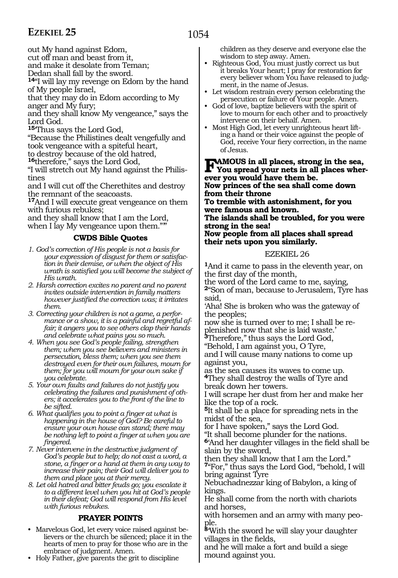1054

out My hand against Edom,

cut off man and beast from it,

and make it desolate from Teman;

Dedan shall fall by the sword.

**<sup>14</sup>**"I will lay my revenge on Edom by the hand of My people Israel,

that they may do in Edom according to My anger and My fury;

and they shall know My vengeance," says the Lord God.

**<sup>15</sup>**'Thus says the Lord God,

"Because the Philistines dealt vengefully and took vengeance with a spiteful heart,

to destroy because of the old hatred,

**<sup>16</sup>**therefore," says the Lord God,

"I will stretch out My hand against the Philistines

and I will cut off the Cherethites and destroy the remnant of the seacoasts.

**<sup>17</sup>**And I will execute great vengeance on them with furious rebukes;

and they shall know that I am the Lord, when I lay My vengeance upon them.""

#### **CWDS Bible Quotes**

- *1. God's correction of His people is not a basis for your expression of disgust for them or satisfaction in their demise, or when the object of His wrath is satisfied you will become the subject of His wrath.*
- *2. Harsh correction excites no parent and no parent invites outside intervention in family matters however justified the correction was; it irritates them.*
- *3. Correcting your children is not a game, a performance or a show, it is a painful and regretful affair; it angers you to see others clap their hands and celebrate what pains you so much.*
- *4. When you see God's people failing, strengthen them; when you see believers and ministers in persecution, bless them; when you see them destroyed even for their own failures, mourn for them; for you will mourn for your own sake if you celebrate.*
- *5. Your own faults and failures do not justify you celebrating the failures and punishment of others; it accelerates you to the front of the line to be sifted.*
- *6. What qualifies you to point a finger at what is happening in the house of God? Be careful to ensure your own house can stand; there may be nothing left to point a finger at when you are fingered.*
- *7. Never intervene in the destructive judgment of God's people but to help; do not cast a word, a stone, a finger or a hand at them in any way to increase their pain; their God will deliver you to them and place you at their mercy.*

*8. Let old hatred and bitter feuds go; you escalate it to a different level when you hit at God's people in their defeat; God will respond from His level with furious rebukes.*

#### **PRAYER POINTS**

- Marvelous God, let every voice raised against believers or the church be silenced; place it in the hearts of men to pray for those who are in the embrace of judgment. Amen.
- Holy Father, give parents the grit to discipline

children as they deserve and everyone else the wisdom to step away. Amen.

- Righteous God, You must justly correct us but it breaks Your heart; I pray for restoration for every believer whom You have released to judgment, in the name of Jesus.
- Let wisdom restrain every person celebrating the persecution or failure of Your people. Amen.
- God of love, baptize believers with the spirit of love to mourn for each other and to proactively intervene on their behalf. Amen.
- Most High God, let every unrighteous heart lifting a hand or their voice against the people of God, receive Your fiery correction, in the name of Jesus.

**Famous in all places, strong in the sea, You spread your nets in all places wher- ever you would have them be. Now princes of the sea shall come down from their throne To tremble with astonishment, for you were famous and known. The islands shall be troubled, for you were strong in the sea! Now people from all places shall spread their nets upon you similarly.**

#### EZEKIEL 26

**<sup>1</sup>**And it came to pass in the eleventh year, on the first day of the month,

the word of the Lord came to me, saying, **<sup>2</sup>**"Son of man, because to Jerusalem, Tyre has said,

'Aha! She is broken who was the gateway of the peoples;

now she is turned over to me; I shall be replenished now that she is laid waste.'

**<sup>3</sup>**Therefore,'' thus says the Lord God,

"Behold, I am against you, O Tyre, and I will cause many nations to come up

against you, as the sea causes its waves to come up.

**<sup>4</sup>**They shall destroy the walls of Tyre and break down her towers.

I will scrape her dust from her and make her like the top of a rock.

**<sup>5</sup>**It shall be a place for spreading nets in the midst of the sea,

for I have spoken," says the Lord God.

"It shall become plunder for the nations. **<sup>6</sup>**'And her daughter villages in the field shall be slain by the sword,

then they shall know that I am the Lord." **<sup>7</sup>**"For," thus says the Lord God, "behold, I will bring against Tyre

Nebuchadnezzar king of Babylon, a king of kings.

He shall come from the north with chariots and horses,

with horsemen and an army with many people.

**<sup>8</sup>**'With the sword he will slay your daughter villages in the fields,

and he will make a fort and build a siege mound against you.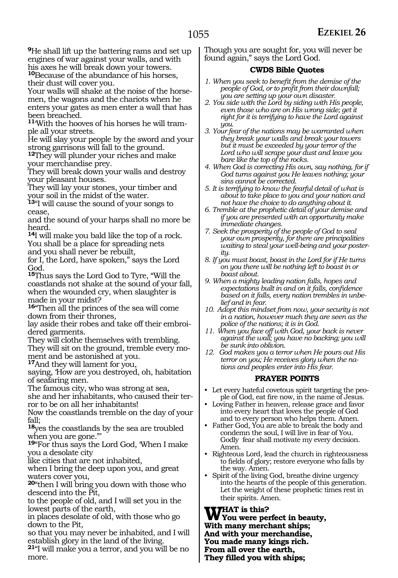**<sup>9</sup>**He shall lift up the battering rams and set up engines of war against your walls, and with his axes he will break down your towers. **<sup>10</sup>**Because of the abundance of his horses, their dust will cover you.

Your walls will shake at the noise of the horsemen, the wagons and the chariots when he enters your gates as men enter a wall that has been breached.

**11**'With the hooves of his horses he will trample all your streets.

He will slay your people by the sword and your strong garrisons will fall to the ground.

**<sup>12</sup>**They will plunder your riches and make your merchandise prey.

They will break down your walls and destroy your pleasant houses.

They will lay your stones, your timber and your soil in the midst of the water.

**<sup>13</sup>**"I will cause the sound of your songs to cease,

and the sound of your harps shall no more be heard.

**<sup>14</sup>**I will make you bald like the top of a rock. You shall be a place for spreading nets and you shall never be rebuilt,

for I, the Lord, have spoken," says the Lord God.

**<sup>15</sup>**Thus says the Lord God to Tyre, "Will the coastlands not shake at the sound of your fall, when the wounded cry, when slaughter is made in your midst?

**<sup>16</sup>**"Then all the princes of the sea will come down from their thrones,

lay aside their robes and take off their embroidered garments.

They will clothe themselves with trembling.

They will sit on the ground, tremble every moment and be astonished at you.

**<sup>17</sup>**And they will lament for you,

saying, 'How are you destroyed, oh, habitation of seafaring men.

The famous city, who was strong at sea,

she and her inhabitants, who caused their terror to be on all her inhabitants!

Now the coastlands tremble on the day of your fall;

**<sup>18</sup>**yes the coastlands by the sea are troubled when you are gone."'

**<sup>19</sup>**"For thus says the Lord God, 'When I make you a desolate city

like cities that are not inhabited,

when I bring the deep upon you, and great waters cover you,

**<sup>20</sup>**"then I will bring you down with those who descend into the Pit,

to the people of old, and I will set you in the lowest parts of the earth,

in places desolate of old, with those who go down to the Pit,

so that you may never be inhabited, and I will establish glory in the land of the living.

**<sup>21</sup>**"I will make you a terror, and you will be no more.

Though you are sought for, you will never be found again," says the Lord God.

#### **CWDS Bible Quotes**

- *1. When you seek to benefit from the demise of the people of God, or to profit from their downfall; you are setting up your own disaster.*
- *2. You side with the Lord by siding with His people, even those who are on His wrong side; get it right for it is terrifying to have the Lord against you.*
- *3. Your fear of the nations may be warranted when they break your walls and break your towers but it must be exceeded by your terror of the Lord who will scrape your dust and leave you bare like the top of the rocks.*
- *4. When God is correcting His own, say nothing, for if God turns against you He leaves nothing; your sins cannot be corrected.*
- *5. It is terrifying to know the fearful detail of what is about to take place to you and your nation and not have the choice to do anything about it.*
- *6. Tremble at the prophetic detail of your demise and if you are presented with an opportunity make immediate changes.*
- *7. Seek the prosperity of the people of God to seal your own prosperity, for there are principalities waiting to steal your well-being and your posterity.*
- *8. If you must boast, boast in the Lord for if He turns on you there will be nothing left to boast in or boast about.*
- *9. When a mighty leading nation falls, hopes and expectations built in and on it falls, confidence based on it falls, every nation trembles in unbelief and in fear.*
- *10. Adopt this mindset from now, your security is not in a nation, however much they are seen as the police of the nations; it is in God.*
- *11. When you face off with God, your back is never against the wall; you have no backing; you will be sunk into oblivion.*
- *12. God makes you a terror when He pours out His terror on you; He receives glory when the nations and peoples enter into His fear.*

#### **PRAYER POINTS**

- Let every hateful covetous spirit targeting the people of God, eat fire now, in the name of Jesus.
- Loving Father in heaven, release grace and favor into every heart that loves the people of God and to every person who helps them. Amen.
- Father God, You are able to break the body and condemn the soul, I will live in fear of You. Godly fear shall motivate my every decision. Amen.
- Righteous Lord, lead the church in righteousness to fields of glory; restore everyone who falls by the way. Amen.
- Spirit of the living God, breathe divine urgency into the hearts of the people of this generation. Let the weight of these prophetic times rest in their spirits. Amen.

**What is this? You were perfect in beauty, With many merchant ships; And with your merchandise, You made many kings rich. From all over the earth, They filled you with ships;**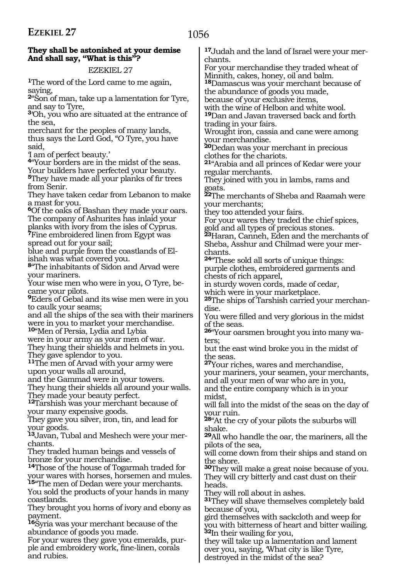#### **They shall be astonished at your demise And shall say, "What is this"?**

EZEKIEL 27

**<sup>1</sup>**The word of the Lord came to me again, saying,

**<sup>2</sup>**"Son of man, take up a lamentation for Tyre, and say to Tyre,

**<sup>3</sup>**'Oh, you who are situated at the entrance of the sea,

merchant for the peoples of many lands, thus says the Lord God, "O Tyre, you have said,

'I am of perfect beauty.'

**<sup>4</sup>**"Your borders are in the midst of the seas. Your builders have perfected your beauty. **<sup>5</sup>**They have made all your planks of fir trees from Senir.

They have taken cedar from Lebanon to make a mast for you.

**<sup>6</sup>**Of the oaks of Bashan they made your oars. The company of Ashurites has inlaid your planks with ivory from the isles of Cyprus. **<sup>7</sup>**Fine embroidered linen from Egypt was spread out for your sail;

blue and purple from the coastlands of Elishah was what covered you.

**<sup>8</sup>**"The inhabitants of Sidon and Arvad were your mariners.

Your wise men who were in you, O Tyre, became your pilots.

**<sup>9</sup>**Eders of Gebal and its wise men were in you to caulk your seams;

and all the ships of the sea with their mariners were in you to market your merchandise.

**<sup>10</sup>**"Men of Persia, Lydia and Lybia

were in your army as your men of war.

They hung their shields and helmets in you. They gave splendor to you.

**<sup>11</sup>**The men of Arvad with your army were upon your walls all around,

and the Gammad were in your towers.

They hung their shields all around your walls. They made your beauty perfect.

**<sup>12</sup>**Tarshish was your merchant because of your many expensive goods.

They gave you silver, iron, tin, and lead for your goods.

**<sup>13</sup>**Javan, Tubal and Meshech were your mer- chants.

They traded human beings and vessels of bronze for your merchandise.

**<sup>14</sup>**Those of the house of Togarmah traded for your wares with horses, horsemen and mules. **<sup>15</sup>**"The men of Dedan were your merchants.

You sold the products of your hands in many coastlands.

They brought you horns of ivory and ebony as payment.

**<sup>16</sup>**Syria was your merchant because of the abundance of goods you made.<br>For your wares they gave you emeralds, pur-

ple and embroidery work, fine-linen, corals and rubies.

**17**Judah and the land of Israel were your merchants.

For your merchandise they traded wheat of Minnith, cakes, honey, oil and balm.

**<sup>18</sup>**Damascus was your merchant because of the abundance of goods you made,

because of your exclusive items,

with the wine of Helbon and white wool. **<sup>19</sup>**Dan and Javan traversed back and forth trading in your fairs.

Wrought iron, cassia and cane were among your merchandise.

**<sup>20</sup>**Dedan was your merchant in precious clothes for the chariots.

**<sup>21</sup>**"Arabia and all princes of Kedar were your regular merchants.

They joined with you in lambs, rams and goats.

**<sup>22</sup>**The merchants of Sheba and Raamah were your merchants;

they too attended your fairs.

For your wares they traded the chief spices, gold and all types of precious stones.

**<sup>23</sup>**Haran, Canneh, Eden and the merchants of Sheba, Asshur and Chilmad were your merchants.

**<sup>24</sup>**"These sold all sorts of unique things: purple clothes, embroidered garments and chests of rich apparel,

in sturdy woven cords, made of cedar,

which were in your marketplace.

**25**The ships of Tarshish carried your merchandise.

You were filled and very glorious in the midst of the seas.

**<sup>26</sup>**"Your oarsmen brought you into many wa- ters;

but the east wind broke you in the midst of the seas.

**<sup>27</sup>**Your riches, wares and merchandise, your mariners, your seamen, your merchants, and all your men of war who are in you,

and the entire company which is in your midst,

will fall into the midst of the seas on the day of your ruin.

**<sup>28</sup>**"At the cry of your pilots the suburbs will shake.

**<sup>29</sup>**All who handle the oar, the mariners, all the pilots of the sea,

will come down from their ships and stand on the shore.

**<sup>30</sup>**They will make a great noise because of you. They will cry bitterly and cast dust on their heads.

They will roll about in ashes.

**<sup>31</sup>**They will shave themselves completely bald because of you,

gird themselves with sackcloth and weep for you with bitterness of heart and bitter wailing. **<sup>32</sup>**In their wailing for you,

they will take up a lamentation and lament over you, saying, 'What city is like Tyre, destroyed in the midst of the sea?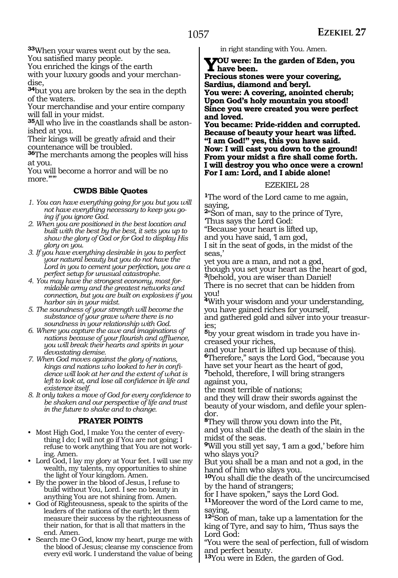**<sup>33</sup>**When your wares went out by the sea. You satisfied many people.

You enriched the kings of the earth

with your luxury goods and your merchandise,

**<sup>34</sup>**but you are broken by the sea in the depth of the waters.

Your merchandise and your entire company will fall in your midst.

**<sup>35</sup>**All who live in the coastlands shall be aston- ished at you.

Their kings will be greatly afraid and their countenance will be troubled.

**<sup>36</sup>**The merchants among the peoples will hiss at you.

You will become a horror and will be no more.""

#### **CWDS Bible Quotes**

- *1. You can have everything going for you but you will not have everything necessary to keep you going if you ignore God.*
- *2. When you are positioned in the best location and built with the best by the best, it sets you up to show the glory of God or for God to display His glory on you.*
- *3. If you have everything desirable in you to perfect your natural beauty but you do not have the Lord in you to cement your perfection, you are a perfect setup for unusual catastrophe.*
- *4. You may have the strongest economy, most formidable army and the greatest networks and connection, but you are built on explosives if you harbor sin in your midst.*
- *5. The soundness of your strength will become the substance of your grave where there is no soundness in your relationship with God.*
- *6. Where you capture the awe and imaginations of nations because of your flourish and affluence, you will break their hearts and spirits in your devastating demise.*
- *7. When God moves against the glory of nations, kings and nations who looked to her in confidence will look at her and the extent of what is left to look at, and lose all confidence in life and existence itself.*
- *8. It only takes a move of God for every confidence to be shaken and our perspective of life and trust in the future to shake and to change.*

#### **PRAYER POINTS**

- Most High God, I make You the center of everything I do; I will not go if You are not going; I refuse to work anything that You are not working. Amen.
- Lord God, I lay my glory at Your feet. I will use my wealth, my talents, my opportunities to shine the light of Your kingdom. Amen.
- By the power in the blood of Jesus, I refuse to build without You, Lord. I see no beauty in anything You are not shining from. Amen.
- God of Righteousness, speak to the spirits of the leaders of the nations of the earth; let them measure their success by the righteousness of their nation, for that is all that matters in the end. Amen.
- Search me O God, know my heart, purge me with the blood of Jesus; cleanse my conscience from every evil work. I understand the value of being

in right standing with You. Amen.

**You were: In the garden of Eden, you have been.** 

**Precious stones were your covering, Sardius, diamond and beryl.** 

**You were: A covering, anointed cherub; Upon God's holy mountain you stood! Since you were created you were perfect and loved.**

**You became: Pride-ridden and corrupted. Because of beauty your heart was lifted. "I am God!" yes, this you have said. Now: I will cast you down to the ground! From your midst a fire shall come forth. I will destroy you who once were a crown! For I am: Lord, and I abide alone!** 

#### EZEKIEL 28

**<sup>1</sup>**The word of the Lord came to me again, saying,

**<sup>2</sup>**"Son of man, say to the prince of Tyre,

'Thus says the Lord God:

"Because your heart is lifted up,

and you have said, 'I am god, I sit in the seat of gods, in the midst of the seas,'

yet you are a man, and not a god,

though you set your heart as the heart of god, **<sup>3</sup>**(behold, you are wiser than Daniel!

There is no secret that can be hidden from you!

**<sup>4</sup>**With your wisdom and your understanding, you have gained riches for yourself,

and gathered gold and silver into your treasuries;

**5**by your great wisdom in trade you have increased your riches,

and your heart is lifted up because of this). **<sup>6</sup>**Therefore," says the Lord God, "because you have set your heart as the heart of god,

**<sup>7</sup>**behold, therefore, I will bring strangers against you,

the most terrible of nations;

and they will draw their swords against the beauty of your wisdom, and defile your splendor.

**<sup>8</sup>**They will throw you down into the Pit, and you shall die the death of the slain in the midst of the seas.

**9**Will you still yet say, I am a god,' before him who slays you?

But you shall be a man and not a god, in the hand of him who slays you.

**<sup>10</sup>**You shall die the death of the uncircumcised by the hand of strangers;

for I have spoken," says the Lord God.

**<sup>11</sup>**Moreover the word of the Lord came to me, saying,

**<sup>12</sup>**"Son of man, take up a lamentation for the king of Tyre, and say to him, 'Thus says the Lord God:

"You were the seal of perfection, full of wisdom and perfect beauty.

**<sup>13</sup>**You were in Eden, the garden of God.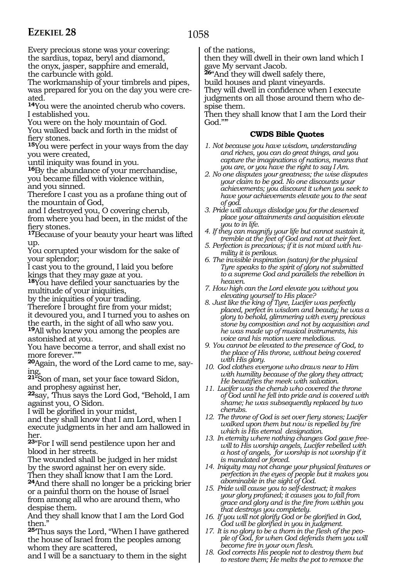### 1058

Every precious stone was your covering: the sardius, topaz, beryl and diamond, the onyx, jasper, sapphire and emerald,

the carbuncle with gold.

The workmanship of your timbrels and pipes, was prepared for you on the day you were created.

**<sup>14</sup>**You were the anointed cherub who covers. I established you.

You were on the holy mountain of God. You walked back and forth in the midst of fiery stones.

**<sup>15</sup>**You were perfect in your ways from the day you were created,

until iniquity was found in you.

**<sup>16</sup>**By the abundance of your merchandise, you became filled with violence within, and you sinned.

Therefore I cast you as a profane thing out of the mountain of God,

and I destroyed you, O covering cherub,

from where you had been, in the midst of the fiery stones.

<sup>17</sup>Because of your beauty your heart was lifted up.

You corrupted your wisdom for the sake of your splendor;

I cast you to the ground, I laid you before kings that they may gaze at you.

**<sup>18</sup>**You have defiled your sanctuaries by the multitude of your iniquities,

by the iniquities of your trading.

Therefore I brought fire from your midst; it devoured you, and I turned you to ashes on the earth, in the sight of all who saw you.

**<sup>19</sup>**All who knew you among the peoples are astonished at you.

You have become a terror, and shall exist no more forever.""

**20**Again, the word of the Lord came to me, say-

**<sup>21</sup>**"Son of man, set your face toward Sidon, and prophesy against her,

**<sup>22</sup>**say, 'Thus says the Lord God, "Behold, I am against you, O Sidon.

I will be glorified in your midst,

and they shall know that I am Lord, when I execute judgments in her and am hallowed in her.

**<sup>23</sup>**"For I will send pestilence upon her and blood in her streets.

The wounded shall be judged in her midst by the sword against her on every side.

Then they shall know that I am the Lord. **<sup>24</sup>**And there shall no longer be a pricking brier

or a painful thorn on the house of Israel from among all who are around them, who despise them.

And they shall know that I am the Lord God then.'

**<sup>25</sup>**'Thus says the Lord, "When I have gathered the house of Israel from the peoples among whom they are scattered,

and I will be a sanctuary to them in the sight

of the nations,

then they will dwell in their own land which I gave My servant Jacob.

**<sup>26</sup>**"And they will dwell safely there,

build houses and plant vineyards.

They will dwell in confidence when I execute judgments on all those around them who despise them.

Then they shall know that I am the Lord their God.""

#### **CWDS Bible Quotes**

- *1. Not because you have wisdom, understanding and riches, you can do great things, and you capture the imaginations of nations, means that you are, or you have the right to say I Am.*
- *2. No one disputes your greatness; the wise disputes your claim to be god. No one discounts your achievements; you discount it when you seek to have your achievements elevate you to the seat of god.*
- *3. Pride will always dislodge you for the deserved place your attainments and acquisition elevate you to in life.*
- *4. If they can magnify your life but cannot sustain it, tremble at the feet of God and not at their feet.*
- *5. Perfection is precarious; if it is not mixed with humility it is perilous.*
- *6. The invisible inspiration (satan) for the physical Tyre speaks to the spirit of glory not submitted to a supreme God and parallels the rebellion in heaven.*
- *7. How high can the Lord elevate you without you elevating yourself to His place?*
- *8. Just like the king of Tyre, Lucifer was perfectly placed, perfect in wisdom and beauty; he was a glory to behold, glimmering with every precious stone by composition and not by acquisition and he was made up of musical instruments, his voice and his motion were melodious.*
- *9. You cannot be elevated to the presence of God, to the place of His throne, without being covered with His glory.*
- *10. God clothes everyone who draws near to Him with humility because of the glory they attract; He beautifies the meek with salvation.*
- *11. Lucifer was the cherub who covered the throne of God until he fell into pride and is covered with shame; he was subsequently replaced by two cherubs.*
- *12. The throne of God is set over fiery stones; Lucifer walked upon them but now is repelled by fire which is His eternal designation.*
- *13. In eternity where nothing changes God gave freewill to His worship angels, Lucifer rebelled with a host of angels, for worship is not worship if it is mandated or forced.*
- *14. Iniquity may not change your physical features or perfection in the eyes of people but it makes you abominable in the sight of God.*
- *15. Pride will cause you to self-destruct; it makes your glory profaned; it causes you to fall from grace and glory and is the fire from within you that destroys you completely.*
- *16. If you will not glorify God or be glorified in God, God will be glorified in you in judgment.*
- *17. It is no glory to be a thorn in the flesh of the people of God, for when God defends them you will become fire in your own flesh.*
- *18. God corrects His people not to destroy them but to restore them; He melts the pot to remove the*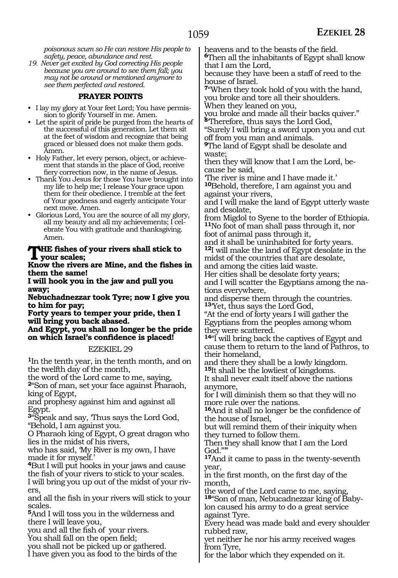*poisonous scum so He can restore His people to safety, peace, abundance and rest.*

*19. Never get excited by God correcting His people because you are around to see them fall; you may not be around or mentioned anymore to see them perfected and restored.*

#### **PRAYER POINTS**

- I lay my glory at Your feet Lord; You have permission to glorify Yourself in me. Amen.
- Let the spirit of pride be purged from the hearts of the successful of this generation. Let them sit at the feet of wisdom and recognize that being graced or blessed does not make them gods. Amen.
- Holy Father, let every person, object, or achievement that stands in the place of God, receive fiery correction now, in the name of Jesus.
- Thank You Jesus for those You have brought into my life to help me; I release Your grace upon them for their obedience. I tremble at the feet of Your goodness and eagerly anticipate Your next move. Amen.
- Glorious Lord, You are the source of all my glory, all my beauty and all my achievements; I celebrate You with gratitude and thanksgiving. Amen.

#### **The fishes of your rivers shall stick to your scales;**

**Know the rivers are Mine, and the fishes in them the same!**

**I will hook you in the jaw and pull you away;**

**Nebuchadnezzar took Tyre; now I give you to him for pay;**

**Forty years to temper your pride, then I will bring you back abased.**

**And Egypt, you shall no longer be the pride on which Israel's confidence is placed!**

#### EZEKIEL 29

**<sup>1</sup>**In the tenth year, in the tenth month, and on the twelfth day of the month,

the word of the Lord came to me, saying, **<sup>2</sup>**"Son of man, set your face against Pharaoh, king of Egypt,

and prophesy against him and against all Egypt.

**<sup>3</sup>**"Speak and say, 'Thus says the Lord God, "Behold, I am against you.

O Pharaoh king of Egypt, O great dragon who lies in the midst of his rivers,

who has said, 'My River is my own, I have made it for myself.'

**<sup>4</sup>**But I will put hooks in your jaws and cause the fish of your rivers to stick to your scales. I will bring you up out of the midst of your rivers,

and all the fish in your rivers will stick to your scales.

**<sup>5</sup>**And I will toss you in the wilderness and there I will leave you,

you and all the fish of your rivers.

You shall fall on the open field;

you shall not be picked up or gathered.

I have given you as food to the birds of the

heavens and to the beasts of the field.

**<sup>6</sup>**Then all the inhabitants of Egypt shall know that I am the Lord,

because they have been a staff of reed to the house of Israel.

**<sup>7</sup>**"When they took hold of you with the hand, you broke and tore all their shoulders. When they leaned on you,

you broke and made all their backs quiver." **<sup>8</sup>**'Therefore, thus says the Lord God,

"Surely I will bring a sword upon you and cut off from you man and animals.

**<sup>9</sup>**The land of Egypt shall be desolate and waste;

then they will know that I am the Lord, because he said,

'The river is mine and I have made it.'

**<sup>10</sup>**Behold, therefore, I am against you and against your rivers,

and I will make the land of Egypt utterly waste and desolate,

from Migdol to Syene to the border of Ethiopia. **<sup>11</sup>**No foot of man shall pass through it, nor foot of animal pass through it,

and it shall be uninhabited for forty years.

**<sup>12</sup>**I will make the land of Egypt desolate in the midst of the countries that are desolate,

and among the cities laid waste.

Her cities shall be desolate forty years; and I will scatter the Egyptians among the nations everywhere,

and disperse them through the countries. **<sup>13</sup>**'Yet, thus says the Lord God,

"At the end of forty years I will gather the Egyptians from the peoples among whom they were scattered.

**<sup>14</sup>**"I will bring back the captives of Egypt and cause them to return to the land of Pathros, to their homeland,

and there they shall be a lowly kingdom. **<sup>15</sup>**It shall be the lowliest of kingdoms.

It shall never exalt itself above the nations anymore,

for I will diminish them so that they will no more rule over the nations.

**<sup>16</sup>**And it shall no longer be the confidence of the house of Israel,

but will remind them of their iniquity when they turned to follow them.

Then they shall know that I am the Lord God.""

**<sup>17</sup>**And it came to pass in the twenty-seventh year,

in the first month, on the first day of the month,

the word of the Lord came to me, saying,

**18**"Son of man, Nebucadnezzar king of Babylon caused his army to do a great service against Tyre.

Every head was made bald and every shoulder rubbed raw,

yet neither he nor his army received wages from Tyre,

for the labor which they expended on it.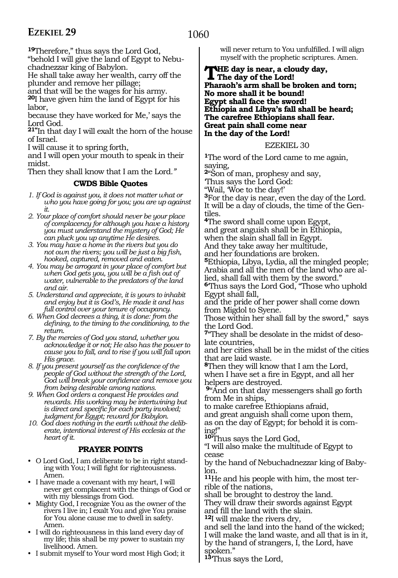### 1060

**<sup>19</sup>**Therefore," thus says the Lord God,

"behold I will give the land of Egypt to Nebu- chadnezzar king of Babylon.

He shall take away her wealth, carry off the plunder and remove her pillage;

and that will be the wages for his army.

**<sup>20</sup>**I have given him the land of Egypt for his labor,

because they have worked for Me,' says the Lord God.

**21"**In that day I will exalt the horn of the house of Israel.

I will cause it to spring forth,

and I will open your mouth to speak in their midst.

Then they shall know that I am the Lord*."*

### **CWDS Bible Quotes**

- *1. If God is against you, it does not matter what or who you have going for you; you are up against it.*
- *2. Your place of comfort should never be your place of complacency for although you have a history you must understand the mystery of God; He can pluck you up anytime He desires.*
- *3. You may have a home in the rivers but you do not own the rivers; you will be just a big fish, hooked, captured, removed and eaten.*
- *4. You may be arrogant in your place of comfort but when God gets you, you will be a fish out of water, vulnerable to the predators of the land and air.*
- *5. Understand and appreciate, it is yours to inhabit and enjoy but it is God's, He made it and has full control over your tenure of occupancy.*
- *6. When God decrees a thing, it is done: from the defining, to the timing to the conditioning, to the return.*
- *7. By the mercies of God you stand, whether you acknowledge it or not; He also has the power to cause you to fall, and to rise if you will fall upon His grace.*
- *8. If you present yourself as the confidence of the people of God without the strength of the Lord, God will break your confidence and remove you from being desirable among nations.*
- *9. When God orders a conquest He provides and rewards. His working may be intertwining but is direct and specific for each party involved; judgment for Egypt; reward for Babylon.*
- *10. God does nothing in the earth without the deliberate, intentional interest of His ecclesia at the heart of it.*

### **PRAYER POINTS**

- O Lord God, I am deliberate to be in right standing with You; I will fight for righteousness. Amen.
- I have made a covenant with my heart, I will never get complacent with the things of God or with my blessings from God.
- Mighty God, I recognize You as the owner of the rivers I live in; I exalt You and give You praise for You alone cause me to dwell in safety. Amen.
- I will do righteousness in this land every day of my life; this shall be my power to sustain my livelihood. Amen.
- I submit myself to Your word most High God; it

will never return to You unfulfilled. I will align myself with the prophetic scriptures. Amen.

**The day is near, a cloudy day, The day of the Lord! Pharaoh's arm shall be broken and torn; No more shall it be bound! Egypt shall face the sword! Ethiopia and Libya's fall shall be heard; The carefree Ethiopians shall fear. Great pain shall come near In the day of the Lord!**

EZEKIEL 30

**<sup>1</sup>**The word of the Lord came to me again, saying,

**<sup>2</sup>**"Son of man, prophesy and say,

'Thus says the Lord God:

"Wail, 'Woe to the day!'

**<sup>3</sup>**For the day is near, even the day of the Lord. It will be a day of clouds, the time of the Gentiles.

**<sup>4</sup>**The sword shall come upon Egypt, and great anguish shall be in Ethiopia,

when the slain shall fall in Egypt.

And they take away her multitude,

and her foundations are broken.

**<sup>5</sup>**Ethiopia, Libya, Lydia, all the mingled people; Arabia and all the men of the land who are allied, shall fall with them by the sword."

**<sup>6</sup>**'Thus says the Lord God, "Those who uphold Egypt shall fall,

and the pride of her power shall come down from Migdol to Syene.

Those within her shall fall by the sword," says the Lord God.

**7**"They shall be desolate in the midst of desolate countries,

and her cities shall be in the midst of the cities that are laid waste.

**<sup>8</sup>**Then they will know that I am the Lord, when I have set a fire in Egypt, and all her helpers are destroyed.

**<sup>9</sup>**"And on that day messengers shall go forth from Me in ships,

to make carefree Ethiopians afraid, and great anguish shall come upon them, as on the day of Egypt; for behold it is coming!"

**<sup>10</sup>**'Thus says the Lord God,

"I will also make the multitude of Egypt to cease

by the hand of Nebuchadnezzar king of Babylon.

**11**He and his people with him, the most terrible of the nations,

shall be brought to destroy the land. They will draw their swords against Egypt and fill the land with the slain.

**<sup>12</sup>**I will make the rivers dry,

and sell the land into the hand of the wicked; I will make the land waste, and all that is in it, by the hand of strangers, I, the Lord, have spoken."

**<sup>13</sup>**'Thus says the Lord,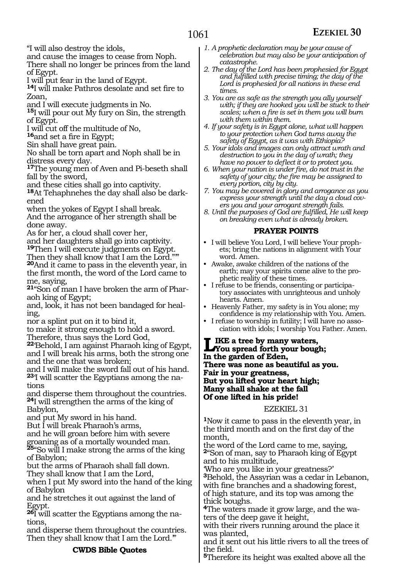"I will also destroy the idols,

and cause the images to cease from Noph.

There shall no longer be princes from the land of Egypt.

I will put fear in the land of Egypt.

**<sup>14</sup>**I will make Pathros desolate and set fire to  $7<sub>can</sub>$ 

and I will execute judgments in No.

**<sup>15</sup>**I will pour out My fury on Sin, the strength of Egypt.

I will cut off the multitude of No,

**<sup>16</sup>**and set a fire in Egypt;

Sin shall have great pain.

No shall be torn apart and Noph shall be in distress every day.

**<sup>17</sup>**The young men of Aven and Pi-beseth shall fall by the sword,

and these cities shall go into captivity.

**18**At Tehaphnehes the day shall also be darkened

when the yokes of Egypt I shall break. And the arrogance of her strength shall be done away.

As for her, a cloud shall cover her,

and her daughters shall go into captivity.

**<sup>19</sup>**Then I will execute judgments on Egypt.

Then they shall know that I am the Lord."" **<sup>20</sup>**And it came to pass in the eleventh year, in the first month, the word of the Lord came to me, saying,

**21**"Son of man I have broken the arm of Pharaoh king of Egypt;

and, look, it has not been bandaged for healing,

nor a splint put on it to bind it,

to make it strong enough to hold a sword. Therefore, thus says the Lord God,

**<sup>22</sup>**'Behold, I am against Pharaoh king of Egypt, and I will break his arms, both the strong one and the one that was broken;

and I will make the sword fall out of his hand. **23**'I will scatter the Egyptians among the nations

and disperse them throughout the countries. **<sup>24</sup>**I will strengthen the arms of the king of Babylon,

and put My sword in his hand.

But I will break Pharaoh's arms,

and he will groan before him with severe groaning as of a mortally wounded man.

**<sup>25</sup>**"So will I make strong the arms of the king of Babylon;

but the arms of Pharaoh shall fall down. They shall know that I am the Lord,

when I put My sword into the hand of the king of Babylon

and he stretches it out against the land of Egypt.

**26**I will scatter the Egyptians among the nations,

and disperse them throughout the countries. Then they shall know that I am the Lord."

#### **CWDS Bible Quotes**

- *1. A prophetic declaration may be your cause of celebration but may also be your anticipation of catastrophe.*
- *2. The day of the Lord has been prophesied for Egypt and fulfilled with precise timing; the day of the Lord is prophesied for all nations in these end times.*
- *3. You are as safe as the strength you ally yourself with; if they are hooked you will be stuck to their scales; when a fire is set in them you will burn with them within them.*

*4. If your safety is in Egypt alone, what will happen to your protection when God turns away the safety of Egypt, as it was with Ethiopia?*

*5. Your idols and images can only attract wrath and destruction to you in the day of wrath; they have no power to deflect it or to protect you.*

*6. When your nation is under fire, do not trust in the safety of your city; the fire may be assigned to every portion, city by city.*

- *7. You may be covered in glory and arrogance as you express your strength until the day a cloud covers you and your arrogant strength fails.*
- *8. Until the purposes of God are fulfilled, He will keep on breaking even what is already broken.*

#### **PRAYER POINTS**

- I will believe You Lord, I will believe Your prophets; bring the nations in alignment with Your word. Amen.
- Awake, awake children of the nations of the earth; may your spirits come alive to the prophetic reality of these times.
- I refuse to be friends, consenting or participatory associates with unrighteous and unholy hearts. Amen.
- Heavenly Father, my safety is in You alone; my confidence is my relationship with You. Amen.
- I refuse to worship in futility; I will have no association with idols; I worship You Father. Amen.

**Like a tree by many waters, You spread forth your bough; In the garden of Eden, There was none as beautiful as you. Fair in your greatness, But you lifted your heart high; Many shall shake at the fall Of one lifted in his pride!**

EZEKIEL 31

**<sup>1</sup>**Now it came to pass in the eleventh year, in the third month and on the first day of the month,

the word of the Lord came to me, saying, **<sup>2</sup>**"Son of man, say to Pharaoh king of Egypt and to his multitude,

'Who are you like in your greatness?' **<sup>3</sup>**Behold, the Assyrian was a cedar in Lebanon, with fine branches and a shadowing forest, of high stature, and its top was among the thick boughs.

**4**The waters made it grow large, and the waters of the deep gave it height,

with their rivers running around the place it was planted,

and it sent out his little rivers to all the trees of the field.

**<sup>5</sup>**Therefore its height was exalted above all the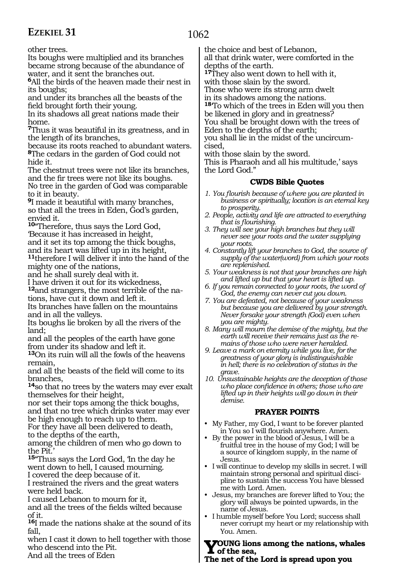### 1062

other trees.

Its boughs were multiplied and its branches became strong because of the abundance of water, and it sent the branches out.

**<sup>6</sup>**All the birds of the heaven made their nest in its boughs;

and under its branches all the beasts of the field brought forth their young.

In its shadows all great nations made their home.

**<sup>7</sup>**Thus it was beautiful in its greatness, and in the length of its branches,

because its roots reached to abundant waters. **<sup>8</sup>**The cedars in the garden of God could not hide it.

The chestnut trees were not like its branches, and the fir trees were not like its boughs.

No tree in the garden of God was comparable to it in beauty.

**<sup>9</sup>**I made it beautiful with many branches, so that all the trees in Eden, God's garden, envied it.

**<sup>10</sup>**"Therefore, thus says the Lord God, 'Because it has increased in height, and it set its top among the thick boughs, and its heart was lifted up in its height,

**<sup>11</sup>**therefore I will deliver it into the hand of the mighty one of the nations,

and he shall surely deal with it.

I have driven it out for its wickedness,

**12**and strangers, the most terrible of the nations, have cut it down and left it.

Its branches have fallen on the mountains and in all the valleys.

Its boughs lie broken by all the rivers of the land;

and all the peoples of the earth have gone from under its shadow and left it.

**<sup>13</sup>**On its ruin will all the fowls of the heavens remain,

and all the beasts of the field will come to its branches,

**<sup>14</sup>**so that no trees by the waters may ever exalt themselves for their height,

nor set their tops among the thick boughs, and that no tree which drinks water may ever

be high enough to reach up to them.

For they have all been delivered to death, to the depths of the earth,

among the children of men who go down to the Pit.

**<sup>15</sup>**"Thus says the Lord God, 'In the day he went down to hell, I caused mourning.

I covered the deep because of it.

I restrained the rivers and the great waters were held back.

I caused Lebanon to mourn for it,

and all the trees of the fields wilted because of it.

**<sup>16</sup>**I made the nations shake at the sound of its fall,

when I cast it down to hell together with those who descend into the Pit.

And all the trees of Eden

the choice and best of Lebanon,

all that drink water, were comforted in the depths of the earth.

**<sup>17</sup>**They also went down to hell with it, with those slain by the sword.

Those who were its strong arm dwelt

in its shadows among the nations.

**<sup>18</sup>**'To which of the trees in Eden will you then be likened in glory and in greatness? You shall be brought down with the trees of Eden to the depths of the earth; you shall lie in the midst of the uncircum-

cised,

with those slain by the sword.

This is Pharaoh and all his multitude,' says the Lord God."

#### **CWDS Bible Quotes**

- *1. You flourish because of where you are planted in business or spiritually; location is an eternal key to prosperity.*
- *2. People, activity and life are attracted to everything that is flourishing.*
- *3. They will see your high branches but they will never see your roots and the water supplying your roots.*
- *4. Constantly lift your branches to God, the source of supply of the water(word) from which your roots are replenished.*
- *5. Your weakness is not that your branches are high and lifted up but that your heart is lifted up.*
- *6. If you remain connected to your roots, the word of God, the enemy can never cut you down.*
- *7. You are defeated, not because of your weakness but because you are delivered by your strength. Never forsake your strength (God) even when you are mighty.*
- *8. Many will mourn the demise of the mighty, but the earth will receive their remains just as the remains of those who were never heralded.*
- *9. Leave a mark on eternity while you live, for the greatness of your glory is indistinguishable in hell; there is no celebration of status in the grave.*
- *10. Unsustainable heights are the deception of those who place confidence in others; those who are lifted up in their heights will go down in their demise.*

#### **PRAYER POINTS**

- My Father, my God, I want to be forever planted in You so I will flourish anywhere. Amen.
- By the power in the blood of Jesus, I will be a fruitful tree in the house of my God; I will be a source of kingdom supply, in the name of Jesus.
- I will continue to develop my skills in secret. I will maintain strong personal and spiritual discipline to sustain the success You have blessed me with Lord. Amen.
- Jesus, my branches are forever lifted to You; the glory will always be pointed upwards, in the name of Jesus.
- I humble myself before You Lord; success shall never corrupt my heart or my relationship with You. Amen.

#### **Young lions among the nations, whales of the sea,**

**The net of the Lord is spread upon you**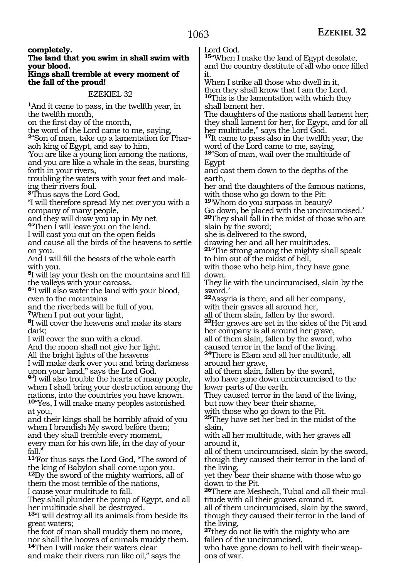**completely.**

#### **The land that you swim in shall swim with your blood.**

#### **Kings shall tremble at every moment of the fall of the proud!**

#### EZEKIEL 32

**<sup>1</sup>**And it came to pass, in the twelfth year, in the twelfth month,

on the first day of the month,

the word of the Lord came to me, saying,

**2**"Son of man, take up a lamentation for Pharaoh king of Egypt, and say to him,

'You are like a young lion among the nations, and you are like a whale in the seas, bursting forth in your rivers,

troubling the waters with your feet and making their rivers foul.

**<sup>3</sup>**'Thus says the Lord God,

"I will therefore spread My net over you with a company of many people,

and they will draw you up in My net.

**<sup>4</sup>**"Then I will leave you on the land.

I will cast you out on the open fields

and cause all the birds of the heavens to settle on you.

And I will fill the beasts of the whole earth with you.

**<sup>5</sup>**I will lay your flesh on the mountains and fill the valleys with your carcass.

**<sup>6</sup>**"I will also water the land with your blood, even to the mountains

and the riverbeds will be full of you.

**<sup>7</sup>**When I put out your light,

**<sup>8</sup>**I will cover the heavens and make its stars dark;

I will cover the sun with a cloud.

And the moon shall not give her light.

All the bright lights of the heavens

I will make dark over you and bring darkness upon your land," says the Lord God.

**<sup>9</sup>**"I will also trouble the hearts of many people, when I shall bring your destruction among the nations, into the countries you have known. **<sup>10</sup>**"Yes, I will make many peoples astonished

at you,

and their kings shall be horribly afraid of you when I brandish My sword before them; and they shall tremble every moment, every man for his own life, in the day of your fall.

**<sup>11</sup>**'For thus says the Lord God, "The sword of the king of Babylon shall come upon you.

**<sup>12</sup>**By the sword of the mighty warriors, all of them the most terrible of the nations, I cause your multitude to fall.

They shall plunder the pomp of Egypt, and all her multitude shall be destroyed.

**<sup>13</sup>**"I will destroy all its animals from beside its great waters;

the foot of man shall muddy them no more, nor shall the hooves of animals muddy them.

**<sup>14</sup>**Then I will make their waters clear and make their rivers run like oil," says the Lord God.

**<sup>15</sup>**"When I make the land of Egypt desolate, and the country destitute of all who once filled it.

When I strike all those who dwell in it, then they shall know that I am the Lord. **<sup>16</sup>**This is the lamentation with which they shall lament her.

The daughters of the nations shall lament her; they shall lament for her, for Egypt, and for all her multitude," says the Lord God.

**<sup>17</sup>**It came to pass also in the twelfth year, the word of the Lord came to me, saying,

**<sup>18</sup>**"Son of man, wail over the multitude of Egypt

and cast them down to the depths of the earth,

her and the daughters of the famous nations, with those who go down to the Pit:

**<sup>19</sup>**'Whom do you surpass in beauty?

Go down, be placed with the uncircumcised.' **<sup>20</sup>**They shall fall in the midst of those who are slain by the sword;

she is delivered to the sword,

drawing her and all her multitudes.

**<sup>21</sup>**"The strong among the mighty shall speak to him out of the midst of hell,

with those who help him, they have gone down.

They lie with the uncircumcised, slain by the sword.'

**<sup>22</sup>**Assyria is there, and all her company, with their graves all around her,

all of them slain, fallen by the sword.

**<sup>23</sup>**Her graves are set in the sides of the Pit and her company is all around her grave, all of them slain, fallen by the sword, who

caused terror in the land of the living.

**<sup>24</sup>**There is Elam and all her multitude, all around her grave,

all of them slain, fallen by the sword, who have gone down uncircumcised to the lower parts of the earth.

They caused terror in the land of the living, but now they bear their shame,

with those who go down to the Pit.

**<sup>25</sup>**They have set her bed in the midst of the slain,

with all her multitude, with her graves all around it,

all of them uncircumcised, slain by the sword, though they caused their terror in the land of the living,

yet they bear their shame with those who go down to the Pit.

**26**There are Meshech, Tubal and all their multitude with all their graves around it,

all of them uncircumcised, slain by the sword, though they caused their terror in the land of the living,

**<sup>27</sup>**they do not lie with the mighty who are fallen of the uncircumcised,

who have gone down to hell with their weapons of war.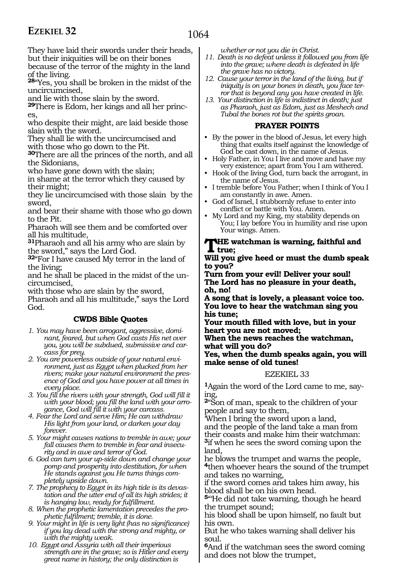They have laid their swords under their heads, but their iniquities will be on their bones

because of the terror of the mighty in the land of the living.

**<sup>28</sup>**"Yes, you shall be broken in the midst of the uncircumcised,

and lie with those slain by the sword.

**29**There is Edom, her kings and all her princes,

who despite their might, are laid beside those slain with the sword.

They shall lie with the uncircumcised and with those who go down to the Pit.

**<sup>30</sup>**There are all the princes of the north, and all the Sidonians,

who have gone down with the slain;

in shame at the terror which they caused by their might;

they lie uncircumcised with those slain by the sword,

and bear their shame with those who go down to the Pit.

Pharaoh will see them and be comforted over all his multitude,

**<sup>31</sup>**Pharaoh and all his army who are slain by the sword," says the Lord God.

**<sup>32</sup>**"For I have caused My terror in the land of the living;

and he shall be placed in the midst of the uncircumcised,

with those who are slain by the sword, Pharaoh and all his multitude," says the Lord God.

#### **CWDS Bible Quotes**

- *1. You may have been arrogant, aggressive, dominant, feared, but when God casts His net over you, you will be subdued, submissive and carcass for prey.*
- *2. You are powerless outside of your natural environment, just as Egypt when plucked from her rivers; make your natural environment the presence of God and you have power at all times in every place.*
- *3. You fill the rivers with your strength, God will fill it with your blood; you fill the land with your arrogance, God will fill it with your carcass.*
- *4. Fear the Lord and serve Him; He can withdraw His light from your land, or darken your day forever.*

*5. Your might causes nations to tremble in awe; your fall causes them to tremble in fear and insecurity and in awe and terror of God.*

*6. God can turn your up-side down and change your pomp and prosperity into destitution, for when He stands against you He turns things completely upside down.*

*7. The prophecy to Egypt in its high tide is its devastation and the utter end of all its high strides; it is hanging low, ready for fulfillment.*

*8. When the prophetic lamentation precedes the prophetic fulfilment; tremble, it is done.*

*9. Your might in life is very light (has no significance) if you lay dead with the strong and mighty, or with the mighty weak.*

*10. Egypt and Assyria with all their imperious strength are in the grave; so is Hitler and every great name in history; the only distinction is* 

*whether or not you die in Christ.*

- *11. Death is no defeat unless it followed you from life into the grave; where death is defeated in life the grave has no victory.*
- *12. Cause your terror in the land of the living, but if iniquity is on your bones in death, you face terror that is beyond any you have created in life.*
- *13. Your distinction in life is indistinct in death; just as Pharaoh, just as Edom, just as Meshech and Tubal the bones rot but the spirits groan.*

#### **PRAYER POINTS**

- By the power in the blood of Jesus, let every high thing that exalts itself against the knowledge of God be cast down, in the name of Jesus.
- Holy Father, in You I live and move and have my very existence; apart from You I am withered.
- Hook of the living God, turn back the arrogant, in the name of Jesus.
- I tremble before You Father; when I think of You I am constantly in awe. Amen.
- God of Israel, I stubbornly refuse to enter into conflict or battle with You. Amen.
- My Lord and my King, my stability depends on You; I lay before You in humility and rise upon Your wings. Amen.

#### **The watchman is warning, faithful and true;**

**Will you give heed or must the dumb speak to you?**

**Turn from your evil! Deliver your soul! The Lord has no pleasure in your death, oh, no!**

**A song that is lovely, a pleasant voice too. You love to hear the watchman sing you his tune;**

**Your mouth filled with love, but in your heart you are not moved;**

**When the news reaches the watchman, what will you do?**

**Yes, when the dumb speaks again, you will make sense of old tunes!**

#### EZEKIEL 33

**1**Again the word of the Lord came to me, saying,

**<sup>2</sup>**"Son of man, speak to the children of your people and say to them,

'When I bring the sword upon a land, and the people of the land take a man from their coasts and make him their watchman: **<sup>3</sup>**if when he sees the sword coming upon the land,

he blows the trumpet and warns the people, **<sup>4</sup>**then whoever hears the sound of the trumpet and takes no warning,

if the sword comes and takes him away, his blood shall be on his own head.

**<sup>5</sup>**"'He did not take warning, though he heard the trumpet sound;

his blood shall be upon himself, no fault but his own.

But he who takes warning shall deliver his soul.

**<sup>6</sup>**And if the watchman sees the sword coming and does not blow the trumpet,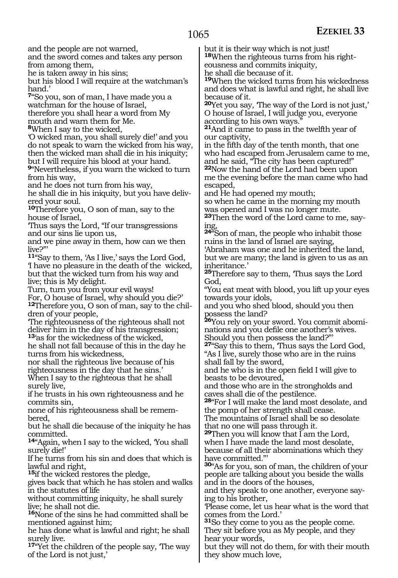and the people are not warned,

and the sword comes and takes any person from among them,

he is taken away in his sins;

but his blood I will require at the watchman's hand.'

**<sup>7</sup>**"So you, son of man, I have made you a watchman for the house of Israel, therefore you shall hear a word from My mouth and warn them for Me.

**<sup>8</sup>**When I say to the wicked,

'O wicked man, you shall surely die!' and you do not speak to warn the wicked from his way, then the wicked man shall die in his iniquity; but I will require his blood at your hand.

**<sup>9</sup>**"Nevertheless, if you warn the wicked to turn from his way,

and he does not turn from his way,

he shall die in his iniquity, but you have deliv- ered your soul.

**<sup>10</sup>**Therefore you, O son of man, say to the house of Israel,

'Thus says the Lord, "If our transgressions and our sins lie upon us,

and we pine away in them, how can we then live?"'

**<sup>11</sup>**"Say to them, 'As I live,' says the Lord God, 'I have no pleasure in the death of the wicked, but that the wicked turn from his way and live; this is My delight.

Turn, turn you from your evil ways! For, O house of Israel, why should you die?' **<sup>12</sup>**Therefore you, O son of man, say to the chil- dren of your people,

'The righteousness of the righteous shall not deliver him in the day of his transgression; **<sup>13</sup>**'as for the wickedness of the wicked,

he shall not fall because of this in the day he turns from his wickedness,

nor shall the righteous live because of his righteousness in the day that he sins.' When I say to the righteous that he shall surely live,

if he trusts in his own righteousness and he commits sin,

none of his righteousness shall be remembered,

but he shall die because of the iniquity he has committed.

**<sup>14</sup>**"Again, when I say to the wicked, 'You shall surely die!'

If he turns from his sin and does that which is lawful and right,

**<sup>15</sup>**if the wicked restores the pledge,

gives back that which he has stolen and walks in the statutes of life

without committing iniquity, he shall surely live; he shall not die.

**<sup>16</sup>**None of the sins he had committed shall be mentioned against him;

he has done what is lawful and right; he shall surely live.

**<sup>17</sup>**"Yet the children of the people say, 'The way of the Lord is not just,'

but it is their way which is not just!

**18**When the righteous turns from his righteousness and commits iniquity,

he shall die because of it.

**<sup>19</sup>**When the wicked turns from his wickedness and does what is lawful and right, he shall live because of it.

**<sup>20</sup>**Yet you say, 'The way of the Lord is not just,' O house of Israel, I will judge you, everyone according to his own ways."

**<sup>21</sup>**And it came to pass in the twelfth year of our captivity,

in the fifth day of the tenth month, that one who had escaped from Jerusalem came to me, and he said, "The city has been captured!" **<sup>22</sup>**Now the hand of the Lord had been upon me the evening before the man came who had escaped,

and He had opened my mouth;

so when he came in the morning my mouth was opened and I was no longer mute.

**<sup>23</sup>**Then the word of the Lord came to me, say- ing,

**<sup>24</sup>**"Son of man, the people who inhabit those ruins in the land of Israel are saying, 'Abraham was one and he inherited the land, but we are many; the land is given to us as an

inheritance.' **<sup>25</sup>**Therefore say to them, 'Thus says the Lord

God, "You eat meat with blood, you lift up your eyes

towards your idols, and you who shed blood, should you then

possess the land? **<sup>26</sup>**You rely on your sword. You commit abomi- nations and you defile one another's wives.

Should you then possess the land?"' **<sup>27</sup>**"Say this to them, 'Thus says the Lord God, "As I live, surely those who are in the ruins

shall fall by the sword,

and he who is in the open field I will give to beasts to be devoured,

and those who are in the strongholds and caves shall die of the pestilence.

**<sup>28</sup>**"For I will make the land most desolate, and the pomp of her strength shall cease.

The mountains of Israel shall be so desolate that no one will pass through it.

**29**Then you will know that I am the Lord, when I have made the land most desolate, because of all their abominations which they have committed."'

**<sup>30</sup>**"As for you, son of man, the children of your people are talking about you beside the walls and in the doors of the houses,

and they speak to one another, everyone saying to his brother,

'Please come, let us hear what is the word that comes from the Lord.'

**<sup>31</sup>**So they come to you as the people come. They sit before you as My people, and they hear your words,

but they will not do them, for with their mouth they show much love,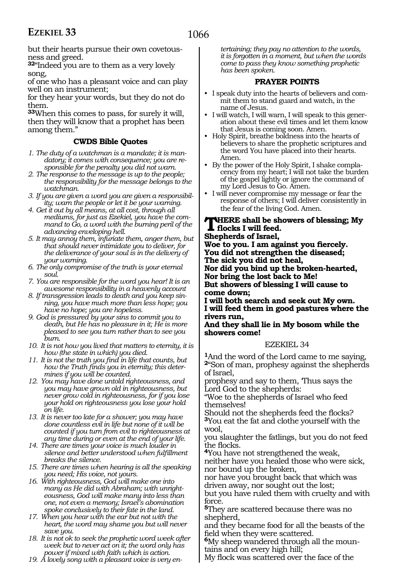but their hearts pursue their own covetousness and greed.

**<sup>32</sup>**"Indeed you are to them as a very lovely song,

of one who has a pleasant voice and can play well on an instrument;

for they hear your words, but they do not do them.

**<sup>33</sup>**When this comes to pass, for surely it will, then they will know that a prophet has been among them."

#### **CWDS Bible Quotes**

- *1. The duty of a watchman is a mandate; it is mandatory; it comes with consequence; you are responsible for the penalty you did not warn.*
- *2. The response to the message is up to the people; the responsibility for the message belongs to the watchman.*
- *3. If you are given a word you are given a responsibility; warn the people or let it be your warning.*
- *4. Get it out by all means, at all cost, through all mediums, for just as Ezekiel, you have the command to Go, a word with the burning peril of the advancing enveloping hell.*
- *5. It may annoy them, infuriate them, anger them, but that should never intimidate you to deliver, for the deliverance of your soul is in the delivery of your warning.*
- *6. The only compromise of the truth is your eternal soul.*
- *7. You are responsible for the word you hear! It is an awesome responsibility in a heavenly account*
- *8. If transgression leads to death and you keep sinning, you have much more than less hope; you have no hope; you are hopeless.*
- *9. God is pressured by your sins to commit you to death, but He has no pleasure in it; He is more pleased to see you turn rather than to see you burn.*
- *10. It is not how you lived that matters to eternity, it is how (the state in which) you died.*
- *11. It is not the truth you find in life that counts, but how the Truth finds you in eternity; this determines if you will be counted.*
- *12. You may have done untold righteousness, and you may have grown old in righteousness, but never grow cold in righteousness, for if you lose your hold on righteousness you lose your hold on life.*
- *13. It is never too late for a shower; you may have done countless evil in life but none of it will be counted if you turn from evil to righteousness at any time during or even at the end of your life.*
- *14. There are times your voice is much louder in silence and better understood when fulfillment breaks the silence.*
- *15. There are times when hearing is all the speaking you need; His voice, not yours.*
- *16. With righteousness, God will make one into many as He did with Abraham; with unrighteousness, God will make many into less than one, not even a memory; Israel's abomination spoke conclusively to their fate in the land.*
- *17. When you hear with the ear but not with the heart, the word may shame you but will never save you.*
- *18. It is not ok to seek the prophetic word week after week but to never act on it; the word only has power if mixed with faith which is action.*
- *19. A lovely song with a pleasant voice is very en-*

*tertaining; they pay no attention to the words, it is forgotten in a moment, but when the words come to pass they know something prophetic has been spoken.*

#### **PRAYER POINTS**

- I speak duty into the hearts of believers and commit them to stand guard and watch, in the name of Jesus.
- I will watch, I will warn, I will speak to this generation about these evil times and let them know that Jesus is coming soon. Amen.
- Holy Spirit, breathe boldness into the hearts of believers to share the prophetic scriptures and the word You have placed into their hearts. Amen.
- By the power of the Holy Spirit, I shake complacency from my heart; I will not take the burden of the gospel lightly or ignore the command of my Lord Jesus to Go. Amen.
- I will never compromise my message or fear the response of others; I will deliver consistently in the fear of the living God. Amen.

### **There shall be showers of blessing; My flocks I will feed.**

**Shepherds of Israel,**

**Woe to you. I am against you fiercely. You did not strengthen the diseased; The sick you did not heal, Nor did you bind up the broken-hearted,**

**Nor bring the lost back to Me!**

**But showers of blessing I will cause to come down;**

**I will both search and seek out My own. I will feed them in good pastures where the rivers run,**

**And they shall lie in My bosom while the showers come!**

#### EZEKIEL 34

**<sup>1</sup>**And the word of the Lord came to me saying, **<sup>2</sup>**"Son of man, prophesy against the shepherds of Israel,

prophesy and say to them, 'Thus says the Lord God to the shepherds:

"Woe to the shepherds of Israel who feed themselves!

Should not the shepherds feed the flocks? **<sup>3</sup>**You eat the fat and clothe yourself with the wool,

you slaughter the fatlings, but you do not feed the flocks.

**<sup>4</sup>**You have not strengthened the weak, neither have you healed those who were sick, nor bound up the broken,

nor have you brought back that which was driven away, nor sought out the lost;

but you have ruled them with cruelty and with force.

**<sup>5</sup>**They are scattered because there was no shepherd,

and they became food for all the beasts of the field when they were scattered.

**<sup>6</sup>**My sheep wandered through all the moun- tains and on every high hill;

My flock was scattered over the face of the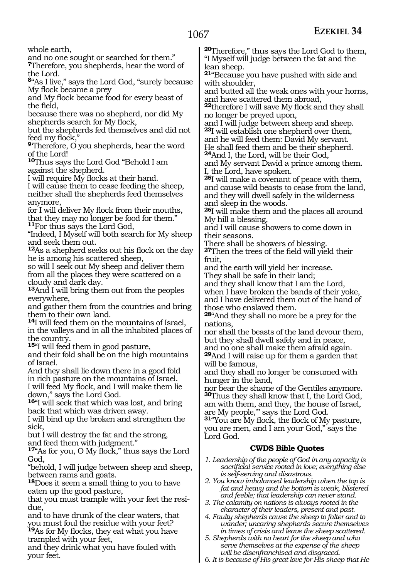whole earth,

and no one sought or searched for them."

**<sup>7</sup>**Therefore, you shepherds, hear the word of the Lord.

**<sup>8</sup>**"As I live," says the Lord God, "surely because My flock became a prey

and My flock became food for every beast of the field,

because there was no shepherd, nor did My shepherds search for My flock,

but the shepherds fed themselves and did not feed my flock,"

**<sup>9</sup>**'Therefore, O you shepherds, hear the word of the Lord!

**<sup>10</sup>**Thus says the Lord God "Behold I am against the shepherd.

I will require My flocks at their hand.

I will cause them to cease feeding the sheep, neither shall the shepherds feed themselves anymore,

for I will deliver My flock from their mouths, that they may no longer be food for them." **<sup>11</sup>**For thus says the Lord God,

"Indeed, I Myself will both search for My sheep and seek them out.

**<sup>12</sup>**As a shepherd seeks out his flock on the day he is among his scattered sheep,

so will I seek out My sheep and deliver them from all the places they were scattered on a cloudy and dark day.

**<sup>13</sup>**And I will bring them out from the peoples everywhere,

and gather them from the countries and bring them to their own land.

**<sup>14</sup>**I will feed them on the mountains of Israel, in the valleys and in all the inhabited places of the country.

**<sup>15</sup>**"I will feed them in good pasture,

and their fold shall be on the high mountains of Israel.

And they shall lie down there in a good fold in rich pasture on the mountains of Israel.

I will feed My flock, and I will make them lie down," says the Lord God.

**<sup>16</sup>**"I will seek that which was lost, and bring back that which was driven away.

I will bind up the broken and strengthen the sick,

but I will destroy the fat and the strong,

and feed them with judgment."

**<sup>17</sup>**"As for you, O My flock," thus says the Lord God,

"behold, I will judge between sheep and sheep, between rams and goats.

**<sup>18</sup>**Does it seem a small thing to you to have eaten up the good pasture,

that you must trample with your feet the residue,

and to have drunk of the clear waters, that you must foul the residue with your feet? **<sup>19</sup>**As for My flocks, they eat what you have trampled with your feet,

and they drink what you have fouled with your feet.

**<sup>20</sup>**Therefore," thus says the Lord God to them, "I Myself will judge between the fat and the lean sheep.

**<sup>21</sup>**"Because you have pushed with side and with shoulder,

and butted all the weak ones with your horns, and have scattered them abroad,

**<sup>22</sup>**therefore I will save My flock and they shall no longer be preyed upon,

and I will judge between sheep and sheep. **<sup>23</sup>**I will establish one shepherd over them, and he will feed them: David My servant.

He shall feed them and be their shepherd. **<sup>24</sup>**And I, the Lord, will be their God,

and My servant David a prince among them. I, the Lord, have spoken.

**<sup>25</sup>**I will make a covenant of peace with them, and cause wild beasts to cease from the land, and they will dwell safely in the wilderness and sleep in the woods.

**<sup>26</sup>**I will make them and the places all around My hill a blessing,

and I will cause showers to come down in their seasons.

There shall be showers of blessing.

**<sup>27</sup>**Then the trees of the field will yield their fruit,

and the earth will yield her increase. They shall be safe in their land;

and they shall know that I am the Lord,

when I have broken the bands of their yoke, and I have delivered them out of the hand of those who enslaved them.

**<sup>28</sup>**"And they shall no more be a prey for the nations,

nor shall the beasts of the land devour them, but they shall dwell safely and in peace, and no one shall make them afraid again.

**<sup>29</sup>**And I will raise up for them a garden that will be famous,

and they shall no longer be consumed with hunger in the land,

nor bear the shame of the Gentiles anymore. **<sup>30</sup>**Thus they shall know that I, the Lord God, am with them, and they, the house of Israel, are My people,'" says the Lord God.

**<sup>31</sup>**"You are My flock, the flock of My pasture, you are men, and I am your God," says the Lord God.

#### **CWDS Bible Quotes**

- *1. Leadership of the people of God in any capacity is sacrificial service rooted in love; everything else is self-serving and disastrous.*
- *2. You know imbalanced leadership when the top is fat and heavy and the bottom is weak, blistered and feeble; that leadership can never stand.*
- *3. The calamity on nations is always rooted in the character of their leaders, present and past.*
- *4. Faulty shepherds cause the sheep to falter and to wander; uncaring shepherds secure themselves in times of crisis and leave the sheep scattered.*
- *5. Shepherds with no heart for the sheep and who serve themselves at the expense of the sheep will be disenfranchised and disgraced.*
- *6. It is because of His great love for His sheep that He*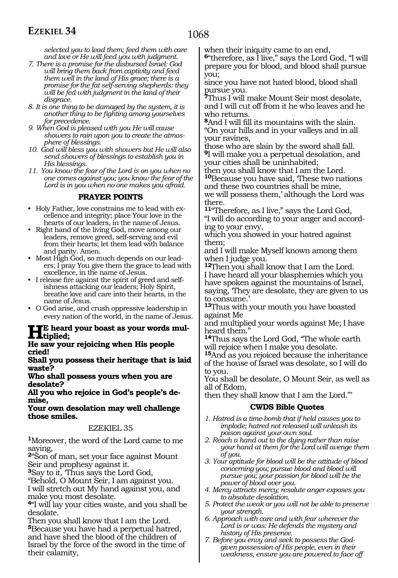*selected you to lead them; feed them with care and love or He will feed you with judgment.*

- *7. There is a promise for the disbursed Israel: God will bring them back from captivity and feed them well in the land of His grace; there is a promise for the fat self-serving shepherds: they will be fed with judgment in the land of their disgrace.*
- *8. It is one thing to be damaged by the system, it is another thing to be fighting among yourselves for precedence.*
- *9. When God is pleased with you He will cause showers to rain upon you to create the atmosphere of blessings.*
- *10. God will bless you with showers but He will also send showers of blessings to establish you in His blessings.*
- *11. You know the fear of the Lord is on you when no one comes against you; you know the fear of the Lord is in you when no one makes you afraid.*

#### **PRAYER POINTS**

- Holy Father, love constrains me to lead with excellence and integrity; place Your love in the hearts of our leaders, in the name of Jesus.
- Right hand of the living God, move among our leaders, remove greed, self-serving and evil from their hearts; let them lead with balance and parity. Amen.
- Most High God, so much depends on our leaders; I pray You give them the grace to lead with excellence, in the name of Jesus.
- I release fire against the spirit of greed and selfishness attacking our leaders; Holy Spirit, breathe love and care into their hearts, in the name of Jesus.
- O God arise, and crush oppressive leadership in every nation of the world, in the name of Jesus.

## **He heard your boast as your words mul-**<br> **He assumed pointing when His needle**

**He saw your rejoicing when His people cried!** 

**Shall you possess their heritage that is laid waste?** 

**Who shall possess yours when you are desolate?** 

**All you who rejoice in God's people's demise,** 

**Your own desolation may well challenge those smiles.** 

#### EZEKIEL 35

**<sup>1</sup>**Moreover, the word of the Lord came to me saying,

**<sup>2</sup>**"Son of man, set your face against Mount Seir and prophesy against it.

**<sup>3</sup>**Say to it, 'Thus says the Lord God,

"Behold, O Mount Seir, I am against you. I will stretch out My hand against you, and make you most desolate.

**<sup>4</sup>**"I will lay your cities waste, and you shall be desolate.

Then you shall know that I am the Lord. **<sup>5</sup>**Because you have had a perpetual hatred, and have shed the blood of the children of Israel by the force of the sword in the time of their calamity,

when their iniquity came to an end,

**<sup>6</sup>**"therefore, as I live," says the Lord God, "I will prepare you for blood, and blood shall pursue you;

since you have not hated blood, blood shall pursue you.

**<sup>7</sup>**Thus I will make Mount Seir most desolate, and I will cut off from it he who leaves and he who returns.

**<sup>8</sup>**And I will fill its mountains with the slain. "On your hills and in your valleys and in all your ravines,

those who are slain by the sword shall fall. **<sup>9</sup>**I will make you a perpetual desolation, and your cities shall be uninhabited;

then you shall know that I am the Lord. **<sup>10</sup>**Because you have said, 'These two nations and these two countries shall be mine, we will possess them,' although the Lord was

there.

**<sup>11</sup>**"Therefore, as I live," says the Lord God, "I will do according to your anger and according to your envy,

which you showed in your hatred against them;

and I will make Myself known among them when I judge you.

**<sup>12</sup>**Then you shall know that I am the Lord. I have heard all your blasphemies which you have spoken against the mountains of Israel, saying, 'They are desolate, they are given to us to consume.

**<sup>13</sup>**Thus with your mouth you have boasted against Me

and multiplied your words against Me; I have heard them."

**<sup>14</sup>**Thus says the Lord God, "The whole earth will rejoice when I make you desolate.

**<sup>15</sup>**And as you rejoiced because the inheritance of the house of Israel was desolate, so I will do to you.

You shall be desolate, O Mount Seir, as well as all of Edom,

then they shall know that I am the Lord."'

#### **CWDS Bible Quotes**

- *1. Hatred is a time-bomb that if held causes you to implode; hatred not released will unleash its poison against your own soul.*
- *2. Reach a hand out to the dying rather than raise your hand at them for the Lord will avenge them of you.*
- *3. Your aptitude for blood will be the attitude of blood concerning you; pursue blood and blood will pursue you; your passion for blood will be the power of blood over you.*
- *4. Mercy attracts mercy; resolute anger exposes you to absolute desolation.*
- *5. Protect the weak or you will not be able to preserve your strength.*
- *6. Approach with care and with fear wherever the Lord is or was: He defends the mystery and history of His presence.*
- *7. Before you envy and seek to possess the Godgiven possession of His people, even in their weakness, ensure you are powered to face off*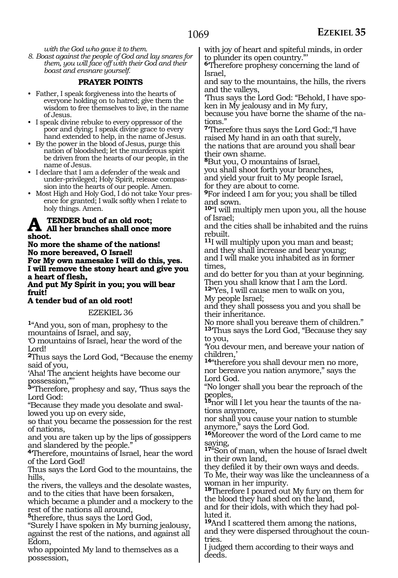*with the God who gave it to them.*

*8. Boast against the people of God and lay snares for them, you will face off with their God and their boast and ensnare yourself.*

#### **PRAYER POINTS**

- Father, I speak forgiveness into the hearts of everyone holding on to hatred; give them the wisdom to free themselves to live, in the name of Jesus.
- I speak divine rebuke to every oppressor of the poor and dying; I speak divine grace to every hand extended to help, in the name of Jesus.
- By the power in the blood of Jesus, purge this nation of bloodshed; let the murderous spirit be driven from the hearts of our people, in the name of Jesus.
- I declare that I am a defender of the weak and under-privileged; Holy Spirit, release compassion into the hearts of our people. Amen.
- Most High and Holy God, I do not take Your presence for granted; I walk softly when I relate to holy things. Amen.

### **A** TENDER bud of an old root;<br> **All her branches shall once more shoot.**

**No more the shame of the nations! No more bereaved, O Israel! For My own namesake I will do this, yes. I will remove the stony heart and give you a heart of flesh,**

**And put My Spirit in you; you will bear fruit!**

#### **A tender bud of an old root!**

EZEKIEL 36

**<sup>1</sup>**"And you, son of man, prophesy to the mountains of Israel, and say,

'O mountains of Israel, hear the word of the Lord!

**<sup>2</sup>**Thus says the Lord God, "Because the enemy said of you,

'Aha! The ancient heights have become our possession,'"'

**<sup>3</sup>**"Therefore, prophesy and say, 'Thus says the Lord God:

"Because they made you desolate and swallowed you up on every side,

so that you became the possession for the rest of nations,

and you are taken up by the lips of gossippers and slandered by the people."

**<sup>4</sup>**'Therefore, mountains of Israel, hear the word of the Lord God!

Thus says the Lord God to the mountains, the hills,

the rivers, the valleys and the desolate wastes, and to the cities that have been forsaken,

which became a plunder and a mockery to the rest of the nations all around,

**<sup>5</sup>**therefore, thus says the Lord God,

"Surely I have spoken in My burning jealousy, against the rest of the nations, and against all Edom,

who appointed My land to themselves as a possession,

with joy of heart and spiteful minds, in order to plunder its open country."'

**<sup>6</sup>**'Therefore prophesy concerning the land of Israel,

and say to the mountains, the hills, the rivers and the valleys,

'Thus says the Lord God: "Behold, I have spoken in My jealousy and in My fury,

because you have borne the shame of the nations."

**<sup>7</sup>**'Therefore thus says the Lord God:,"I have raised My hand in an oath that surely, the nations that are around you shall bear their own shame.

**<sup>8</sup>**But you, O mountains of Israel*,* 

you shall shoot forth your branches, and yield your fruit to My people Israel, for they are about to come.

**<sup>9</sup>**For indeed I am for you; you shall be tilled and sown.

**<sup>10</sup>**"I will multiply men upon you, all the house of Israel;

and the cities shall be inhabited and the ruins rebuilt.

**<sup>11</sup>**I will multiply upon you man and beast; and they shall increase and bear young; and I will make you inhabited as in former times,

and do better for you than at your beginning. Then you shall know that I am the Lord.

**<sup>12</sup>**"Yes, I will cause men to walk on you, My people Israel;

and they shall possess you and you shall be their inheritance.

No more shall you bereave them of children." **<sup>13</sup>**'Thus says the Lord God, "Because they say to you,

'You devour men, and bereave your nation of children,'

**<sup>14</sup>**"therefore you shall devour men no more, nor bereave you nation anymore," says the Lord God.

"No longer shall you bear the reproach of the peoples,

**15**nor will I let you hear the taunts of the nations anymore,

nor shall you cause your nation to stumble anymore," says the Lord God.

**<sup>16</sup>**Moreover the word of the Lord came to me saying,

**<sup>17</sup>**"Son of man, when the house of Israel dwelt in their own land,

they defiled it by their own ways and deeds. To Me, their way was like the uncleanness of a woman in her impurity.

**<sup>18</sup>**Therefore I poured out My fury on them for the blood they had shed on the land,

and for their idols, with which they had polluted it.

**<sup>19</sup>**And I scattered them among the nations, and they were dispersed throughout the countries.

I judged them according to their ways and deeds.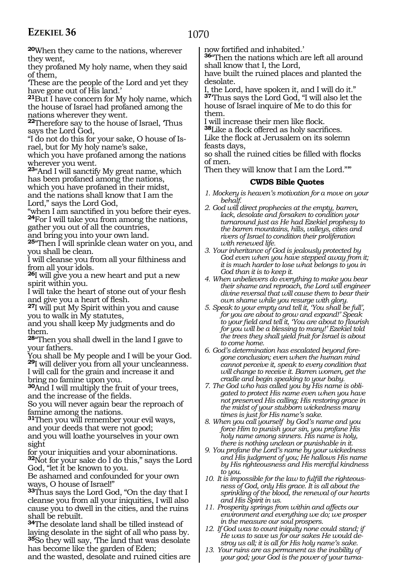1070

**<sup>20</sup>**When they came to the nations, wherever they went,

they profaned My holy name, when they said of them,

'These are the people of the Lord and yet they have gone out of His land.'

**<sup>21</sup>**But I have concern for My holy name, which the house of Israel had profaned among the nations wherever they went.

**<sup>22</sup>**Therefore say to the house of Israel, 'Thus says the Lord God,

"I do not do this for your sake, O house of Israel, but for My holy name's sake,

which you have profaned among the nations wherever you went.

**<sup>23</sup>**"And I will sanctify My great name, which has been profaned among the nations, which you have profaned in their midst, and the nations shall know that I am the

Lord," says the Lord God,

"when I am sanctified in you before their eyes. **24**For I will take you from among the nations, gather you out of all the countries,

and bring you into your own land.

**<sup>25</sup>**"Then I will sprinkle clean water on you, and you shall be clean.

I will cleanse you from all your filthiness and from all your idols.

**<sup>26</sup>**I will give you a new heart and put a new spirit within you.

I will take the heart of stone out of your flesh and give you a heart of flesh.

**<sup>27</sup>**I will put My Spirit within you and cause you to walk in My statutes,

and you shall keep My judgments and do them.

**<sup>28</sup>**"Then you shall dwell in the land I gave to your fathers.

You shall be My people and I will be your God. **<sup>29</sup>**I will deliver you from all your uncleanness. I will call for the grain and increase it and bring no famine upon you.

**<sup>30</sup>**And I will multiply the fruit of your trees, and the increase of the fields.

So you will never again bear the reproach of famine among the nations.

**<sup>31</sup>**Then you will remember your evil ways, and your deeds that were not good; and you will loathe yourselves in your own sight

for your iniquities and your abominations. **<sup>32</sup>**Not for your sake do I do this," says the Lord God, "let it be known to you.

Be ashamed and confounded for your own ways, O house of Israel!"

**<sup>33</sup>**Thus says the Lord God, "On the day that I cleanse you from all your iniquities, I will also cause you to dwell in the cities, and the ruins shall be rebuilt.

**<sup>34</sup>**The desolate land shall be tilled instead of laying desolate in the sight of all who pass by. **<sup>35</sup>**So they will say, 'The land that was desolate has become like the garden of Eden;

and the wasted, desolate and ruined cities are

now fortified and inhabited.'

**<sup>36</sup>**"Then the nations which are left all around shall know that I, the Lord,

have built the ruined places and planted the desolate.

I, the Lord, have spoken it, and I will do it." **<sup>37</sup>**'Thus says the Lord God, "I will also let the house of Israel inquire of Me to do this for them.

I will increase their men like flock.

**<sup>38</sup>**Like a flock offered as holy sacrifices. Like the flock at Jerusalem on its solemn feasts days,

so shall the ruined cities be filled with flocks of men.

Then they will know that I am the Lord.""

#### **CWDS Bible Quotes**

*1. Mockery is heaven's motivation for a move on your behalf.*

- *2. God will direct prophecies at the empty, barren, lack, desolate and forsaken to condition your turnaround just as He had Ezekiel prophesy to the barren mountains, hills, valleys, cities and rivers of Israel to condition their proliferation with renewed life.*
- *3. Your inheritance of God is jealously protected by God even when you have stepped away from it; it is much harder to lose what belongs to you in God than it is to keep it.*
- *4. When unbelievers do everything to make you bear their shame and reproach, the Lord will engineer divine reversal that will cause them to bear their own shame while you resurge with glory.*
- *5. Speak to your empty and tell it, 'You shall be full', for you are about to grow and expand!' Speak to your field and tell it, 'You are about to flourish for you will be a blessing to many!' Ezekiel told the trees they shall yield fruit for Israel is about to come home.*
- *6. God's determination has escalated beyond foregone conclusion; even when the human mind cannot perceive it, speak to every condition that will change to receive it. Barren women, get the cradle and begin speaking to your baby.*
- *7. The God who has called you by His name is obligated to protect His name even when you have not preserved His calling; His restoring grace in the midst of your stubborn wickedness many times is just for His name's sake.*
- *8. When you call yourself by God's name and you force Him to punish your sin, you profane His holy name among sinners. His name is holy, there is nothing unclean or punishable in it.*
- *9. You profane the Lord's name by your wickedness and His judgment of you; He hallows His name by His righteousness and His merciful kindness to you.*
- *10. It is impossible for the law to fulfill the righteousness of God, only His grace. It is all about the sprinkling of the blood, the renewal of our hearts and His Spirit in us.*
- *11. Prosperity springs from within and affects our environment and everything we do; we prosper in the measure our soul prospers.*
- *12. If God was to count iniquity none could stand; if He was to save us for our sakes He would destroy us all; it is all for His holy name's sake.*
- *13. Your ruins are as permanent as the inability of your god; your God is the power of your turna-*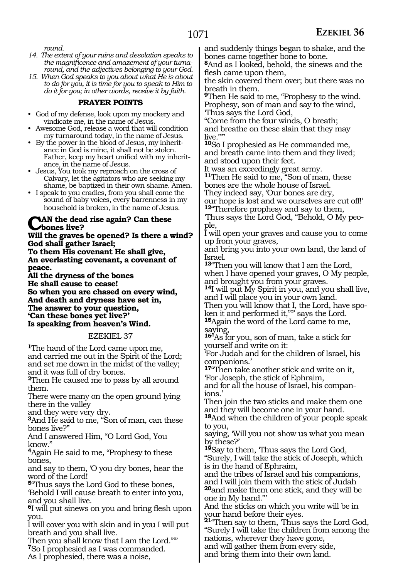*round.*

- *14. The extent of your ruins and desolation speaks to the magnificence and amazement of your turnaround, and the adjectives belonging to your God.*
- *15. When God speaks to you about what He is about to do for you, it is time for you to speak to Him to do it for you; in other words, receive it by faith.*

#### **PRAYER POINTS**

- God of my defense, look upon my mockery and vindicate me, in the name of Jesus.
- Awesome God, release a word that will condition my turnaround today, in the name of Jesus.
- By the power in the blood of Jesus, my inheritance in God is mine, it shall not be stolen. Father, keep my heart unified with my inheritance, in the name of Jesus.
- Jesus, You took my reproach on the cross of Calvary, let the agitators who are seeking my shame, be baptized in their own shame. Amen.
- I speak to you cradles, from you shall come the sound of baby voices, every barrenness in my household is broken, in the name of Jesus.

#### **AN the dead rise again? Can these bones live?**

**Will the graves be opened? Is there a wind? God shall gather Israel; To them His covenant He shall give,**

**An everlasting covenant, a covenant of peace.**

**All the dryness of the bones He shall cause to cease! So when you are chased on every wind, And death and dryness have set in, The answer to your question, 'Can these bones yet live?' Is speaking from heaven's Wind.** 

#### EZEKIEL 37

**<sup>1</sup>**The hand of the Lord came upon me, and carried me out in the Spirit of the Lord; and set me down in the midst of the valley; and it was full of dry bones.

**<sup>2</sup>**Then He caused me to pass by all around them.

There were many on the open ground lying there in the valley

and they were very dry.

**<sup>3</sup>**And He said to me, "Son of man, can these bones live?"

And I answered Him, "O Lord God, You know."

**<sup>4</sup>**Again He said to me, "Prophesy to these bones,

and say to them, 'O you dry bones, hear the word of the Lord!

**<sup>5</sup>**"Thus says the Lord God to these bones, 'Behold I will cause breath to enter into you, and you shall live.

**<sup>6</sup>**I will put sinews on you and bring flesh upon you.

I will cover you with skin and in you I will put breath and you shall live.

Then you shall know that I am the Lord.""

**<sup>7</sup>**So I prophesied as I was commanded.

As I prophesied, there was a noise,

and suddenly things began to shake, and the bones came together bone to bone.

**<sup>8</sup>**And as I looked, behold, the sinews and the flesh came upon them,

the skin covered them over; but there was no breath in them.

**<sup>9</sup>**Then He said to me, "Prophesy to the wind. Prophesy, son of man and say to the wind, 'Thus says the Lord God,

"Come from the four winds, O breath; and breathe on these slain that they may live."'"

**<sup>10</sup>**So I prophesied as He commanded me, and breath came into them and they lived; and stood upon their feet.

It was an exceedingly great army.

**<sup>11</sup>**Then He said to me, "Son of man, these bones are the whole house of Israel.

They indeed say, 'Our bones are dry,

our hope is lost and we ourselves are cut off!' **<sup>12</sup>**"Therefore prophesy and say to them,

'Thus says the Lord God, "Behold, O My people,

I will open your graves and cause you to come up from your graves,

and bring you into your own land, the land of Israel.

**<sup>13</sup>**"Then you will know that I am the Lord, when I have opened your graves, O My people, and brought you from your graves.

**<sup>14</sup>**I will put My Spirit in you, and you shall live, and I will place you in your own land.

Then you will know that I, the Lord, have spoken it and performed it,"" says the Lord. **<sup>15</sup>**Again the word of the Lord came to me,

saying,

**<sup>16</sup>**"As for you, son of man, take a stick for yourself and write on it:

'For Judah and for the children of Israel, his companions.'

**<sup>17</sup>**"Then take another stick and write on it, 'For Joseph, the stick of Ephraim,

and for all the house of Israel, his companions.'

Then join the two sticks and make them one and they will become one in your hand.

**<sup>18</sup>**And when the children of your people speak to you,

saying, 'Will you not show us what you mean by these?'

**<sup>19</sup>**Say to them, 'Thus says the Lord God, "Surely, I will take the stick of Joseph, which is in the hand of Ephraim,

and the tribes of Israel and his companions, and I will join them with the stick of Judah

**<sup>20</sup>**and make them one stick, and they will be one in My hand."'

And the sticks on which you write will be in your hand before their eyes.

**<sup>21</sup>**"Then say to them, 'Thus says the Lord God, "Surely I will take the children from among the nations, wherever they have gone, and will gather them from every side,

and bring them into their own land.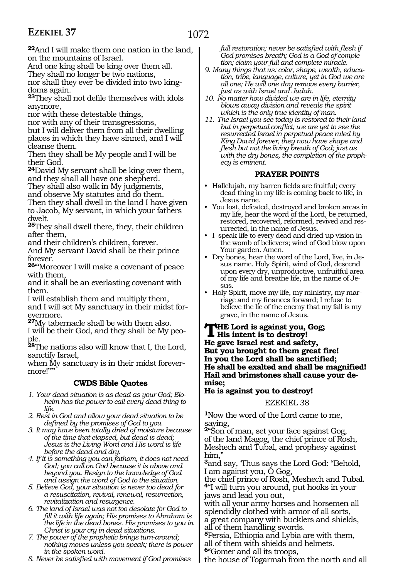**<sup>22</sup>**And I will make them one nation in the land, on the mountains of Israel.

And one king shall be king over them all.

They shall no longer be two nations,

nor shall they ever be divided into two kingdoms again.

**<sup>23</sup>**They shall not defile themselves with idols anymore,

nor with these detestable things,

nor with any of their transgressions,

but I will deliver them from all their dwelling places in which they have sinned, and I will cleanse them.

Then they shall be My people and I will be their God.

**<sup>24</sup>**David My servant shall be king over them, and they shall all have one shepherd.

They shall also walk in My judgments,

and observe My statutes and do them. Then they shall dwell in the land I have given

to Jacob, My servant, in which your fathers dwelt.

**<sup>25</sup>**They shall dwell there, they, their children after them,

and their children's children, forever.

And My servant David shall be their prince forever.

**<sup>26</sup>**"'Moreover I will make a covenant of peace with them,

and it shall be an everlasting covenant with them.

I will establish them and multiply them,

and I will set My sanctuary in their midst forevermore.

**<sup>27</sup>**My tabernacle shall be with them also.

I will be their God, and they shall be My people.

**<sup>28</sup>**The nations also will know that I, the Lord, sanctify Israel,

when My sanctuary is in their midst forevermore!""

#### **CWDS Bible Quotes**

*1. Your dead situation is as dead as your God; Eloheim has the power to call every dead thing to life.* 

*2. Rest in God and allow your dead situation to be defined by the promises of God to you.* 

*3. It may have been totally dried of moisture because of the time that elapsed, but dead is dead; Jesus is the Living Word and His word is life before the dead and dry.* 

*4. If it is something you can fathom, it does not need God; you call on God because it is above and beyond you. Resign to the knowledge of God and assign the word of God to the situation.* 

*5. Believe God, your situation is never too dead for a resuscitation, revival, renewal, resurrection, revitalization and resurgence.* 

*6. The land of Israel was not too desolate for God to fill it with life again; His promises to Abraham is the life in the dead bones. His promises to you in Christ is your cry in dead situations.* 

*7. The power of the prophetic brings turn-around; nothing moves unless you speak; there is power in the spoken word.* 

*8. Never be satisfied with movement if God promises* 

*full restoration; never be satisfied with flesh if God promises breath; God is a God of completion; claim your full and complete miracle.* 

- *9. Many things that us: color, shape, wealth, education, tribe, language, culture, yet in God we are all one; He will one day remove every barrier, just as with Israel and Judah.*
- *10. No matter how divided we are in life, eternity blows away division and reveals the spirit which is the only true identity of man.*
- *11. The Israel you see today is restored to their land but in perpetual conflict; we are yet to see the resurrected Israel in perpetual peace ruled by King David forever, they now have shape and flesh but not the living breath of God; just as with the dry bones, the completion of the prophecy is eminent.*

#### **PRAYER POINTS**

- Hallelujah, my barren fields are fruitful; every dead thing in my life is coming back to life, in Jesus name.
- You lost, defeated, destroyed and broken areas in my life, hear the word of the Lord, be returned, restored, recovered, reformed, revived and resurrected, in the name of Jesus.
- I speak life to every dead and dried up vision in the womb of believers; wind of God blow upon Your garden. Amen.
- Dry bones, hear the word of the Lord, live, in Jesus name. Holy Spirit, wind of God, descend upon every dry, unproductive, unfruitful area of my life and breathe life, in the name of Jesus.
- Holy Spirit, move my life, my ministry, my marriage and my finances forward; I refuse to believe the lie of the enemy that my fall is my grave, in the name of Jesus.

**THE Lord is against you, Gog;**<br>His intent is to destroy! **He gave Israel rest and safety, But you brought to them great fire! In you the Lord shall be sanctified; He shall be exalted and shall be magnified! Hail and brimstones shall cause your demise;**

#### **He is against you to destroy!**

#### EZEKIEL 38

**<sup>1</sup>**Now the word of the Lord came to me, saying,

**<sup>2</sup>**"Son of man, set your face against Gog, of the land Magog, the chief prince of Rosh, Meshech and Tubal, and prophesy against him,"

**<sup>3</sup>**and say, 'Thus says the Lord God: "Behold, I am against you, O Gog,

the chief prince of Rosh, Meshech and Tubal. **<sup>4</sup>**"I will turn you around, put hooks in your jaws and lead you out,

with all your army horses and horsemen all splendidly clothed with armor of all sorts, a great company with bucklers and shields, all of them handling swords.

**<sup>5</sup>**Persia, Ethiopia and Lybia are with them, all of them with shields and helmets.

**<sup>6</sup>**"Gomer and all its troops,

the house of Togarmah from the north and all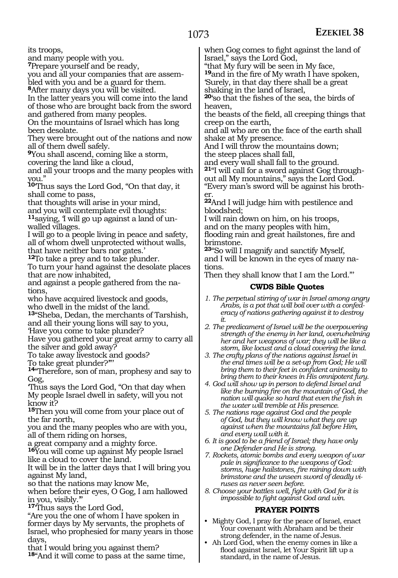### 1073

its troops,

and many people with you.

**<sup>7</sup>**Prepare yourself and be ready,

you and all your companies that are assembled with you and be a guard for them.

**<sup>8</sup>**After many days you will be visited.

In the latter years you will come into the land of those who are brought back from the sword and gathered from many peoples.

On the mountains of Israel which has long been desolate.

They were brought out of the nations and now all of them dwell safely.

**<sup>9</sup>**You shall ascend, coming like a storm, covering the land like a cloud,

and all your troops and the many peoples with you."

**<sup>10</sup>**'Thus says the Lord God, "On that day, it shall come to pass,

that thoughts will arise in your mind,

and you will contemplate evil thoughts:

**11**saying, 'I will go up against a land of unwalled villages.

I will go to a people living in peace and safety, all of whom dwell unprotected without walls, that have neither bars nor gates.'

**<sup>12</sup>**To take a prey and to take plunder.

To turn your hand against the desolate places that are now inhabited,

and against a people gathered from the nations,

who have acquired livestock and goods, who dwell in the midst of the land.

**<sup>13</sup>**"Sheba, Dedan, the merchants of Tarshish, and all their young lions will say to you,

'Have you come to take plunder?

Have you gathered your great army to carry all the silver and gold away?

To take away livestock and goods?

To take great plunder?'"'

**<sup>14</sup>**"Therefore, son of man, prophesy and say to Gog,

'Thus says the Lord God, "On that day when My people Israel dwell in safety, will you not know it?

**<sup>15</sup>**Then you will come from your place out of the far north,

you and the many peoples who are with you, all of them riding on horses,

a great company and a mighty force.

**<sup>16</sup>**You will come up against My people Israel like a cloud to cover the land.

It will be in the latter days that I will bring you against My land,

so that the nations may know Me,

when before their eyes, O Gog, I am hallowed in you, visibly.'

**<sup>17</sup>**'Thus says the Lord God,

"Are you the one of whom I have spoken in former days by My servants, the prophets of Israel, who prophesied for many years in those days,

that I would bring you against them? **<sup>18</sup>**"And it will come to pass at the same time, when Gog comes to fight against the land of Israel," says the Lord God,

"that My fury will be seen in My face,

**<sup>19</sup>**and in the fire of My wrath I have spoken, 'Surely, in that day there shall be a great shaking in the land of Israel,

**<sup>20</sup>**'so that the fishes of the sea, the birds of heaven,

the beasts of the field, all creeping things that creep on the earth,

and all who are on the face of the earth shall shake at My presence.

And I will throw the mountains down; the steep places shall fall,

and every wall shall fall to the ground.

**21**"I will call for a sword against Gog throughout all My mountains," says the Lord God.

"Every man's sword will be against his brother.

**<sup>22</sup>**And I will judge him with pestilence and bloodshed;

I will rain down on him, on his troops,

and on the many peoples with him, flooding rain and great hailstones, fire and brimstone.

**<sup>23</sup>**"So will I magnify and sanctify Myself, and I will be known in the eyes of many nations.

Then they shall know that I am the Lord."'

#### **CWDS Bible Quotes**

- *1. The perpetual stirring of war in Israel among angry Arabs, is a pot that will boil over with a confederacy of nations gathering against it to destroy it.*
- *2. The predicament of Israel will be the overpowering strength of the enemy in her land, overwhelming her and her weapons of war; they will be like a storm, like locust and a cloud covering the land.*
- *3. The crafty plans of the nations against Israel in the end times will be a set-up from God; He will bring them to their feet in confident animosity to bring them to their knees in His omnipotent fury.*
- *4. God will show up in person to defend Israel and like the burning fire on the mountain of God, the nation will quake so hard that even the fish in the water will tremble at His presence.*
- *5. The nations rage against God and the people of God, but they will know what they are up against when the mountains fall before Him, and every wall with it.*
- *6. It is good to be a friend of Israel; they have only one Defender and He is strong.*
- *7. Rockets, atomic bombs and every weapon of war pale in significance to the weapons of God: storms, huge hailstones, fire raining down with brimstone and the unseen sword of deadly viruses as never seen before.*
- *8. Choose your battles well, fight with God for it is impossible to fight against God and win.*

#### **PRAYER POINTS**

- Mighty God, I pray for the peace of Israel, enact Your covenant with Abraham and be their strong defender, in the name of Jesus.
- Ah Lord God, when the enemy comes in like a flood against Israel, let Your Spirit lift up a standard, in the name of Jesus.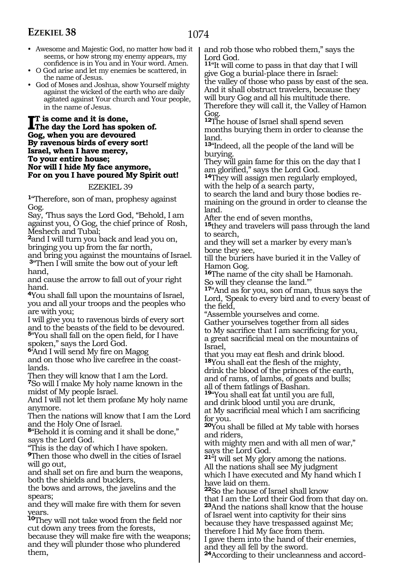- Awesome and Majestic God, no matter how bad it seems, or how strong my enemy appears, my confidence is in You and in Your word. Amen.
- O God arise and let my enemies be scattered, in the name of Jesus.
- God of Moses and Joshua, show Yourself mighty against the wicked of the earth who are daily agitated against Your church and Your people, in the name of Jesus.

#### **I**T is come and it is done,<br>The day the Lord has spo **The day the Lord has spoken of. Gog, when you are devoured By ravenous birds of every sort! Israel, when I have mercy, To your entire house; Nor will I hide My face anymore, For on you I have poured My Spirit out!**

#### EZEKIEL 39

**<sup>1</sup>**"Therefore, son of man, prophesy against Gog.

Say, 'Thus says the Lord God, "Behold, I am against you, O Gog, the chief prince of Rosh, Meshech and Tubal;

**<sup>2</sup>**and I will turn you back and lead you on, bringing you up from the far north,

and bring you against the mountains of Israel. **<sup>3</sup>**"Then I will smite the bow out of your left hand,

and cause the arrow to fall out of your right hand.

**<sup>4</sup>**You shall fall upon the mountains of Israel, you and all your troops and the peoples who are with you;

I will give you to ravenous birds of every sort and to the beasts of the field to be devoured. **<sup>5</sup>**"You shall fall on the open field, for I have spoken," says the Lord God.

**<sup>6</sup>**'And I will send My fire on Magog and on those who live carefree in the coastlands.

Then they will know that I am the Lord. **<sup>7</sup>**So will I make My holy name known in the midst of My people Israel.

And I will not let them profane My holy name anymore.

Then the nations will know that I am the Lord and the Holy One of Israel.

**<sup>8</sup>**"Behold it is coming and it shall be done," says the Lord God.

"This is the day of which I have spoken.

**<sup>9</sup>**Then those who dwell in the cities of Israel will go out,

and shall set on fire and burn the weapons, both the shields and bucklers,

the bows and arrows, the javelins and the spears;

and they will make fire with them for seven years.

**<sup>10</sup>**They will not take wood from the field nor cut down any trees from the forests, because they will make fire with the weapons; and they will plunder those who plundered them,

and rob those who robbed them," says the Lord God.

**<sup>11</sup>**"It will come to pass in that day that I will give Gog a burial-place there in Israel: the valley of those who pass by east of the sea. And it shall obstruct travelers, because they will bury Gog and all his multitude there. Therefore they will call it, the Valley of Hamon Gog.

**<sup>12</sup>**The house of Israel shall spend seven months burying them in order to cleanse the land.

**<sup>13</sup>**"Indeed, all the people of the land will be burying.

They will gain fame for this on the day that I<br>am glorified," says the Lord God.

14They will assign men regularly employed, with the help of a search party,

to search the land and bury those bodies remaining on the ground in order to cleanse the land.

After the end of seven months,

**<sup>15</sup>**they and travelers will pass through the land to search,

and they will set a marker by every man's bone they see,

till the buriers have buried it in the Valley of Hamon Gog.

**<sup>16</sup>**The name of the city shall be Hamonah. So will they cleanse the land."'

**<sup>17</sup>**"And as for you, son of man, thus says the Lord, 'Speak to every bird and to every beast of the field,

"Assemble yourselves and come.

Gather yourselves together from all sides to My sacrifice that I am sacrificing for you, a great sacrificial meal on the mountains of Israel,

that you may eat flesh and drink blood. **<sup>18</sup>**You shall eat the flesh of the mighty, drink the blood of the princes of the earth, and of rams, of lambs, of goats and bulls; all of them fatlings of Bashan.

**<sup>19</sup>**"You shall eat fat until you are full, and drink blood until you are drunk, at My sacrificial meal which I am sacrificing

for you. **<sup>20</sup>**You shall be filled at My table with horses

and riders, with mighty men and with all men of war," says the Lord God.

**<sup>21</sup>**"I will set My glory among the nations. All the nations shall see My judgment which I have executed and My hand which I have laid on them.

**<sup>22</sup>**So the house of Israel shall know that I am the Lord their God from that day on. **<sup>23</sup>**And the nations shall know that the house of Israel went into captivity for their sins because they have trespassed against Me;

therefore I hid My face from them. I gave them into the hand of their enemies,

and they all fell by the sword.

**24**According to their uncleanness and accord-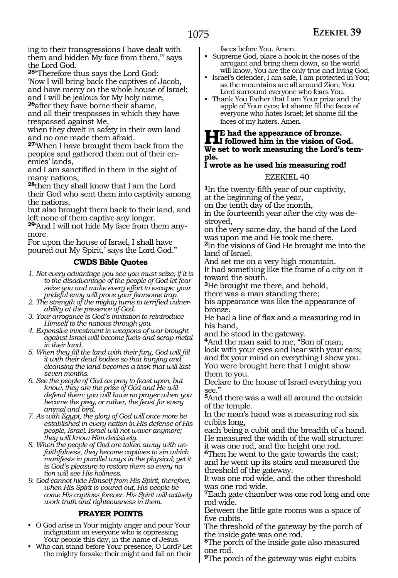ing to their transgressions I have dealt with them and hidden My face from them,"' says the Lord God.

**<sup>25</sup>**"Therefore thus says the Lord God: 'Now I will bring back the captives of Jacob, and have mercy on the whole house of Israel; and I will be jealous for My holy name,

**<sup>26</sup>**after they have borne their shame, and all their trespasses in which they have

trespassed against Me,

when they dwelt in safety in their own land and no one made them afraid.

**<sup>27</sup>**'When I have brought them back from the peoples and gathered them out of their enemies' lands,

and I am sanctified in them in the sight of many nations,

**<sup>28</sup>**then they shall know that I am the Lord their God who sent them into captivity among the nations,

but also brought them back to their land, and left none of them captive any longer.

**29**'And I will not hide My face from them anymore.

For upon the house of Israel, I shall have poured out My Spirit,' says the Lord God."

#### **CWDS Bible Quotes**

*1. Not every advantage you see you must seize; if it is to the disadvantage of the people of God let fear seize you and make every effort to escape; your prideful envy will prove your fearsome trap.*

- *2. The strength of the mighty turns to terrified vulnerability at the presence of God.*
- *3. Your arrogance is God's invitation to reintroduce Himself to the nations through you.*
- *4. Expensive investment in weapons of war brought against Israel will become fuels and scrap metal in their land.*
- *5. When they fill the land with their fury, God will fill it with their dead bodies so that burying and cleansing the land becomes a task that will last seven months.*
- *6. See the people of God as prey to feast upon, but know, they are the prize of God and He will defend them; you will have no prayer when you become the prey, or rather, the feast for every animal and bird.*
- *7. As with Egypt, the glory of God will once more be established in every nation in His defense of His people, Israel. Israel will not waver anymore; they will know Him decisively.*
- *8. When the people of God are taken away with unfaithfulness, they become captives to sin which manifests in parallel ways in the physical; yet it is God's pleasure to restore them so every nation will see His holiness.*

*9. God cannot hide Himself from His Spirit, therefore, when His Spirit is poured out, His people become His captives forever. His Spirit will actively work truth and righteousness in them.*

#### **PRAYER POINTS**

- O God arise in Your mighty anger and pour Your indignation on everyone who is oppressing Your people this day, in the name of Jesus.
- Who can stand before Your presence, O Lord? Let the mighty forsake their might and fall on their

faces before You. Amen.

- Supreme God, place a hook in the noses of the arrogant and bring them down, so the world will know, You are the only true and living God.
- Israel's defender, I am safe, I am protected in You; as the mountains are all around Zion; You Lord surround everyone who fears You.
- Thank You Father that I am Your prize and the apple of Your eyes; let shame fill the faces of everyone who hates Israel; let shame fill the faces of my haters. Amen.

### **He had the appearance of bronze. I followed him in the vision of God. We set to work measuring the Lord's temple.**

## **I wrote as he used his measuring rod!**

#### EZEKIEL 40

**<sup>1</sup>**In the twenty-fifth year of our captivity, at the beginning of the year,

on the tenth day of the month,

in the fourteenth year after the city was destroyed,

on the very same day, the hand of the Lord was upon me and He took me there. **<sup>2</sup>**In the visions of God He brought me into the land of Israel.

And set me on a very high mountain.

It had something like the frame of a city on it toward the south.

**<sup>3</sup>**He brought me there, and behold,

there was a man standing there;

his appearance was like the appearance of bronze.

He had a line of flax and a measuring rod in his hand,

and he stood in the gateway.

**<sup>4</sup>**And the man said to me, "Son of man, look with your eyes and hear with your ears; and fix your mind on everything I show you. You were brought here that I might show them to you.

Declare to the house of Israel everything you see."

**<sup>5</sup>**And there was a wall all around the outside of the temple.

In the man's hand was a measuring rod six cubits long,

each being a cubit and the breadth of a hand. He measured the width of the wall structure: it was one rod, and the height one rod.

**<sup>6</sup>**Then he went to the gate towards the east; and he went up its stairs and measured the threshold of the gateway.

It was one rod wide, and the other threshold was one rod wide.

**<sup>7</sup>**Each gate chamber was one rod long and one rod wide.

Between the little gate rooms was a space of five cubits.

The threshold of the gateway by the porch of the inside gate was one rod.

**<sup>8</sup>**The porch of the inside gate also measured one rod.

**<sup>9</sup>**The porch of the gateway was eight cubits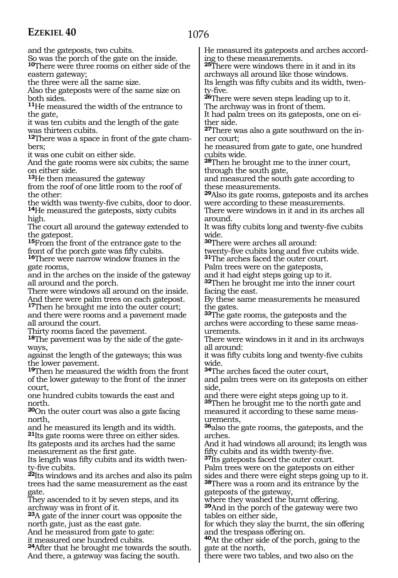1076

and the gateposts, two cubits.

So was the porch of the gate on the inside. **<sup>10</sup>**There were three rooms on either side of the eastern gateway;

the three were all the same size.

Also the gateposts were of the same size on both sides.

**<sup>11</sup>**He measured the width of the entrance to the gate,

it was ten cubits and the length of the gate was thirteen cubits.

**12**There was a space in front of the gate chambers;

it was one cubit on either side.

And the gate rooms were six cubits; the same on either side.

**<sup>13</sup>**He then measured the gateway

from the roof of one little room to the roof of the other:<br>the width was twenty-five cubits, door to door.

14He measured the gateposts, sixty cubits high.

The court all around the gateway extended to the gatepost.

**15**From the front of the entrance gate to the front of the porch gate was fifty cubits.

16There were narrow window frames in the gate rooms,

and in the arches on the inside of the gateway all around and the porch.

There were windows all around on the inside. And there were palm trees on each gatepost.

**<sup>17</sup>**Then he brought me into the outer court; and there were rooms and a pavement made all around the court.

Thirty rooms faced the pavement.

**18**The pavement was by the side of the gateways.

against the length of the gateways; this was the lower pavement.

**<sup>19</sup>**Then he measured the width from the front of the lower gateway to the front of the inner court,

one hundred cubits towards the east and north.

**<sup>20</sup>**On the outer court was also a gate facing north,

and he measured its length and its width. **<sup>21</sup>**Its gate rooms were three on either sides. Its gateposts and its arches had the same measurement as the first gate.

Its length was fifty cubits and its width twenty-five cubits.

**<sup>22</sup>**Its windows and its arches and also its palm trees had the same measurement as the east gate.

They ascended to it by seven steps, and its archway was in front of it.

**<sup>23</sup>**A gate of the inner court was opposite the north gate, just as the east gate.

And he measured from gate to gate:

it measured one hundred cubits.

**<sup>24</sup>**After that he brought me towards the south. And there, a gateway was facing the south.

He measured its gateposts and arches according to these measurements.

**<sup>25</sup>**There were windows there in it and in its archways all around like those windows. Its length was fifty cubits and its width, twen-

ty-five. **<sup>26</sup>**There were seven steps leading up to it.

The archway was in front of them.

It had palm trees on its gateposts, one on either side.

**27**There was also a gate southward on the inner court;

he measured from gate to gate, one hundred cubits wide.

**<sup>28</sup>**Then he brought me to the inner court, through the south gate,

and measured the south gate according to these measurements.

**<sup>29</sup>**Also its gate rooms, gateposts and its arches were according to these measurements. There were windows in it and in its arches all

around.

It was fifty cubits long and twenty-five cubits wide.

**<sup>30</sup>**There were arches all around:

twenty-five cubits long and five cubits wide. **<sup>31</sup>**The arches faced the outer court.

Palm trees were on the gateposts,

and it had eight steps going up to it.

**<sup>32</sup>**Then he brought me into the inner court facing the east.

By these same measurements he measured the gates.

**<sup>33</sup>**The gate rooms, the gateposts and the arches were according to these same measurements.

There were windows in it and in its archways all around:

it was fifty cubits long and twenty-five cubits wide.

**<sup>34</sup>**The arches faced the outer court,

and palm trees were on its gateposts on either side,

and there were eight steps going up to it.

**<sup>35</sup>**Then he brought me to the north gate and measured it according to these same meas- urements,

**<sup>36</sup>**also the gate rooms, the gateposts, and the arches.

And it had windows all around; its length was fifty cubits and its width twenty-five.

**<sup>37</sup>**Its gateposts faced the outer court.

Palm trees were on the gateposts on either sides and there were eight steps going up to it. **<sup>38</sup>**There was a room and its entrance by the gateposts of the gateway,

where they washed the burnt offering.

**<sup>39</sup>**And in the porch of the gateway were two tables on either side,

for which they slay the burnt, the sin offering and the trespass offering on.

**<sup>40</sup>**At the other side of the porch, going to the gate at the north,

there were two tables, and two also on the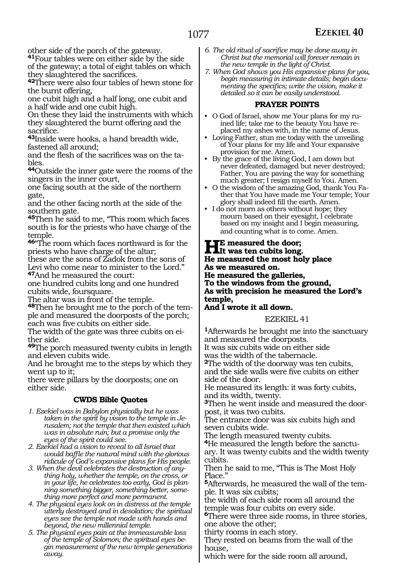other side of the porch of the gateway.

**<sup>41</sup>**Four tables were on either side by the side of the gateway; a total of eight tables on which they slaughtered the sacrifices.

**<sup>42</sup>**There were also four tables of hewn stone for the burnt offering,

one cubit high and a half long, one cubit and a half wide and one cubit high.

On these they laid the instruments with which they slaughtered the burnt offering and the sacrifice.

**<sup>43</sup>**Inside were hooks, a hand breadth wide, fastened all around;

and the flesh of the sacrifices was on the tables.

**<sup>44</sup>**Outside the inner gate were the rooms of the singers in the inner court,

one facing south at the side of the northern gate,

and the other facing north at the side of the southern gate.

**<sup>45</sup>**Then he said to me, "This room which faces south is for the priests who have charge of the temple.

**<sup>46</sup>**"The room which faces northward is for the priests who have charge of the altar;

these are the sons of Zadok from the sons of Levi who come near to minister to the Lord." **<sup>47</sup>**And he measured the court:

one hundred cubits long and one hundred cubits wide, foursquare.

The altar was in front of the temple.

**<sup>48</sup>**Then he brought me to the porch of the tem- ple and measured the doorposts of the porch; each was five cubits on either side.

The width of the gate was three cubits on ei- ther side.

**<sup>49</sup>**The porch measured twenty cubits in length and eleven cubits wide.

And he brought me to the steps by which they went up to it;

there were pillars by the doorposts; one on either side.

#### **CWDS Bible Quotes**

- *1. Ezekiel was in Babylon physically but he was taken in the spirit by vision to the temple in Jerusalem; not the temple that then existed which was in absolute ruin; but a promise only the eyes of the spirit could see.*
- *2. Ezekiel had a vision to reveal to all Israel that would baffle the natural mind with the glorious ridicule of God's expansive plans for His people.*
- *3. When the devil celebrates the destruction of anything holy, whether the temple, on the cross, or in your life, he celebrates too early, God is planning something bigger, something better, something more perfect and more permanent.*
- *4. The physical eyes look on in distress at the temple utterly destroyed and in desolation; the spiritual eyes see the temple not made with hands and beyond, the new millennial temple.*
- *5. The physical eyes pain at the immeasurable loss of the temple of Solomon; the spiritual eyes begin measurement of the new temple generations away.*
- *6. The old ritual of sacrifice may be done away in Christ but the memorial will forever remain in the new temple in the light of Christ.*
- *7. When God shows you His expansive plans for you, begin measuring in intimate details; begin documenting the specifics; write the vision, make it detailed so it can be easily understood.*

#### **PRAYER POINTS**

- O God of Israel, show me Your plans for my ruined life; take me to the beauty You have replaced my ashes with, in the name of Jesus.
- Loving Father, stun me today with the unveiling of Your plans for my life and Your expansive provision for me. Amen.
- By the grace of the living God, I am down but never defeated, damaged but never destroyed; Father, You are paving the way for something much greater; I resign myself to You. Amen.
- O the wisdom of the amazing God, thank You Father that You have made me Your temple; Your glory shall indeed fill the earth. Amen.
- I do not morn as others without hope; they mourn based on their eyesight, I celebrate based on my insight and I begin measuring, and counting what is to come. Amen.

#### **He measured the door; It was ten cubits long. He measured the most holy place As we measured on.**

**He measured the galleries,**

**To the windows from the ground, As with precision he measured the Lord's temple,**

#### **And I wrote it all down.**

#### EZEKIEL 41

**<sup>1</sup>**Afterwards he brought me into the sanctuary and measured the doorposts. It was six cubits wide on either side was the width of the tabernacle. **<sup>2</sup>**The width of the doorway was ten cubits, and the side walls were five cubits on either side of the door. He measured its length: it was forty cubits, and its width, twenty. **3**Then he went inside and measured the door-

post, it was two cubits. The entrance door was six cubits high and seven cubits wide.

The length measured twenty cubits.

**4**He measured the length before the sanctuary. It was twenty cubits and the width twenty cubits.

Then he said to me, "This is The Most Holy Place<sup>"</sup>

**5**Afterwards, he measured the wall of the temple. It was six cubits;

the width of each side room all around the temple was four cubits on every side.

**<sup>6</sup>**There were three side rooms, in three stories, one above the other;

thirty rooms in each story.

They rested on beams from the wall of the house,

which were for the side room all around,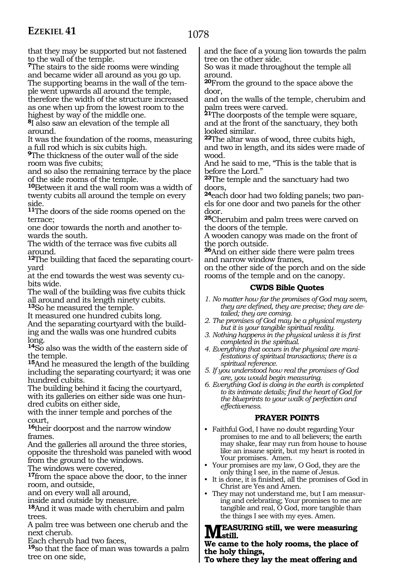that they may be supported but not fastened to the wall of the temple.

**<sup>7</sup>**The stairs to the side rooms were winding and became wider all around as you go up. The supporting beams in the wall of the temple went upwards all around the temple, therefore the width of the structure increased as one when up from the lowest room to the highest by way of the middle one.

**<sup>8</sup>**I also saw an elevation of the temple all around.

It was the foundation of the rooms, measuring a full rod which is six cubits high.

**<sup>9</sup>**The thickness of the outer wall of the side room was five cubits;

and so also the remaining terrace by the place of the side rooms of the temple.

**<sup>10</sup>**Between it and the wall room was a width of twenty cubits all around the temple on every side.

**<sup>11</sup>**The doors of the side rooms opened on the terrace;

one door towards the north and another towards the south.

The width of the terrace was five cubits all around.

**12**The building that faced the separating courtyard

at the end towards the west was seventy cubits wide.

The wall of the building was five cubits thick all around and its length ninety cubits. **<sup>13</sup>**So he measured the temple.

It measured one hundred cubits long. And the separating courtyard with the building and the walls was one hundred cubits

long. **<sup>14</sup>**So also was the width of the eastern side of

the temple. **<sup>15</sup>**And he measured the length of the building

including the separating courtyard; it was one hundred cubits.

The building behind it facing the courtyard, with its galleries on either side was one hun- dred cubits on either side,

with the inner temple and porches of the court,

**<sup>16</sup>**their doorpost and the narrow window frames.

And the galleries all around the three stories, opposite the threshold was paneled with wood from the ground to the windows.

The windows were covered,

**<sup>17</sup>**from the space above the door, to the inner room, and outside,

and on every wall all around,

inside and outside by measure.

**<sup>18</sup>**And it was made with cherubim and palm trees.

A palm tree was between one cherub and the next cherub.

Each cherub had two faces,

**<sup>19</sup>**so that the face of man was towards a palm tree on one side,

and the face of a young lion towards the palm tree on the other side.

So was it made throughout the temple all around.

**<sup>20</sup>**From the ground to the space above the door,

and on the walls of the temple, cherubim and palm trees were carved.

**<sup>21</sup>**The doorposts of the temple were square, and at the front of the sanctuary, they both looked similar.

**<sup>22</sup>**The altar was of wood, three cubits high, and two in length, and its sides were made of wood.

And he said to me, "This is the table that is before the Lord."

**<sup>23</sup>**The temple and the sanctuary had two doors,

**24**each door had two folding panels; two panels for one door and two panels for the other door.

**<sup>25</sup>**Cherubim and palm trees were carved on the doors of the temple.

A wooden canopy was made on the front of the porch outside.

**<sup>26</sup>**And on either side there were palm trees and narrow window frames,

on the other side of the porch and on the side rooms of the temple and on the canopy.

#### **CWDS Bible Quotes**

- *1. No matter how far the promises of God may seem, they are defined, they are precise; they are detailed; they are coming.*
- *2. The promises of God may be a physical mystery but it is your tangible spiritual reality.*
- *3. Nothing happens in the physical unless it is first completed in the spiritual.*
- *4. Everything that occurs in the physical are manifestations of spiritual transactions; there is a spiritual reference.*
- *5. If you understood how real the promises of God are, you would begin measuring.*
- *6. Everything God is doing in the earth is completed to its intimate details; find the heart of God for the blueprints to your walk of perfection and effectiveness.*

#### **PRAYER POINTS**

- Faithful God, I have no doubt regarding Your promises to me and to all believers; the earth may shake, fear may run from house to house like an insane spirit, but my heart is rooted in Your promises. Amen.
- Your promises are my law, O God, they are the only thing I see, in the name of Jesus.
- It is done, it is finished, all the promises of God in Christ are Yes and Amen.
- They may not understand me, but I am measuring and celebrating; Your promises to me are tangible and real, O God, more tangible than the things I see with my eyes. Amen.

## **MEASURING still, we were measuring<br>We seem to the halv game, the glass of**

#### **We came to the holy rooms, the place of the holy things,**

**To where they lay the meat offering and**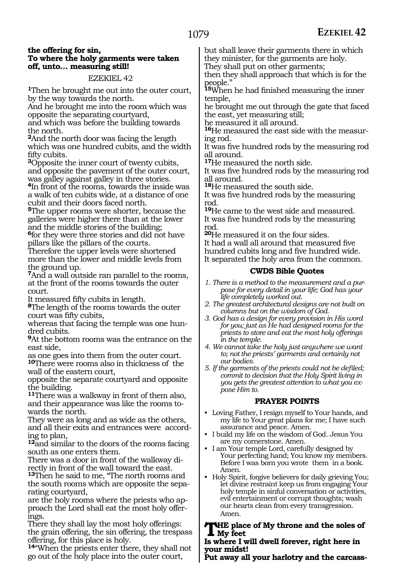#### **the offering for sin, To where the holy garments were taken off, unto… measuring still!**

#### EZEKIEL 42

**<sup>1</sup>**Then he brought me out into the outer court, by the way towards the north.

And he brought me into the room which was opposite the separating courtyard,

and which was before the building towards the north.

**<sup>2</sup>**And the north door was facing the length which was one hundred cubits, and the width fifty cubits.

**<sup>3</sup>**Opposite the inner court of twenty cubits, and opposite the pavement of the outer court, was galley against galley in three stories.

**<sup>4</sup>**In front of the rooms, towards the inside was a walk of ten cubits wide, at a distance of one cubit and their doors faced north.

**<sup>5</sup>**The upper rooms were shorter, because the galleries were higher there than at the lower and the middle stories of the building;

**<sup>6</sup>**for they were three stories and did not have pillars like the pillars of the courts.

Therefore the upper levels were shortened more than the lower and middle levels from the ground up.

**<sup>7</sup>**And a wall outside ran parallel to the rooms, at the front of the rooms towards the outer

court.<br>It measured fifty cubits in length.

<sup>8</sup>The length of the rooms towards the outer court was fifty cubits,

whereas that facing the temple was one hundred cubits.

**<sup>9</sup>**At the bottom rooms was the entrance on the east side,

as one goes into them from the outer court. **<sup>10</sup>**There were rooms also in thickness of the wall of the eastern court,

opposite the separate courtyard and opposite the building.

**<sup>11</sup>**There was a walkway in front of them also, and their appearance was like the rooms towards the north.

They were as long and as wide as the others, and all their exits and entrances were according to plan,

**<sup>12</sup>**and similar to the doors of the rooms facing south as one enters them.

There was a door in front of the walkway directly in front of the wall toward the east.

**<sup>13</sup>**Then he said to me, "The north rooms and the south rooms which are opposite the separating courtyard,

are the holy rooms where the priests who approach the Lord shall eat the most holy offerings.

There they shall lay the most holy offerings: the grain offering, the sin offering, the trespass offering, for this place is holy.

**<sup>14</sup>**"When the priests enter there, they shall not go out of the holy place into the outer court,

but shall leave their garments there in which they minister, for the garments are holy.

They shall put on other garments;

then they shall approach that which is for the people."

**<sup>15</sup>**When he had finished measuring the inner temple,

he brought me out through the gate that faced the east, yet measuring still;

he measured it all around.

**16**He measured the east side with the measuring rod.

It was five hundred rods by the measuring rod all around.

**<sup>17</sup>**He measured the north side.

It was five hundred rods by the measuring rod all around.

**<sup>18</sup>**He measured the south side.

It was five hundred rods by the measuring rod.

**<sup>19</sup>**He came to the west side and measured. It was five hundred rods by the measuring rod.

**<sup>20</sup>**He measured it on the four sides.

It had a wall all around that measured five hundred cubits long and five hundred wide. It separated the holy area from the common.

#### **CWDS Bible Quotes**

*1. There is a method to the measurement and a purpose for every detail in your life; God has your life completely worked out.*

- *2. The greatest architectural designs are not built on columns but on the wisdom of God.*
- *3. God has a design for every provision in His word for you; just as He had designed rooms for the priests to store and eat the most holy offerings in the temple.*
- *4. We cannot take the holy just anywhere we want to; not the priests' garments and certainly not our bodies.*
- *5. If the garments of the priests could not be defiled; commit to decision that the Holy Spirit living in you gets the greatest attention to what you expose Him to.*

#### **PRAYER POINTS**

- Loving Father, I resign myself to Your hands, and my life to Your great plans for me; I have such assurance and peace. Amen.
- I build my life on the wisdom of God. Jesus You are my cornerstone. Amen.
- I am Your temple Lord, carefully designed by Your perfecting hand; You know my members. Before I was born you wrote them in a book. Amen.
- Holy Spirit, forgive believers for daily grieving You; let divine restraint keep us from engaging Your holy temple in sinful conversation or activities, evil entertainment or corrupt thoughts; wash our hearts clean from every transgression. Amen.

#### **The place of My throne and the soles of My feet**

#### **Is where I will dwell forever, right here in your midst!**

**Put away all your harlotry and the carcass-**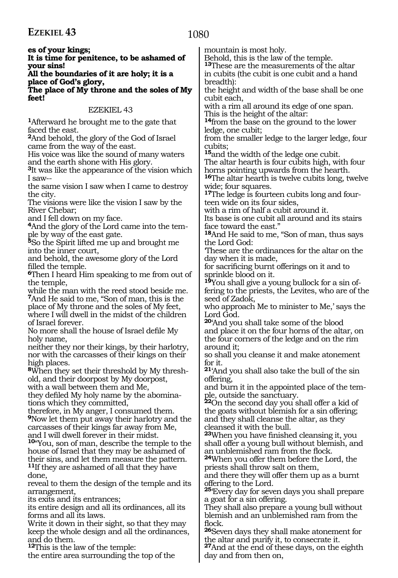1080

**es of your kings;** 

**It is time for penitence, to be ashamed of your sins!** 

#### **All the boundaries of it are holy; it is a place of God's glory,**

**The place of My throne and the soles of My feet!** 

#### EZEKIEL 43

**<sup>1</sup>**Afterward he brought me to the gate that faced the east.

**<sup>2</sup>**And behold, the glory of the God of Israel came from the way of the east.

His voice was like the sound of many waters and the earth shone with His glory.

**<sup>3</sup>**It was like the appearance of the vision which I saw--

the same vision I saw when I came to destroy the city.

The visions were like the vision I saw by the River Chebar;

and I fell down on my face.

**4**And the glory of the Lord came into the temple by way of the east gate.

**<sup>5</sup>**So the Spirit lifted me up and brought me into the inner court,

and behold, the awesome glory of the Lord filled the temple.

**<sup>6</sup>**Then I heard Him speaking to me from out of the temple,

while the man with the reed stood beside me. **<sup>7</sup>**And He said to me, "Son of man, this is the place of My throne and the soles of My feet, where I will dwell in the midst of the children of Israel forever.

No more shall the house of Israel defile My holy name,

neither they nor their kings, by their harlotry, nor with the carcasses of their kings on their high places.

**8**When they set their threshold by My threshold, and their doorpost by My doorpost,

with a wall between them and Me,

they defiled My holy name by the abominations which they committed,

therefore, in My anger, I consumed them. **<sup>9</sup>**Now let them put away their harlotry and the carcasses of their kings far away from Me, and I will dwell forever in their midst.

**<sup>10</sup>**"You, son of man, describe the temple to the house of Israel that they may be ashamed of their sins, and let them measure the pattern. **<sup>11</sup>**If they are ashamed of all that they have done,

reveal to them the design of the temple and its arrangement,

its exits and its entrances;

its entire design and all its ordinances, all its forms and all its laws.

Write it down in their sight, so that they may keep the whole design and all the ordinances, and do them.

**<sup>12</sup>**This is the law of the temple:

the entire area surrounding the top of the

mountain is most holy.

Behold, this is the law of the temple.

**<sup>13</sup>**These are the measurements of the altar in cubits (the cubit is one cubit and a hand breadth):

the height and width of the base shall be one cubit each,

with a rim all around its edge of one span. This is the height of the altar:

**<sup>14</sup>**from the base on the ground to the lower ledge, one cubit;

from the smaller ledge to the larger ledge, four cubits;

**<sup>15</sup>**and the width of the ledge one cubit.

The altar hearth is four cubits high, with four horns pointing upwards from the hearth.

**<sup>16</sup>**The altar hearth is twelve cubits long, twelve wide; four squares.

**17**The ledge is fourteen cubits long and fourteen wide on its four sides,

with a rim of half a cubit around it.

Its base is one cubit all around and its stairs face toward the east."

**<sup>18</sup>**And He said to me, "Son of man, thus says the Lord God:

'These are the ordinances for the altar on the day when it is made,

for sacrificing burnt offerings on it and to sprinkle blood on it.

**19**You shall give a young bullock for a sin offering to the priests, the Levites, who are of the seed of Zadok,

who approach Me to minister to Me,' says the Lord God.

**<sup>20</sup>**'And you shall take some of the blood and place it on the four horns of the altar, on the four corners of the ledge and on the rim around it;

so shall you cleanse it and make atonement for it.

**<sup>21</sup>**'And you shall also take the bull of the sin offering,

and burn it in the appointed place of the temple, outside the sanctuary.

**<sup>22</sup>**On the second day you shall offer a kid of the goats without blemish for a sin offering; and they shall cleanse the altar, as they cleansed it with the bull.

**<sup>23</sup>**When you have finished cleansing it, you shall offer a young bull without blemish, and an unblemished ram from the flock.

**<sup>24</sup>**When you offer them before the Lord, the priests shall throw salt on them,

and there they will offer them up as a burnt offering to the Lord.

**<sup>25</sup>**'Every day for seven days you shall prepare a goat for a sin offering.

They shall also prepare a young bull without blemish and an unblemished ram from the flock.

**<sup>26</sup>**Seven days they shall make atonement for the altar and purify it, to consecrate it.

**<sup>27</sup>**And at the end of these days, on the eighth day and from then on,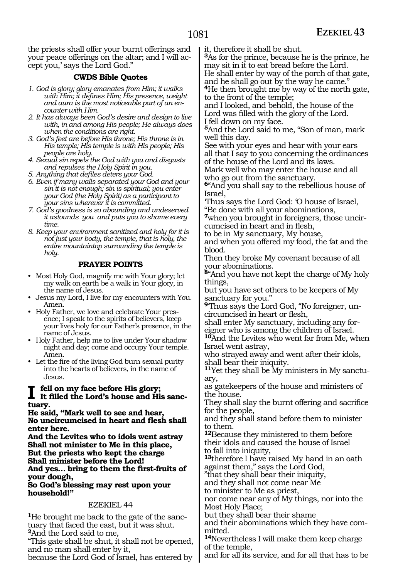the priests shall offer your burnt offerings and your peace offerings on the altar; and I will accept you,' says the Lord God."

#### **CWDS Bible Quotes**

- *1. God is glory; glory emanates from Him; it walks with Him; it defines Him; His presence, weight and aura is the most noticeable part of an encounter with Him.*
- *2. It has always been God's desire and design to live with, in and among His people; He always does when the conditions are right.*
- *3. God's feet are before His throne; His throne is in His temple; His temple is with His people; His people are holy.*
- *4. Sexual sin repels the God with you and disgusts and repulses the Holy Spirit in you.*
- *5. Anything that defiles deters your God.*
- *6. Even if many walls separated your God and your sin it is not enough; sin is spiritual; you enter your God (the Holy Spirit) as a participant to your sins wherever it is committed.*
- *7. God's goodness is so abounding and undeserved it astounds you and puts you to shame every time.*
- *8. Keep your environment sanitized and holy for it is not just your body, the temple, that is holy, the entire mountaintop surrounding the temple is holy.*

#### **PRAYER POINTS**

- Most Holy God, magnify me with Your glory; let my walk on earth be a walk in Your glory, in the name of Jesus.
- Jesus my Lord, I live for my encounters with You. Amen.
- Holy Father, we love and celebrate Your presence; I speak to the spirits of believers, keep your lives holy for our Father's presence, in the name of Jesus.
- Holy Father, help me to live under Your shadow night and day; come and occupy Your temple. Amen.
- Let the fire of the living God burn sexual purity into the hearts of believers, in the name of Jesus.

### **I fell on my face before His glory; It filled the Lord's house and His sanctuary.**

**He said, "Mark well to see and hear, No uncircumcised in heart and flesh shall enter here.**

**And the Levites who to idols went astray Shall not minister to Me in this place, But the priests who kept the charge Shall minister before the Lord! And yes… bring to them the first-fruits of** 

**your dough, So God's blessing may rest upon your household!"**

#### EZEKIEL 44

**1**He brought me back to the gate of the sanctuary that faced the east, but it was shut. **<sup>2</sup>**And the Lord said to me,

"This gate shall be shut, it shall not be opened, and no man shall enter by it,

because the Lord God of Israel, has entered by

it, therefore it shall be shut.

**<sup>3</sup>**As for the prince, because he is the prince, he may sit in it to eat bread before the Lord.

He shall enter by way of the porch of that gate, and he shall go out by the way he came."

**<sup>4</sup>**He then brought me by way of the north gate, to the front of the temple;

and I looked, and behold, the house of the Lord was filled with the glory of the Lord. I fell down on my face.

**<sup>5</sup>**And the Lord said to me, "Son of man, mark well this day.

See with your eyes and hear with your ears all that I say to you concerning the ordinances of the house of the Lord and its laws.

Mark well who may enter the house and all who go out from the sanctuary.

**<sup>6</sup>**"And you shall say to the rebellious house of Israel,

'Thus says the Lord God: 'O house of Israel, "Be done with all your abominations,

**7**when you brought in foreigners, those uncircumcised in heart and in flesh,

to be in My sanctuary, My house,

and when you offered my food, the fat and the blood.

Then they broke My covenant because of all your abominations.

**<sup>8</sup>**"And you have not kept the charge of My holy things,

but you have set others to be keepers of My sanctuary for you."

**9**'Thus says the Lord God, "No foreigner, uncircumcised in heart or flesh,

shall enter My sanctuary, including any foreigner who is among the children of Israel. **<sup>10</sup>**And the Levites who went far from Me, when

Israel went astray, who strayed away and went after their idols, shall bear their iniquity.

**11**Yet they shall be My ministers in My sanctuary,

as gatekeepers of the house and ministers of the house.

They shall slay the burnt offering and sacrifice for the people,

and they shall stand before them to minister to them.

**<sup>12</sup>**Because they ministered to them before their idols and caused the house of Israel to fall into iniquity,

**<sup>13</sup>**therefore I have raised My hand in an oath against them," says the Lord God,

"that they shall bear their iniquity,

and they shall not come near Me

to minister to Me as priest,

nor come near any of My things, nor into the Most Holy Place;

but they shall bear their shame

and their abominations which they have com- mitted.

**<sup>14</sup>**Nevertheless I will make them keep charge of the temple,

and for all its service, and for all that has to be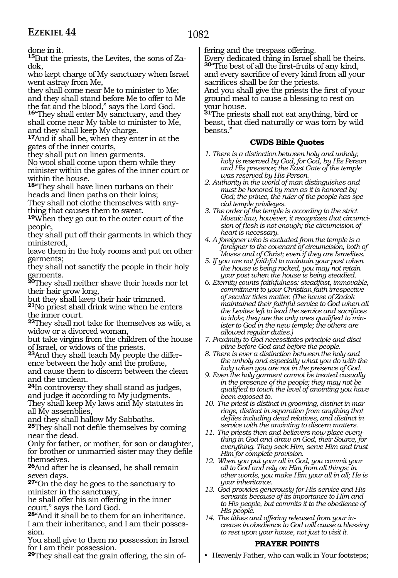done in it.

**15**But the priests, the Levites, the sons of Zadok,

who kept charge of My sanctuary when Israel went astray from Me,

they shall come near Me to minister to Me; and they shall stand before Me to offer to Me the fat and the blood," says the Lord God. **<sup>16</sup>**"They shall enter My sanctuary, and they shall come near My table to minister to Me, and they shall keep My charge.

**<sup>17</sup>**And it shall be, when they enter in at the gates of the inner courts,

they shall put on linen garments.

No wool shall come upon them while they minister within the gates of the inner court or within the house.

**<sup>18</sup>**"They shall have linen turbans on their heads and linen paths on their loins;

They shall not clothe themselves with anything that causes them to sweat.

**<sup>19</sup>**When they go out to the outer court of the people,

they shall put off their garments in which they ministered,

leave them in the holy rooms and put on other garments;

they shall not sanctify the people in their holy garments.

**<sup>20</sup>**They shall neither shave their heads nor let their hair grow long,

but they shall keep their hair trimmed.

**<sup>21</sup>**No priest shall drink wine when he enters the inner court.

**<sup>22</sup>**They shall not take for themselves as wife, a widow or a divorced woman,

but take virgins from the children of the house of Israel, or widows of the priests.

**<sup>23</sup>**And they shall teach My people the differ- ence between the holy and the profane, and cause them to discern between the clean and the unclean.

**<sup>24</sup>**In controversy they shall stand as judges, and judge it according to My judgments.

They shall keep My laws and My statutes in all My assemblies,

and they shall hallow My Sabbaths.

**<sup>25</sup>**They shall not defile themselves by coming near the dead.

Only for father, or mother, for son or daughter, for brother or unmarried sister may they defile themselves.

**<sup>26</sup>**And after he is cleansed, he shall remain seven days.

**<sup>27</sup>**"On the day he goes to the sanctuary to minister in the sanctuary,

he shall offer his sin offering in the inner court," says the Lord God.

**<sup>28</sup>**"And it shall be to them for an inheritance. I am their inheritance, and I am their possession.

You shall give to them no possession in Israel for I am their possession.

**29**They shall eat the grain offering, the sin of-

fering and the trespass offering.

Every dedicated thing in Israel shall be theirs. **<sup>30</sup>**"The best of all the first-fruits of any kind, and every sacrifice of every kind from all your sacrifices shall be for the priests. And you shall give the priests the first of your ground meal to cause a blessing to rest on

your house. **<sup>31</sup>**The priests shall not eat anything, bird or beast, that died naturally or was torn by wild beasts."

#### **CWDS Bible Quotes**

- *1. There is a distinction between holy and unholy; holy is reserved by God, for God, by His Person and His presence; the East Gate of the temple was reserved by His Person.*
- *2. Authority in the world of man distinguishes and must be honored by man as it is honored by God; the prince, the ruler of the people has special temple privileges.*
- *3. The order of the temple is according to the strict Mosaic law, however, it recognizes that circumcision of flesh is not enough; the circumcision of heart is necessary.*
- *4. A foreigner who is excluded from the temple is a foreigner to the covenant of circumcision, both of Moses and of Christ; even if they are Israelites.*
- *5. If you are not faithful to maintain your post when the house is being rocked, you may not retain your post when the house is being steadied.*
- *6. Eternity counts faithfulness: steadfast, immovable, commitment to your Christian faith irrespective of secular tides matter. (The house of Zadok maintained their faithful service to God when all the Levites left to lead the service and sacrifices to idols; they are the only ones qualified to minister to God in the new temple; the others are allowed regular duties.)*
- *7. Proximity to God necessitates principle and discipline before God and before the people.*
- *8. There is ever a distinction between the holy and the unholy and especially what you do with the holy when you are not in the presence of God.*
- *9. Even the holy garment cannot be treated casually in the presence of the people; they may not be qualified to touch the level of anointing you have been exposed to.*
- *10. The priest is distinct in grooming, distinct in marriage, distinct in separation from anything that defiles including dead relatives, and distinct in service with the anointing to discern matters.*
- *11. The priests then and believers now place everything in God and draw on God, their Source, for everything. They seek Him, serve Him and trust Him for complete provision.*
- *12. When you put your all in God, you commit your all to God and rely on Him from all things; in other words, you make Him your all in all; He is your inheritance.*
- *13. God provides generously for His service and His servants because of its importance to Him and to His people, but commits it to the obedience of His people.*
- *14. The tithes and offering released from your increase in obedience to God will cause a blessing to rest upon your house, not just to visit it.*

#### **PRAYER POINTS**

• Heavenly Father, who can walk in Your footsteps;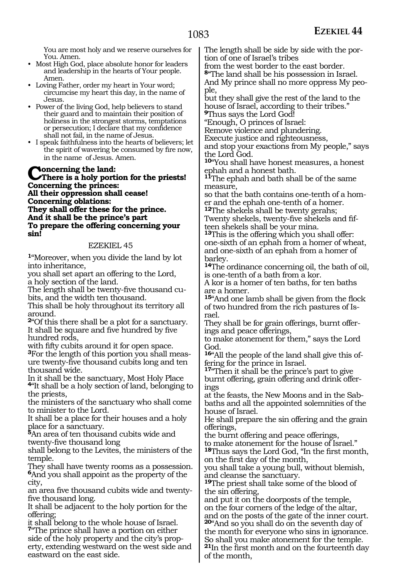You are most holy and we reserve ourselves for You. Amen.

- Most High God, place absolute honor for leaders and leadership in the hearts of Your people. Amen.
- Loving Father, order my heart in Your word; circumcise my heart this day, in the name of Jesus.
- Power of the living God, help believers to stand their guard and to maintain their position of holiness in the strongest storms, temptations or persecution; I declare that my confidence shall not fail, in the name of Jesus.
- I speak faithfulness into the hearts of believers; let the spirit of wavering be consumed by fire now, in the name of Jesus. Amen.

**Concerning the land: There is a holy portion for the priests! Concerning the princes: All their oppression shall cease! Concerning oblations: They shall offer these for the prince. And it shall be the prince's part To prepare the offering concerning your sin!**

#### EZEKIEL 45

**<sup>1</sup>**"Moreover, when you divide the land by lot into inheritance,

you shall set apart an offering to the Lord, a holy section of the land.

The length shall be twenty-five thousand cu- bits, and the width ten thousand.

This shall be holy throughout its territory all around.

**<sup>2</sup>**"Of this there shall be a plot for a sanctuary. It shall be square and five hundred by five hundred rods,<br>with fifty cubits around it for open space.

<sup>3</sup>For the length of this portion you shall meas-<br>ure twenty-five thousand cubits long and ten thousand wide.

In it shall be the sanctuary, Most Holy Place **<sup>4</sup>**"It shall be a holy section of land, belonging to the priests,

the ministers of the sanctuary who shall come to minister to the Lord.

It shall be a place for their houses and a holy place for a sanctuary.

**<sup>5</sup>**An area of ten thousand cubits wide and twenty-five thousand long

shall belong to the Levites, the ministers of the temple.

They shall have twenty rooms as a possession. **<sup>6</sup>**And you shall appoint as the property of the city,

an area five thousand cubits wide and twentyfive thousand long.

It shall be adjacent to the holy portion for the offering;

it shall belong to the whole house of Israel. **<sup>7</sup>**"The prince shall have a portion on either side of the holy property and the city's property, extending westward on the west side and eastward on the east side.

The length shall be side by side with the por- tion of one of Israel's tribes

from the west border to the east border. **<sup>8</sup>**"The land shall be his possession in Israel.

And My prince shall no more oppress My people,

but they shall give the rest of the land to the house of Israel, according to their tribes." **<sup>9</sup>**Thus says the Lord God!

"Enough, O princes of Israel:

Remove violence and plundering.

Execute justice and righteousness,

and stop your exactions from My people," says the Lord God.

**<sup>10</sup>**"You shall have honest measures, a honest ephah and a honest bath.

**<sup>11</sup>**The ephah and bath shall be of the same measure,

so that the bath contains one-tenth of a homer and the ephah one-tenth of a homer.

**<sup>12</sup>**The shekels shall be twenty gerahs; Twenty shekels, twenty-five shekels and fifteen shekels shall be your mina.

**<sup>13</sup>**This is the offering which you shall offer: one-sixth of an ephah from a homer of wheat, and one-sixth of an ephah from a homer of barley.

**<sup>14</sup>**The ordinance concerning oil, the bath of oil, is one-tenth of a bath from a kor.

A kor is a homer of ten baths, for ten baths are a homer.

**<sup>15</sup>**"And one lamb shall be given from the flock of two hundred from the rich pastures of Israel.

They shall be for grain offerings, burnt offer- ings and peace offerings,

to make atonement for them," says the Lord God.

**<sup>16</sup>**"All the people of the land shall give this of- fering for the prince in Israel.

**<sup>17</sup>**"Then it shall be the prince's part to give burnt offering, grain offering and drink offerings

at the feasts, the New Moons and in the Sabbaths and all the appointed solemnities of the house of Israel.

He shall prepare the sin offering and the grain offerings,

the burnt offering and peace offerings,

to make atonement for the house of Israel." **<sup>18</sup>**Thus says the Lord God, "In the first month, on the first day of the month,

you shall take a young bull, without blemish, and cleanse the sanctuary.

**<sup>19</sup>**The priest shall take some of the blood of the sin offering,

and put it on the doorposts of the temple, on the four corners of the ledge of the altar, and on the posts of the gate of the inner court.

**<sup>20</sup>**"And so you shall do on the seventh day of the month for everyone who sins in ignorance. So shall you make atonement for the temple.

**<sup>21</sup>**In the first month and on the fourteenth day of the month,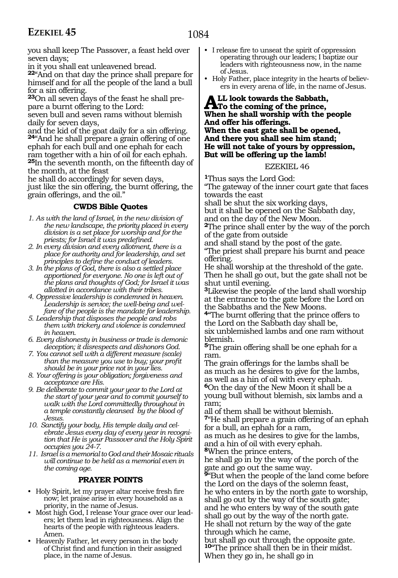you shall keep The Passover, a feast held over seven days;

in it you shall eat unleavened bread.

**<sup>22</sup>**"And on that day the prince shall prepare for himself and for all the people of the land a bull for a sin offering.

**23**On all seven days of the feast he shall prepare a burnt offering to the Lord:

seven bull and seven rams without blemish daily for seven days,

and the kid of the goat daily for a sin offering. **<sup>24</sup>**"And he shall prepare a grain offering of one ephah for each bull and one ephah for each ram together with a hin of oil for each ephah. **<sup>25</sup>**In the seventh month, on the fifteenth day of the month, at the feast

he shall do accordingly for seven days, just like the sin offering, the burnt offering, the grain offerings, and the oil."

#### **CWDS Bible Quotes**

- *1. As with the land of Israel, in the new division of the new landscape, the priority placed in every division is a set place for worship and for the priests; for Israel it was predefined.*
- *2. In every division and every allotment, there is a place for authority and for leadership, and set principles to define the conduct of leaders.*
- *3. In the plans of God, there is also a settled place apportioned for everyone. No one is left out of the plans and thoughts of God; for Israel it was allotted in accordance with their tribes.*
- *4. Oppressive leadership is condemned in heaven. Leadership is service; the well-being and welfare of the people is the mandate for leadership.*
- *5. Leadership that disposes the people and robs them with trickery and violence is condemned in heaven.*
- *6. Every dishonesty in business or trade is demonic deception; it disrespects and dishonors God.*
- *7. You cannot sell with a different measure (scale) than the measure you use to buy; your profit should be in your price not in your lies.*
- *8. Your offering is your obligation; forgiveness and acceptance are His.*
- *9. Be deliberate to commit your year to the Lord at the start of your year and to commit yourself to walk with the Lord committedly throughout in a temple constantly cleansed by the blood of Jesus.*
- *10. Sanctify your body, His temple daily and celebrate Jesus every day of every year in recognition that He is your Passover and the Holy Spirit occupies you 24-7.*
- *11. Israel is a memorial to God and their Mosaic rituals will continue to be held as a memorial even in the coming age.*

#### **PRAYER POINTS**

- Holy Spirit, let my prayer altar receive fresh fire now; let praise arise in every household as a priority, in the name of Jesus.
- Most high God, I release Your grace over our leaders; let them lead in righteousness. Align the hearts of the people with righteous leaders. Amen.
- Heavenly Father, let every person in the body of Christ find and function in their assigned place, in the name of Jesus.
- I release fire to unseat the spirit of oppression operating through our leaders; I baptize our leaders with righteousness now, in the name of Jesus.
- Holy Father, place integrity in the hearts of believers in every arena of life, in the name of Jesus.

#### ALL look towards the Sabbath,<br>To the coming of the prince,<br>When he shall warn his with the s **When he shall worship with the people And offer his offerings. When the east gate shall be opened, And there you shall see him stand; He will not take of yours by oppression, But will be offering up the lamb!**

EZEKIEL 46

**<sup>1</sup>**Thus says the Lord God:

"The gateway of the inner court gate that faces towards the east

shall be shut the six working days,

but it shall be opened on the Sabbath day,

and on the day of the New Moon.

**<sup>2</sup>**The prince shall enter by the way of the porch of the gate from outside

and shall stand by the post of the gate.

"The priest shall prepare his burnt and peace offering.

He shall worship at the threshold of the gate. Then he shall go out, but the gate shall not be shut until evening.

**<sup>3</sup>**Likewise the people of the land shall worship at the entrance to the gate before the Lord on the Sabbaths and the New Moons.

**<sup>4</sup>**"The burnt offering that the prince offers to the Lord on the Sabbath day shall be, six unblemished lambs and one ram without blemish.

**<sup>5</sup>**The grain offering shall be one ephah for a ram.

The grain offerings for the lambs shall be as much as he desires to give for the lambs, as well as a hin of oil with every ephah. **<sup>6</sup>**On the day of the New Moon it shall be a

young bull without blemish, six lambs and a ram;

all of them shall be without blemish. **<sup>7</sup>**"He shall prepare a grain offering of an ephah for a bull, an ephah for a ram,

as much as he desires to give for the lambs, and a hin of oil with every ephah.

**<sup>8</sup>**When the prince enters, he shall go in by the way of the porch of the gate and go out the same way.

**<sup>9</sup>**"But when the people of the land come before the Lord on the days of the solemn feast, he who enters in by the north gate to worship, shall go out by the way of the south gate; and he who enters by way of the south gate shall go out by the way of the north gate. He shall not return by the way of the gate through which he came,

but shall go out through the opposite gate. **<sup>10</sup>**"The prince shall then be in their midst. When they go in, he shall go in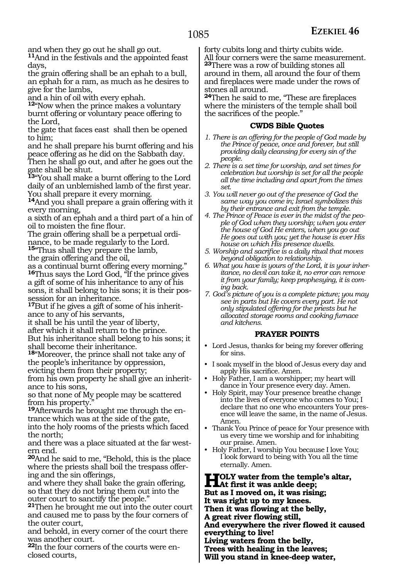and when they go out he shall go out.

**<sup>11</sup>**And in the festivals and the appointed feast days,

the grain offering shall be an ephah to a bull, an ephah for a ram, as much as he desires to give for the lambs,

and a hin of oil with every ephah.

**<sup>12</sup>**"Now when the prince makes a voluntary burnt offering or voluntary peace offering to the Lord,

the gate that faces east shall then be opened to him;

and he shall prepare his burnt offering and his peace offering as he did on the Sabbath day.

Then he shall go out, and after he goes out the gate shall be shut.

**<sup>13</sup>**"You shall make a burnt offering to the Lord daily of an unblemished lamb of the first year. You shall prepare it every morning.

**<sup>14</sup>**And you shall prepare a grain offering with it every morning,

a sixth of an ephah and a third part of a hin of oil to moisten the fine flour.

The grain offering shall be a perpetual ordinance, to be made regularly to the Lord.

**<sup>15</sup>**"Thus shall they prepare the lamb,

the grain offering and the oil,

as a continual burnt offering every morning." **<sup>16</sup>**Thus says the Lord God, "If the prince gives a gift of some of his inheritance to any of his sons, it shall belong to his sons; it is their possession for an inheritance.

**17**But if he gives a gift of some of his inheritance to any of his servants,

it shall be his until the year of liberty, after which it shall return to the prince. But his inheritance shall belong to his sons; it shall become their inheritance.

**<sup>18</sup>**"Moreover, the prince shall not take any of the people's inheritance by oppression, evicting them from their property;

from his own property he shall give an inheritance to his sons,

so that none of My people may be scattered from his property.

**19**Afterwards he brought me through the entrance which was at the side of the gate, into the holy rooms of the priests which faced the north;

and there was a place situated at the far western end.

**<sup>20</sup>**And he said to me, "Behold, this is the place where the priests shall boil the trespass offering and the sin offerings,

and where they shall bake the grain offering, so that they do not bring them out into the outer court to sanctify the people."

**<sup>21</sup>**Then he brought me out into the outer court and caused me to pass by the four corners of the outer court,

and behold, in every corner of the court there was another court.

**<sup>22</sup>**In the four corners of the courts were en- closed courts,

forty cubits long and thirty cubits wide. All four corners were the same measurement. **<sup>23</sup>**There was a row of building stones all around in them, all around the four of them and fireplaces were made under the rows of stones all around.

**<sup>24</sup>**Then he said to me, "These are fireplaces where the ministers of the temple shall boil the sacrifices of the people."

#### **CWDS Bible Quotes**

*1. There is an offering for the people of God made by the Prince of peace, once and forever, but still providing daily cleansing for every sin of the people.*

*2. There is a set time for worship, and set times for celebration but worship is set for all the people all the time including and apart from the times set.*

*3. You will never go out of the presence of God the same way you come in; Israel symbolizes this by their entrance and exit from the temple.*

*4. The Prince of Peace is ever in the midst of the people of God when they worship; when you enter the house of God He enters, when you go out He goes out with you; yet the house is ever His house on which His presence dwells.*

*5. Worship and sacrifice is a daily ritual that moves beyond obligation to relationship.*

*6. What you have is yours of the Lord, it is your inheritance, no devil can take it, no error can remove it from your family; keep prophesying, it is coming back.*

*7. God's picture of you is a complete picture; you may see in parts but He covers every part. He not only stipulated offering for the priests but he allocated storage rooms and cooking furnace and kitchens.*

#### **PRAYER POINTS**

- Lord Jesus, thanks for being my forever offering for sins.
- I soak myself in the blood of Jesus every day and apply His sacrifice. Amen.
- Holy Father, I am a worshipper; my heart will dance in Your presence every day. Amen.
- Holy Spirit, may Your presence breathe change into the lives of everyone who comes to You; I declare that no one who encounters Your presence will leave the same, in the name of Jesus. Amen.
- Thank You Prince of peace for Your presence with us every time we worship and for inhabiting our praise. Amen.
- Holy Father, I worship You because I love You; I look forward to being with You all the time eternally. Amen.

**HOLY** water from the temple's altar,<br>
But as I merced an it was sistem. **But as I moved on, it was rising; It was right up to my knees. Then it was flowing at the belly, A great river flowing still, And everywhere the river flowed it caused everything to live! Living waters from the belly, Trees with healing in the leaves;**

**Will you stand in knee-deep water,**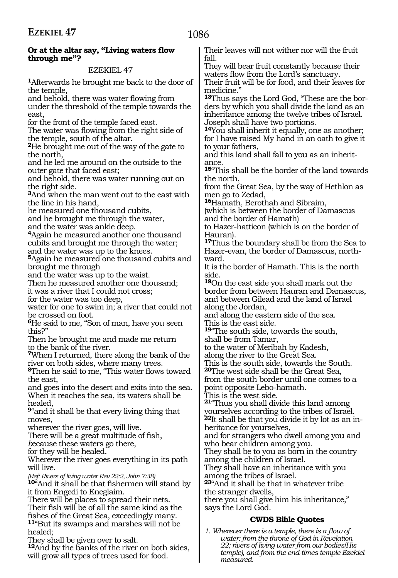#### **Or at the altar say, "Living waters flow through me"?**

#### EZEKIEL 47

**<sup>1</sup>**Afterwards he brought me back to the door of the temple,

and behold, there was water flowing from under the threshold of the temple towards the east,

for the front of the temple faced east.

The water was flowing from the right side of the temple, south of the altar.

**<sup>2</sup>**He brought me out of the way of the gate to the north,

and he led me around on the outside to the outer gate that faced east;

and behold, there was water running out on the right side.

**<sup>3</sup>**And when the man went out to the east with the line in his hand,

he measured one thousand cubits,

and he brought me through the water,

and the water was ankle deep.

**<sup>4</sup>**Again he measured another one thousand cubits and brought me through the water;

and the water was up to the knees. **<sup>5</sup>**Again he measured one thousand cubits and brought me through

and the water was up to the waist.

Then he measured another one thousand;

it was a river that I could not cross;

for the water was too deep,

water for one to swim in; a river that could not be crossed on foot.

**<sup>6</sup>**He said to me, "Son of man, have you seen this?"

Then he brought me and made me return to the bank of the river.

**<sup>7</sup>**When I returned, there along the bank of the river on both sides, where many trees.

**<sup>8</sup>**Then he said to me, "This water flows toward the east,

and goes into the desert and exits into the sea. When it reaches the sea, its waters shall be healed,

**<sup>9</sup>**"and it shall be that every living thing that moves.

wherever the river goes, will live.

There will be a great multitude of fish,

*b*ecause these waters go there,

for they will be healed.

Wherever the river goes everything in its path will live.

*(Ref: Rivers of living water Rev 22:2, John 7:38)*

**<sup>10</sup>**"And it shall be that fishermen will stand by it from Engedi to Eneglaim.

There will be places to spread their nets. Their fish will be of all the same kind as the fishes of the Great Sea, exceedingly many. **<sup>11</sup>**"But its swamps and marshes will not be healed;

They shall be given over to salt.

**<sup>12</sup>**And by the banks of the river on both sides, will grow all types of trees used for food.

Their leaves will not wither nor will the fruit fall.

They will bear fruit constantly because their waters flow from the Lord's sanctuary.

Their fruit will be for food, and their leaves for medicine."

**13**Thus says the Lord God, "These are the borders by which you shall divide the land as an inheritance among the twelve tribes of Israel. Joseph shall have two portions.

**<sup>14</sup>**You shall inherit it equally, one as another; for I have raised My hand in an oath to give it to your fathers,

and this land shall fall to you as an inheritance.

**<sup>15</sup>**"This shall be the border of the land towards the north,

from the Great Sea, by the way of Hethlon as men go to Zedad,

**<sup>16</sup>**Hamath, Berothah and Sibraim,

(which is between the border of Damascus and the border of Hamath)

to Hazer-hatticon (which is on the border of Hauran).

**<sup>17</sup>**Thus the boundary shall be from the Sea to Hazer-evan, the border of Damascus, northward.

It is the border of Hamath. This is the north side.

**<sup>18</sup>**On the east side you shall mark out the border from between Hauran and Damascus, and between Gilead and the land of Israel along the Jordan,

and along the eastern side of the sea. This is the east side.

**<sup>19</sup>**"The south side, towards the south, shall be from Tamar,

to the water of Meribah by Kadesh,

along the river to the Great Sea.

This is the south side, towards the South.

**<sup>20</sup>**The west side shall be the Great Sea, from the south border until one comes to a point opposite Lebo-hamath.

This is the west side.

**<sup>21</sup>**"Thus you shall divide this land among yourselves according to the tribes of Israel. **<sup>22</sup>**It shall be that you divide it by lot as an in- heritance for yourselves,

and for strangers who dwell among you and who bear children among you.

They shall be to you as born in the country among the children of Israel.

They shall have an inheritance with you among the tribes of Israel.

**<sup>23</sup>**"And it shall be that in whatever tribe the stranger dwells,

there you shall give him his inheritance," says the Lord God.

#### **CWDS Bible Quotes**

*1. Wherever there is a temple, there is a flow of water: from the throne of God in Revelation 22; rivers of living water from our bodies(His temple), and from the end-times temple Ezekiel measured.*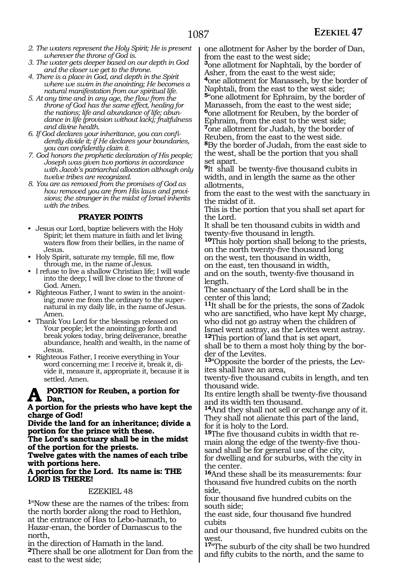- *2. The waters represent the Holy Spirit; He is present wherever the throne of God is.*
- *3. The water gets deeper based on our depth in God and the closer we get to the throne.*
- *4. There is a place in God, and depth in the Spirit where we swim in the anointing; He becomes a natural manifestation from our spiritual life.*
- *5. At any time and in any age, the flow from the throne of God has the same effect, healing for the nations; life and abundance of life; abundance in life (provision without lack); fruitfulness and divine health.*
- *6. If God declares your inheritance, you can confidently divide it; if He declares your boundaries, you can confidently claim it.*
- *7. God honors the prophetic declaration of His people; Joseph was given two portions in accordance with Jacob's patriarchal allocation although only twelve tribes are recognized.*
- *8. You are as removed from the promises of God as how removed you are from His laws and provisions; the stranger in the midst of Israel inherits with the tribes.*

#### **PRAYER POINTS**

- Jesus our Lord, baptize believers with the Holy Spirit; let them mature in faith and let living waters flow from their bellies, in the name of Jesus.
- Holy Spirit, saturate my temple, fill me, flow through me, in the name of Jesus.
- I refuse to live a shallow Christian life; I will wade into the deep; I will live close to the throne of God. Amen.
- Righteous Father, I want to swim in the anointing; move me from the ordinary to the supernatural in my daily life, in the name of Jesus. Amen.
- Thank You Lord for the blessings released on Your people; let the anointing go forth and break yokes today, bring deliverance, breathe abundance, health and wealth, in the name of Jesus.
- Righteous Father, I receive everything in Your word concerning me: I receive it, break it, divide it, measure it, appropriate it, because it is settled. Amen.

#### **A portion for Reuben, a portion for Dan,**

#### **A portion for the priests who have kept the charge of God!**

**Divide the land for an inheritance; divide a portion for the prince with these.**

**The Lord's sanctuary shall be in the midst of the portion for the priests.**

**Twelve gates with the names of each tribe with portions here.** 

#### **A portion for the Lord. Its name is: THE LORD IS THERE!**

#### EZEKIEL 48

**<sup>1</sup>**"Now these are the names of the tribes: from the north border along the road to Hethlon, at the entrance of Has to Lebo-hamath, to Hazar-enan, the border of Damascus to the north,

in the direction of Hamath in the land. **<sup>2</sup>**There shall be one allotment for Dan from the east to the west side;

one allotment for Asher by the border of Dan, from the east to the west side;

**<sup>3</sup>**one allotment for Naphtali, by the border of Asher, from the east to the west side; **<sup>4</sup>**one allotment for Manasseh, by the border of Naphtali, from the east to the west side; **<sup>5</sup>**"one allotment for Ephraim, by the border of Manasseh, from the east to the west side; **<sup>6</sup>**one allotment for Reuben, by the border of Ephraim, from the east to the west side; **<sup>7</sup>**one allotment for Judah, by the border of Reuben, from the east to the west side. **<sup>8</sup>**By the border of Judah, from the east side to the west, shall be the portion that you shall set apart.

**<sup>9</sup>**It shall be twenty-five thousand cubits in width, and in length the same as the other allotments,

from the east to the west with the sanctuary in the midst of it.

This is the portion that you shall set apart for the Lord.

It shall be ten thousand cubits in width and

**10**This holy portion shall belong to the priests, on the north twenty-five thousand long

on the west, ten thousand in width,

on the east, ten thousand in width, and on the south, twenty-five thousand in length.

The sanctuary of the Lord shall be in the center of this land;

**<sup>11</sup>**It shall be for the priests, the sons of Zadok who are sanctified, who have kept My charge, who did not go astray when the children of Israel went astray, as the Levites went astray. **<sup>12</sup>**This portion of land that is set apart,

shall be to them a most holy thing by the border of the Levites.

**13**"Opposite the border of the priests, the Levites shall have an area,

twenty-five thousand cubits in length, and ten thousand wide.

Its entire length shall be twenty-five thousand and its width ten thousand.

**<sup>14</sup>**And they shall not sell or exchange any of it. They shall not alienate this part of the land, for it is holy to the Lord.

**15**The five thousand cubits in width that re-<br>main along the edge of the twenty-five thou-<br>sand shall be for general use of the city, for dwelling and for suburbs, with the city in

the center. **<sup>16</sup>**And these shall be its measurements: four thousand five hundred cubits on the north

side, four thousand five hundred cubits on the south side;

the east side, four thousand five hundred cubits

and our thousand, five hundred cubits on the west.

**<sup>17</sup>**"The suburb of the city shall be two hundred and fifty cubits to the north, and the same to